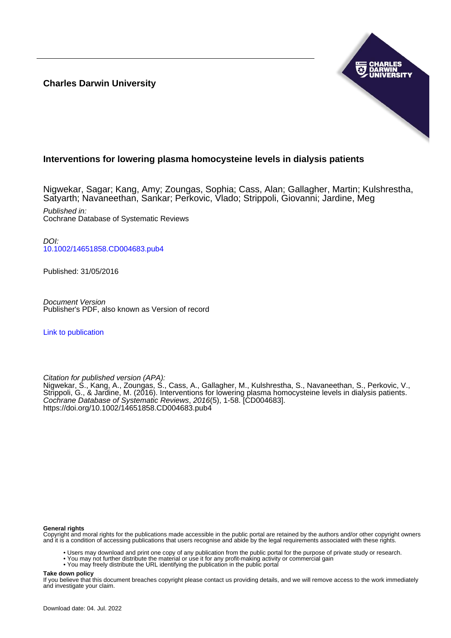**Charles Darwin University**



# **Interventions for lowering plasma homocysteine levels in dialysis patients**

Nigwekar, Sagar; Kang, Amy; Zoungas, Sophia; Cass, Alan; Gallagher, Martin; Kulshrestha, Satyarth; Navaneethan, Sankar; Perkovic, Vlado; Strippoli, Giovanni; Jardine, Meg Published in: Cochrane Database of Systematic Reviews

DOI: [10.1002/14651858.CD004683.pub4](https://doi.org/10.1002/14651858.CD004683.pub4)

Published: 31/05/2016

Document Version Publisher's PDF, also known as Version of record

[Link to publication](https://researchers.cdu.edu.au/en/publications/70fc563f-559f-44f3-939d-483d22e0c0d1)

Citation for published version (APA):

Nigwekar, S., Kang, A., Zoungas, S., Cass, A., Gallagher, M., Kulshrestha, S., Navaneethan, S., Perkovic, V., Strippoli, G., & Jardine, M. (2016). Interventions for lowering plasma homocysteine levels in dialysis patients. Cochrane Database of Systematic Reviews, 2016(5), 1-58. [CD004683]. <https://doi.org/10.1002/14651858.CD004683.pub4>

### **General rights**

Copyright and moral rights for the publications made accessible in the public portal are retained by the authors and/or other copyright owners and it is a condition of accessing publications that users recognise and abide by the legal requirements associated with these rights.

- Users may download and print one copy of any publication from the public portal for the purpose of private study or research.
- You may not further distribute the material or use it for any profit-making activity or commercial gain
- You may freely distribute the URL identifying the publication in the public portal

**Take down policy**

If you believe that this document breaches copyright please contact us providing details, and we will remove access to the work immediately and investigate your claim.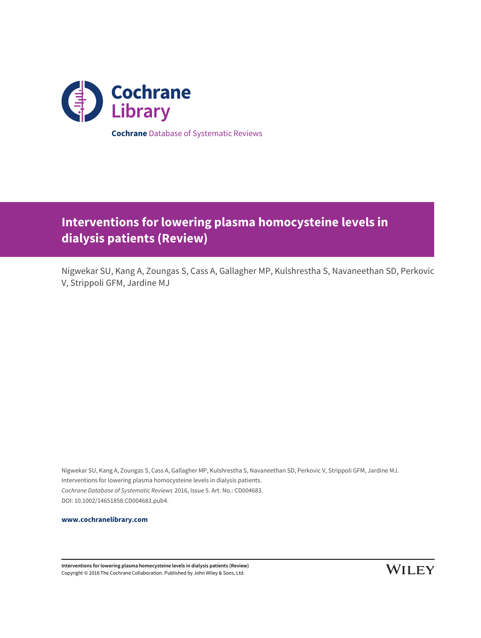

**Interventions for lowering plasma homocysteine levels in dialysis patients (Review)**

Nigwekar SU, Kang A, Zoungas S, Cass A, Gallagher MP, Kulshrestha S, Navaneethan SD, Perkovic V, Strippoli GFM, Jardine MJ

Nigwekar SU, Kang A, Zoungas S, Cass A, Gallagher MP, Kulshrestha S, Navaneethan SD, Perkovic V, Strippoli GFM, Jardine MJ. Interventions for lowering plasma homocysteine levels in dialysis patients. Cochrane Database of Systematic Reviews 2016, Issue 5. Art. No.: CD004683. DOI: 10.1002/14651858.CD004683.pub4.

**[www.cochranelibrary.com](http://www.cochranelibrary.com)**

**Interventions for lowering plasma homocysteine levels in dialysis patients (Review)** Copyright © 2016 The Cochrane Collaboration. Published by John Wiley & Sons, Ltd.

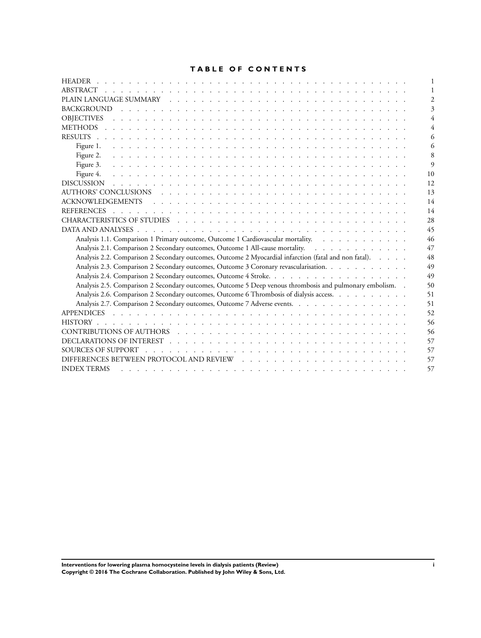## **TABLE OF CONTENTS**

| <b>OBJECTIVES</b><br><u>. In the second terms of the second terms of the second terms of the second terms of the second</u> |
|-----------------------------------------------------------------------------------------------------------------------------|
|                                                                                                                             |
|                                                                                                                             |
|                                                                                                                             |
|                                                                                                                             |
| 9                                                                                                                           |
| Figure 4.<br>10                                                                                                             |
| 12                                                                                                                          |
| 13                                                                                                                          |
| 14                                                                                                                          |
| 14                                                                                                                          |
| 28                                                                                                                          |
| 45                                                                                                                          |
| Analysis 1.1. Comparison 1 Primary outcome, Outcome 1 Cardiovascular mortality.<br>46                                       |
| Analysis 2.1. Comparison 2 Secondary outcomes, Outcome 1 All-cause mortality.<br>47                                         |
| Analysis 2.2. Comparison 2 Secondary outcomes, Outcome 2 Myocardial infarction (fatal and non fatal).<br>48                 |
| 49<br>Analysis 2.3. Comparison 2 Secondary outcomes, Outcome 3 Coronary revascularisation.                                  |
| 49                                                                                                                          |
| Analysis 2.5. Comparison 2 Secondary outcomes, Outcome 5 Deep venous thrombosis and pulmonary embolism. .<br>50             |
| Analysis 2.6. Comparison 2 Secondary outcomes, Outcome 6 Thrombosis of dialysis access.<br>51                               |
| Analysis 2.7. Comparison 2 Secondary outcomes, Outcome 7 Adverse events.<br>51                                              |
| 52                                                                                                                          |
| 56                                                                                                                          |
| 56                                                                                                                          |
| 57                                                                                                                          |
| SOURCES OF SUPPORT<br>57                                                                                                    |
| DIFFERENCES BETWEEN PROTOCOL AND REVIEW<br>57                                                                               |
| 57<br><b>INDEX TERMS</b>                                                                                                    |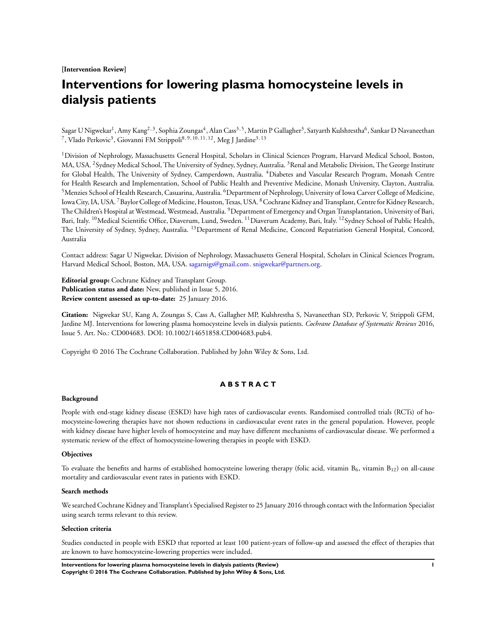**[Intervention Review]**

# **Interventions for lowering plasma homocysteine levels in dialysis patients**

Sagar U Nigwekar<sup>1</sup>, Amy Kang<sup>2, 3</sup>, Sophia Zoungas<sup>4</sup>, Alan Cass<sup>3, 5</sup>, Martin P Gallagher<sup>3</sup>, Satyarth Kulshrestha<sup>6</sup>, Sankar D Navaneethan <sup>7</sup>, Vlado Perkovic<sup>3</sup>, Giovanni FM Strippoli<sup>8,9,10,11,12</sup>, Meg J Jardine<sup>3,13</sup>

<sup>1</sup>Division of Nephrology, Massachusetts General Hospital, Scholars in Clinical Sciences Program, Harvard Medical School, Boston, MA, USA. <sup>2</sup>Sydney Medical School, The University of Sydney, Sydney, Australia. <sup>3</sup>Renal and Metabolic Division, The George Institute for Global Health, The University of Sydney, Camperdown, Australia. <sup>4</sup>Diabetes and Vascular Research Program, Monash Centre for Health Research and Implementation, School of Public Health and Preventive Medicine, Monash University, Clayton, Australia. <sup>5</sup> Menzies School of Health Research, Casuarina, Australia. <sup>6</sup> Department of Nephrology, University of Iowa Carver College of Medicine, Iowa City, IA, USA.<sup>7</sup> Baylor College of Medicine, Houston, Texas, USA. <sup>8</sup> Cochrane Kidney and Transplant, Centre for Kidney Research, The Children's Hospital at Westmead, Westmead, Australia. <sup>9</sup>Department of Emergency and Organ Transplantation, University of Bari, Bari, Italy. <sup>10</sup>Medical Scientific Office, Diaverum, Lund, Sweden. <sup>11</sup> Diaverum Academy, Bari, Italy. <sup>12</sup> Sydney School of Public Health, The University of Sydney, Sydney, Australia. <sup>13</sup>Department of Renal Medicine, Concord Repatriation General Hospital, Concord, Australia

Contact address: Sagar U Nigwekar, Division of Nephrology, Massachusetts General Hospital, Scholars in Clinical Sciences Program, Harvard Medical School, Boston, MA, USA. [sagarnigs@gmail.com.](mailto:sagarnigs@gmail.com) [snigwekar@partners.org](mailto:snigwekar@partners.org).

**Editorial group:** Cochrane Kidney and Transplant Group. **Publication status and date:** New, published in Issue 5, 2016. **Review content assessed as up-to-date:** 25 January 2016.

**Citation:** Nigwekar SU, Kang A, Zoungas S, Cass A, Gallagher MP, Kulshrestha S, Navaneethan SD, Perkovic V, Strippoli GFM, Jardine MJ. Interventions for lowering plasma homocysteine levels in dialysis patients. *Cochrane Database of Systematic Reviews* 2016, Issue 5. Art. No.: CD004683. DOI: 10.1002/14651858.CD004683.pub4.

Copyright © 2016 The Cochrane Collaboration. Published by John Wiley & Sons, Ltd.

## **A B S T R A C T**

### **Background**

People with end-stage kidney disease (ESKD) have high rates of cardiovascular events. Randomised controlled trials (RCTs) of homocysteine-lowering therapies have not shown reductions in cardiovascular event rates in the general population. However, people with kidney disease have higher levels of homocysteine and may have different mechanisms of cardiovascular disease. We performed a systematic review of the effect of homocysteine-lowering therapies in people with ESKD.

### **Objectives**

To evaluate the benefits and harms of established homocysteine lowering therapy (folic acid, vitamin  $B_6$ , vitamin  $B_{12}$ ) on all-cause mortality and cardiovascular event rates in patients with ESKD.

### **Search methods**

We searched Cochrane Kidney and Transplant's Specialised Register to 25 January 2016 through contact with the Information Specialist using search terms relevant to this review.

### **Selection criteria**

Studies conducted in people with ESKD that reported at least 100 patient-years of follow-up and assessed the effect of therapies that are known to have homocysteine-lowering properties were included.

### **Interventions for lowering plasma homocysteine levels in dialysis patients (Review) 1 Copyright © 2016 The Cochrane Collaboration. Published by John Wiley & Sons, Ltd.**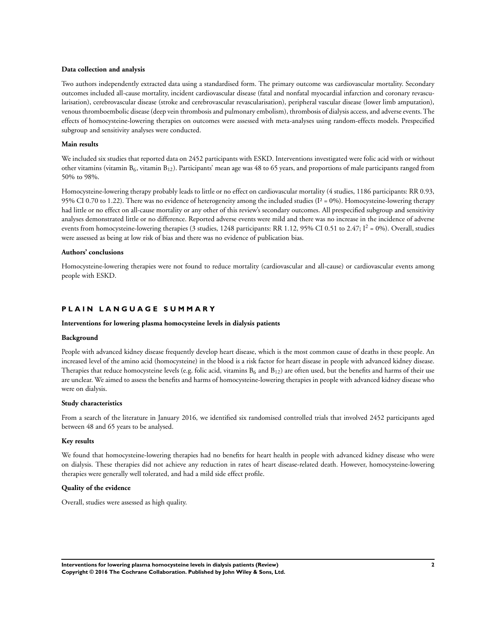#### **Data collection and analysis**

Two authors independently extracted data using a standardised form. The primary outcome was cardiovascular mortality. Secondary outcomes included all-cause mortality, incident cardiovascular disease (fatal and nonfatal myocardial infarction and coronary revascularisation), cerebrovascular disease (stroke and cerebrovascular revascularisation), peripheral vascular disease (lower limb amputation), venous thromboembolic disease (deep vein thrombosis and pulmonary embolism), thrombosis of dialysis access, and adverse events. The effects of homocysteine-lowering therapies on outcomes were assessed with meta-analyses using random-effects models. Prespecified subgroup and sensitivity analyses were conducted.

### **Main results**

We included six studies that reported data on 2452 participants with ESKD. Interventions investigated were folic acid with or without other vitamins (vitamin  $B_6$ , vitamin  $B_{12}$ ). Participants' mean age was 48 to 65 years, and proportions of male participants ranged from 50% to 98%.

Homocysteine-lowering therapy probably leads to little or no effect on cardiovascular mortality (4 studies, 1186 participants: RR 0.93, 95% CI 0.70 to 1.22). There was no evidence of heterogeneity among the included studies ( $I^2 = 0\%$ ). Homocysteine-lowering therapy had little or no effect on all-cause mortality or any other of this review's secondary outcomes. All prespecified subgroup and sensitivity analyses demonstrated little or no difference. Reported adverse events were mild and there was no increase in the incidence of adverse events from homocysteine-lowering therapies (3 studies, 1248 participants: RR 1.12, 95% CI 0.51 to 2.47;  $I^2$  = 0%). Overall, studies were assessed as being at low risk of bias and there was no evidence of publication bias.

### **Authors' conclusions**

Homocysteine-lowering therapies were not found to reduce mortality (cardiovascular and all-cause) or cardiovascular events among people with ESKD.

## **P L A I N L A N G U A G E S U M M A R Y**

### **Interventions for lowering plasma homocysteine levels in dialysis patients**

#### **Background**

People with advanced kidney disease frequently develop heart disease, which is the most common cause of deaths in these people. An increased level of the amino acid (homocysteine) in the blood is a risk factor for heart disease in people with advanced kidney disease. Therapies that reduce homocysteine levels (e.g. folic acid, vitamins  $B_6$  and  $B_{12}$ ) are often used, but the benefits and harms of their use are unclear. We aimed to assess the benefits and harms of homocysteine-lowering therapies in people with advanced kidney disease who were on dialysis.

#### **Study characteristics**

From a search of the literature in January 2016, we identified six randomised controlled trials that involved 2452 participants aged between 48 and 65 years to be analysed.

#### **Key results**

We found that homocysteine-lowering therapies had no benefits for heart health in people with advanced kidney disease who were on dialysis. These therapies did not achieve any reduction in rates of heart disease-related death. However, homocysteine-lowering therapies were generally well tolerated, and had a mild side effect profile.

#### **Quality of the evidence**

Overall, studies were assessed as high quality.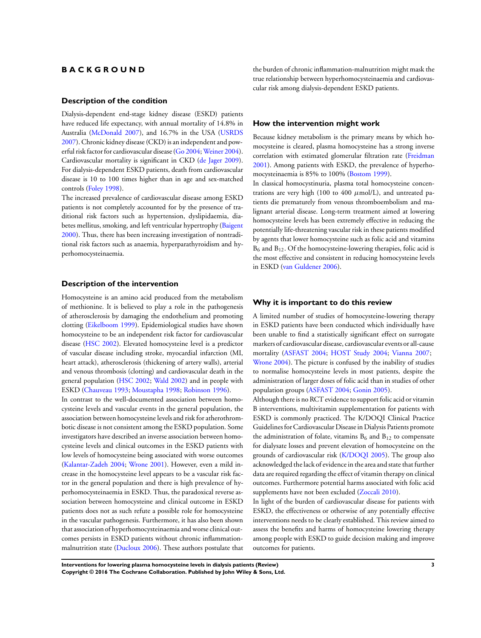## **B A C K G R O U N D**

### **Description of the condition**

Dialysis-dependent end-stage kidney disease (ESKD) patients have reduced life expectancy, with annual mortality of 14.8% in Australia [\(McDonald 2007\)](#page-16-0), and 16.7% in the USA ([USRDS](#page-16-0) [2007](#page-16-0)). Chronic kidney disease (CKD) is an independent and pow-erful risk factor for cardiovascular disease [\(Go 2004](#page-16-0); [Weiner 2004](#page-16-0)). Cardiovascular mortality is significant in CKD [\(de Jager 2009](#page-16-0)). For dialysis-dependent ESKD patients, death from cardiovascular disease is 10 to 100 times higher than in age and sex-matched controls [\(Foley 1998](#page-16-0)).

The increased prevalence of cardiovascular disease among ESKD patients is not completely accounted for by the presence of traditional risk factors such as hypertension, dyslipidaemia, diabetes mellitus, smoking, and left ventricular hypertrophy ([Baigent](#page-16-0) [2000](#page-16-0)). Thus, there has been increasing investigation of nontraditional risk factors such as anaemia, hyperparathyroidism and hyperhomocysteinaemia.

#### **Description of the intervention**

Homocysteine is an amino acid produced from the metabolism of methionine. It is believed to play a role in the pathogenesis of atherosclerosis by damaging the endothelium and promoting clotting ([Eikelboom 1999](#page-16-0)). Epidemiological studies have shown homocysteine to be an independent risk factor for cardiovascular disease ([HSC 2002\)](#page-16-0). Elevated homocysteine level is a predictor of vascular disease including stroke, myocardial infarction (MI, heart attack), atherosclerosis (thickening of artery walls), arterial and venous thrombosis (clotting) and cardiovascular death in the general population [\(HSC 2002;](#page-16-0) [Wald 2002](#page-16-0)) and in people with ESKD [\(Chauveau 1993](#page-16-0); [Moustapha 1998;](#page-16-0) [Robinson 1996](#page-16-0)). In contrast to the well-documented association between homocysteine levels and vascular events in the general population, the association between homocysteine levels and risk for atherothrombotic disease is not consistent among the ESKD population. Some investigators have described an inverse association between homocysteine levels and clinical outcomes in the ESKD patients with low levels of homocysteine being associated with worse outcomes [\(Kalantar-Zadeh 2004;](#page-16-0) [Wrone 2001\)](#page-16-0). However, even a mild increase in the homocysteine level appears to be a vascular risk factor in the general population and there is high prevalence of hyperhomocysteinaemia in ESKD. Thus, the paradoxical reverse association between homocysteine and clinical outcome in ESKD patients does not as such refute a possible role for homocysteine in the vascular pathogenesis. Furthermore, it has also been shown that association of hyperhomocysteinaemia and worse clinical outcomes persists in ESKD patients without chronic inflammation-malnutrition state ([Ducloux 2006\)](#page-16-0). These authors postulate that

the burden of chronic inflammation-malnutrition might mask the true relationship between hyperhomocysteinaemia and cardiovascular risk among dialysis-dependent ESKD patients.

### **How the intervention might work**

Because kidney metabolism is the primary means by which homocysteine is cleared, plasma homocysteine has a strong inverse correlation with estimated glomerular filtration rate ([Freidman](#page-16-0) [2001](#page-16-0)). Among patients with ESKD, the prevalence of hyperhomocysteinaemia is 85% to 100% ([Bostom 1999](#page-16-0)).

In classical homocystinuria, plasma total homocysteine concentrations are very high (100 to 400  $\mu$ mol/L), and untreated patients die prematurely from venous thromboembolism and malignant arterial disease. Long-term treatment aimed at lowering homocysteine levels has been extremely effective in reducing the potentially life-threatening vascular risk in these patients modified by agents that lower homocysteine such as folic acid and vitamins  $B<sub>6</sub>$  and  $B<sub>12</sub>$ . Of the homocysteine-lowering therapies, folic acid is the most effective and consistent in reducing homocysteine levels in ESKD [\(van Guldener 2006\)](#page-16-0).

### **Why it is important to do this review**

A limited number of studies of homocysteine-lowering therapy in ESKD patients have been conducted which individually have been unable to find a statistically significant effect on surrogate markers of cardiovascular disease, cardiovascular events or all-cause mortality ([ASFAST 2004;](#page-16-0) [HOST Study 2004;](#page-16-0) [Vianna 2007](#page-16-0); [Wrone 2004](#page-16-0)). The picture is confused by the inability of studies to normalise homocysteine levels in most patients, despite the administration of larger doses of folic acid than in studies of other population groups [\(ASFAST 2004;](#page-16-0) [Gonin 2005](#page-16-0)).

Although there is no RCT evidence to support folic acid or vitamin B interventions, multivitamin supplementation for patients with ESKD is commonly practiced. The K/DOQI Clinical Practice Guidelines for Cardiovascular Disease in Dialysis Patients promote the administration of folate, vitamins  $B_6$  and  $B_{12}$  to compensate for dialysate losses and prevent elevation of homocysteine on the grounds of cardiovascular risk [\(K/DOQI 2005](#page-16-0)). The group also acknowledged the lack of evidence in the area and state that further data are required regarding the effect of vitamin therapy on clinical outcomes. Furthermore potential harms associated with folic acid supplements have not been excluded [\(Zoccali 2010\)](#page-16-0).

In light of the burden of cardiovascular disease for patients with ESKD, the effectiveness or otherwise of any potentially effective interventions needs to be clearly established. This review aimed to assess the benefits and harms of homocysteine lowering therapy among people with ESKD to guide decision making and improve outcomes for patients.

**Interventions for lowering plasma homocysteine levels in dialysis patients (Review) 3 Copyright © 2016 The Cochrane Collaboration. Published by John Wiley & Sons, Ltd.**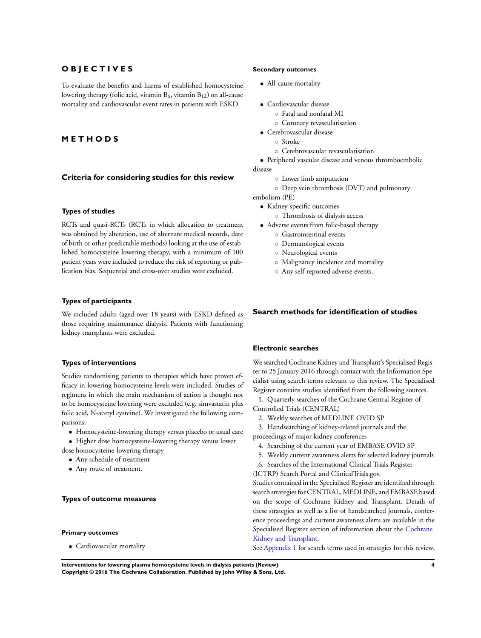## **O B J E C T I V E S**

To evaluate the benefits and harms of established homocysteine lowering therapy (folic acid, vitamin  $B_6$ , vitamin  $B_{12}$ ) on all-cause mortality and cardiovascular event rates in patients with ESKD.

## **M E T H O D S**

### **Criteria for considering studies for this review**

## **Types of studies**

RCTs and quasi-RCTs (RCTs in which allocation to treatment was obtained by alteration, use of alternate medical records, date of birth or other predictable methods) looking at the use of established homocysteine lowering therapy, with a minimum of 100 patient years were included to reduce the risk of reporting or publication bias. Sequential and cross-over studies were excluded.

#### **Types of participants**

We included adults (aged over 18 years) with ESKD defined as those requiring maintenance dialysis. Patients with functioning kidney transplants were excluded.

#### **Types of interventions**

Studies randomising patients to therapies which have proven efficacy in lowering homocysteine levels were included. Studies of regimens in which the main mechanism of action is thought not to be homocysteine lowering were excluded (e.g. simvastatin plus folic acid, N-acetyl cysteine). We investigated the following comparisons.

- Homocysteine-lowering therapy versus placebo or usual care
- Higher dose homocysteine-lowering therapy versus lower dose homocysteine-lowering therapy
	- Any schedule of treatment
	- Any route of treatment.

#### **Types of outcome measures**

#### **Primary outcomes**

#### • Cardiovascular mortality

#### **Secondary outcomes**

- All-cause mortality
- Cardiovascular disease
	- Fatal and nonfatal MI
	- Coronary revascularisation
- Cerebrovascular disease
	- Stroke
		- Cerebrovascular revascularisation
- Peripheral vascular disease and venous thromboembolic

disease

- Lower limb amputation
- Deep vein thrombosis (DVT) and pulmonary

embolism (PE)

- Kidney-specific outcomes
	- Thrombosis of dialysis access
- Adverse events from folic-based therapy
	- Gastrointestinal events
	- Dermatological events
	- Neurological events
	- Malignancy incidence and mortality
	- Any self-reported adverse events.

## **Search methods for identification of studies**

#### **Electronic searches**

We searched Cochrane Kidney and Transplant's Specialised Register to 25 January 2016 through contact with the Information Specialist using search terms relevant to this review. The Specialised Register contains studies identified from the following sources.

- 1. Quarterly searches of the Cochrane Central Register of Controlled Trials (CENTRAL)
	- 2. Weekly searches of MEDLINE OVID SP
	- 3. Handsearching of kidney-related journals and the
- proceedings of major kidney conferences
	- 4. Searching of the current year of EMBASE OVID SP
	- 5. Weekly current awareness alerts for selected kidney journals
	- 6. Searches of the International Clinical Trials Register

(ICTRP) Search Portal and ClinicalTrials.gov.

Studies contained in the Specialised Register are identified through search strategies for CENTRAL, MEDLINE, and EMBASE based on the scope of Cochrane Kidney and Transplant. Details of these strategies as well as a list of handsearched journals, conference proceedings and current awareness alerts are available in the Specialised Register section of information about the [Cochrane](http://onlinelibrary.wiley.com/o/cochrane/clabout/articles/RENAL/frame.html) [Kidney and Transplant](http://onlinelibrary.wiley.com/o/cochrane/clabout/articles/RENAL/frame.html).

See [Appendix 1](#page-54-0) for search terms used in strategies for this review.

**Interventions for lowering plasma homocysteine levels in dialysis patients (Review) 4 Copyright © 2016 The Cochrane Collaboration. Published by John Wiley & Sons, Ltd.**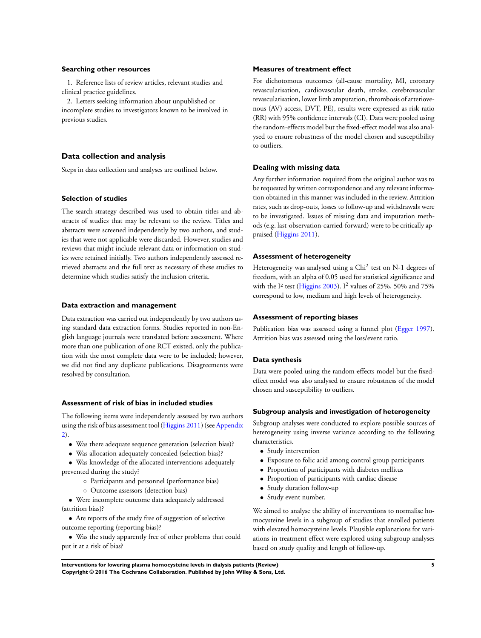#### **Searching other resources**

1. Reference lists of review articles, relevant studies and clinical practice guidelines.

2. Letters seeking information about unpublished or incomplete studies to investigators known to be involved in previous studies.

## **Data collection and analysis**

Steps in data collection and analyses are outlined below.

## **Selection of studies**

The search strategy described was used to obtain titles and abstracts of studies that may be relevant to the review. Titles and abstracts were screened independently by two authors, and studies that were not applicable were discarded. However, studies and reviews that might include relevant data or information on studies were retained initially. Two authors independently assessed retrieved abstracts and the full text as necessary of these studies to determine which studies satisfy the inclusion criteria.

#### **Data extraction and management**

Data extraction was carried out independently by two authors using standard data extraction forms. Studies reported in non-English language journals were translated before assessment. Where more than one publication of one RCT existed, only the publication with the most complete data were to be included; however, we did not find any duplicate publications. Disagreements were resolved by consultation.

## **Assessment of risk of bias in included studies**

The following items were independently assessed by two authors using the risk of bias assessment tool ([Higgins 2011\)](#page-16-0) (see [Appendix](#page-55-0) [2\)](#page-55-0).

- Was there adequate sequence generation (selection bias)?
- Was allocation adequately concealed (selection bias)?

• Was knowledge of the allocated interventions adequately prevented during the study?

- Participants and personnel (performance bias)
- Outcome assessors (detection bias)
- Were incomplete outcome data adequately addressed (attrition bias)?

• Are reports of the study free of suggestion of selective outcome reporting (reporting bias)?

• Was the study apparently free of other problems that could put it at a risk of bias?

#### **Measures of treatment effect**

For dichotomous outcomes (all-cause mortality, MI, coronary revascularisation, cardiovascular death, stroke, cerebrovascular revascularisation, lower limb amputation, thrombosis of arteriovenous (AV) access, DVT, PE), results were expressed as risk ratio (RR) with 95% confidence intervals (CI). Data were pooled using the random-effects model but the fixed-effect model was also analysed to ensure robustness of the model chosen and susceptibility to outliers.

#### **Dealing with missing data**

Any further information required from the original author was to be requested by written correspondence and any relevant information obtained in this manner was included in the review. Attrition rates, such as drop-outs, losses to follow-up and withdrawals were to be investigated. Issues of missing data and imputation methods (e.g. last-observation-carried-forward) were to be critically appraised ([Higgins 2011](#page-16-0)).

#### **Assessment of heterogeneity**

Heterogeneity was analysed using a Chi<sup>2</sup> test on N-1 degrees of freedom, with an alpha of 0.05 used for statistical significance and with the I<sup>2</sup> test [\(Higgins 2003\)](#page-16-0). I<sup>2</sup> values of 25%, 50% and 75% correspond to low, medium and high levels of heterogeneity.

## **Assessment of reporting biases**

Publication bias was assessed using a funnel plot [\(Egger 1997](#page-16-0)). Attrition bias was assessed using the loss/event ratio.

## **Data synthesis**

Data were pooled using the random-effects model but the fixedeffect model was also analysed to ensure robustness of the model chosen and susceptibility to outliers.

### **Subgroup analysis and investigation of heterogeneity**

Subgroup analyses were conducted to explore possible sources of heterogeneity using inverse variance according to the following characteristics.

- Study intervention
- Exposure to folic acid among control group participants
- Proportion of participants with diabetes mellitus
- Proportion of participants with cardiac disease
- Study duration follow-up
- Study event number.

We aimed to analyse the ability of interventions to normalise homocysteine levels in a subgroup of studies that enrolled patients with elevated homocysteine levels. Plausible explanations for variations in treatment effect were explored using subgroup analyses based on study quality and length of follow-up.

**Interventions for lowering plasma homocysteine levels in dialysis patients (Review) 5 Copyright © 2016 The Cochrane Collaboration. Published by John Wiley & Sons, Ltd.**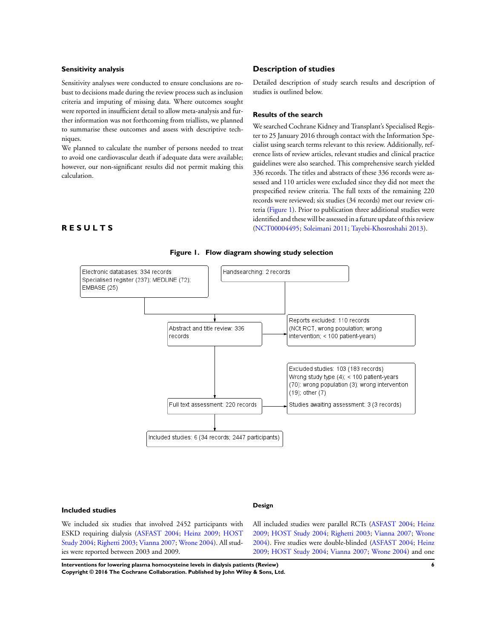### **Sensitivity analysis**

Sensitivity analyses were conducted to ensure conclusions are robust to decisions made during the review process such as inclusion criteria and imputing of missing data. Where outcomes sought were reported in insufficient detail to allow meta-analysis and further information was not forthcoming from triallists, we planned to summarise these outcomes and assess with descriptive techniques.

We planned to calculate the number of persons needed to treat to avoid one cardiovascular death if adequate data were available; however, our non-significant results did not permit making this calculation.

## **R E S U L T S**

### **Description of studies**

Detailed description of study search results and description of studies is outlined below.

### **Results of the search**

We searched Cochrane Kidney and Transplant's Specialised Register to 25 January 2016 through contact with the Information Specialist using search terms relevant to this review. Additionally, reference lists of review articles, relevant studies and clinical practice guidelines were also searched. This comprehensive search yielded 336 records. The titles and abstracts of these 336 records were assessed and 110 articles were excluded since they did not meet the prespecified review criteria. The full texts of the remaining 220 records were reviewed; six studies (34 records) met our review criteria (Figure 1). Prior to publication three additional studies were identified and these will be assessed in afuture update of this review [\(NCT00004495](#page-16-0); [Soleimani 2011;](#page-16-0) [Tayebi-Khosroshahi 2013\)](#page-16-0).





### **Included studies**

### **Design**

We included six studies that involved 2452 participants with ESKD requiring dialysis ([ASFAST 2004;](#page-16-0) [Heinz 2009](#page-16-0); [HOST](#page-16-0) [Study 2004](#page-16-0); [Righetti 2003](#page-16-0); [Vianna 2007](#page-16-0); [Wrone 2004\)](#page-16-0). All studies were reported between 2003 and 2009.

All included studies were parallel RCTs ([ASFAST 2004;](#page-16-0) [Heinz](#page-16-0) ; [HOST Study 2004;](#page-16-0) [Righetti 2003;](#page-16-0) [Vianna 2007;](#page-16-0) [Wrone](#page-16-0) ). Five studies were double-blinded ([ASFAST 2004;](#page-16-0) [Heinz](#page-16-0) ; [HOST Study 2004](#page-16-0); [Vianna 2007](#page-16-0); [Wrone 2004](#page-16-0)) and one

**Interventions for lowering plasma homocysteine levels in dialysis patients (Review) 6 Copyright © 2016 The Cochrane Collaboration. Published by John Wiley & Sons, Ltd.**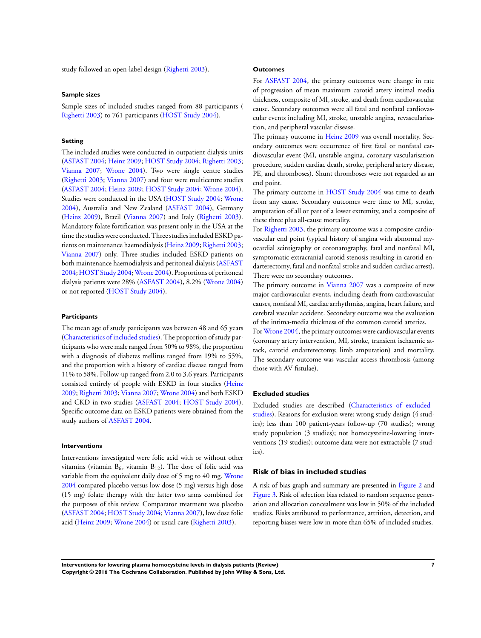study followed an open-label design ([Righetti 2003](#page-16-0)).

#### **Sample sizes**

Sample sizes of included studies ranged from 88 participants ( [Righetti 2003\)](#page-16-0) to 761 participants ([HOST Study 2004](#page-16-0)).

## **Setting**

The included studies were conducted in outpatient dialysis units [\(ASFAST 2004;](#page-16-0) [Heinz 2009](#page-16-0); [HOST Study 2004](#page-16-0); [Righetti 2003;](#page-16-0) [Vianna 2007;](#page-16-0) [Wrone 2004](#page-16-0)). Two were single centre studies [\(Righetti 2003;](#page-16-0) [Vianna 2007](#page-16-0)) and four were multicentre studies [\(ASFAST 2004;](#page-16-0) [Heinz 2009;](#page-16-0) [HOST Study 2004;](#page-16-0) [Wrone 2004](#page-16-0)). Studies were conducted in the USA [\(HOST Study 2004](#page-16-0); [Wrone](#page-16-0) [2004](#page-16-0)), Australia and New Zealand ([ASFAST 2004\)](#page-16-0), Germany [\(Heinz 2009\)](#page-16-0), Brazil [\(Vianna 2007](#page-16-0)) and Italy ([Righetti 2003](#page-16-0)). Mandatory folate fortification was present only in the USA at the time the studies were conducted. Three studies included ESKD patients on maintenance haemodialysis [\(Heinz 2009](#page-16-0); [Righetti 2003;](#page-16-0) [Vianna 2007\)](#page-16-0) only. Three studies included ESKD patients on both maintenance haemodialysis and peritoneal dialysis ([ASFAST](#page-16-0) [2004](#page-16-0); [HOST Study 2004](#page-16-0);[Wrone 2004\)](#page-16-0). Proportions of peritoneal dialysis patients were 28% ([ASFAST 2004](#page-16-0)), 8.2% ([Wrone 2004](#page-16-0)) or not reported [\(HOST Study 2004\)](#page-16-0).

### **Participants**

The mean age of study participants was between 48 and 65 years [\(Characteristics of included studies\)](#page-31-0). The proportion of study participants who were male ranged from 50% to 98%, the proportion with a diagnosis of diabetes mellitus ranged from 19% to 55%, and the proportion with a history of cardiac disease ranged from 11% to 58%. Follow-up ranged from 2.0 to 3.6 years. Participants consisted entirely of people with ESKD in four studies [\(Heinz](#page-16-0) [2009](#page-16-0); [Righetti 2003;](#page-16-0) [Vianna 2007](#page-16-0); [Wrone 2004](#page-16-0)) and both ESKD and CKD in two studies [\(ASFAST 2004;](#page-16-0) [HOST Study 2004](#page-16-0)). Specific outcome data on ESKD patients were obtained from the study authors of [ASFAST 2004](#page-16-0).

#### **Interventions**

Interventions investigated were folic acid with or without other vitamins (vitamin  $B_6$ , vitamin  $B_{12}$ ). The dose of folic acid was variable from the equivalent daily dose of 5 mg to 40 mg. [Wrone](#page-16-0) [2004](#page-16-0) compared placebo versus low dose (5 mg) versus high dose (15 mg) folate therapy with the latter two arms combined for the purposes of this review. Comparator treatment was placebo [\(ASFAST 2004](#page-16-0); [HOST Study 2004](#page-16-0); [Vianna 2007](#page-16-0)), low dose folic acid [\(Heinz 2009;](#page-16-0) [Wrone 2004](#page-16-0)) or usual care ([Righetti 2003](#page-16-0)).

### **Outcomes**

For [ASFAST 2004](#page-16-0), the primary outcomes were change in rate of progression of mean maximum carotid artery intimal media thickness, composite of MI, stroke, and death from cardiovascular cause. Secondary outcomes were all fatal and nonfatal cardiovascular events including MI, stroke, unstable angina, revascularisation, and peripheral vascular disease.

The primary outcome in [Heinz 2009](#page-16-0) was overall mortality. Secondary outcomes were occurrence of first fatal or nonfatal cardiovascular event (MI, unstable angina, coronary vascularisation procedure, sudden cardiac death, stroke, peripheral artery disease, PE, and thromboses). Shunt thromboses were not regarded as an end point.

The primary outcome in [HOST Study 2004](#page-16-0) was time to death from any cause. Secondary outcomes were time to MI, stroke, amputation of all or part of a lower extremity, and a composite of these three plus all-cause mortality.

For [Righetti 2003,](#page-16-0) the primary outcome was a composite cardiovascular end point (typical history of angina with abnormal myocardial scintigraphy or coronarography, fatal and nonfatal MI, symptomatic extracranial carotid stenosis resulting in carotid endarterectomy, fatal and nonfatal stroke and sudden cardiac arrest). There were no secondary outcomes.

The primary outcome in [Vianna 2007](#page-16-0) was a composite of new major cardiovascular events, including death from cardiovascular causes, nonfatal MI, cardiac arrhythmias, angina, heart failure, and cerebral vascular accident. Secondary outcome was the evaluation of the intima-media thickness of the common carotid arteries.

For [Wrone 2004](#page-16-0), the primary outcomes were cardiovascular events (coronary artery intervention, MI, stroke, transient ischaemic attack, carotid endarterectomy, limb amputation) and mortality. The secondary outcome was vascular access thrombosis (among those with AV fistulae).

#### **Excluded studies**

Excluded studies are described ([Characteristics of excluded](#page-40-0) [studies\)](#page-40-0). Reasons for exclusion were: wrong study design (4 studies); less than 100 patient-years follow-up (70 studies); wrong study population (3 studies); not homocysteine-lowering interventions (19 studies); outcome data were not extractable (7 studies).

### **Risk of bias in included studies**

A risk of bias graph and summary are presented in [Figure 2](#page-10-0) and [Figure 3.](#page-11-0) Risk of selection bias related to random sequence generation and allocation concealment was low in 50% of the included studies. Risks attributed to performance, attrition, detection, and reporting biases were low in more than 65% of included studies.

**Interventions for lowering plasma homocysteine levels in dialysis patients (Review) 7 Copyright © 2016 The Cochrane Collaboration. Published by John Wiley & Sons, Ltd.**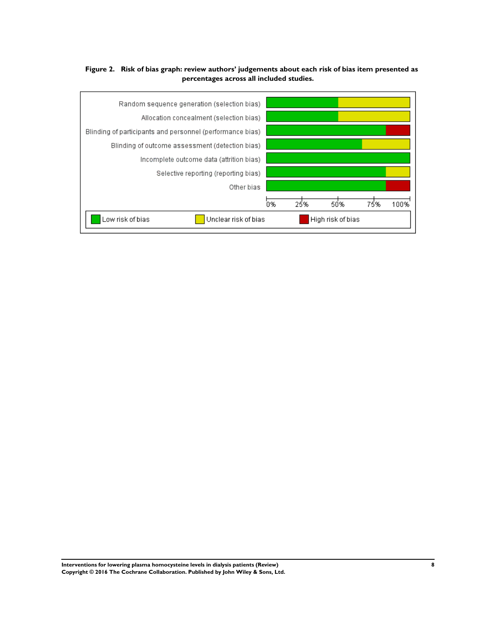## <span id="page-10-0"></span>**Figure 2. Risk of bias graph: review authors' judgements about each risk of bias item presented as percentages across all included studies.**



**Interventions for lowering plasma homocysteine levels in dialysis patients (Review) 8 Copyright © 2016 The Cochrane Collaboration. Published by John Wiley & Sons, Ltd.**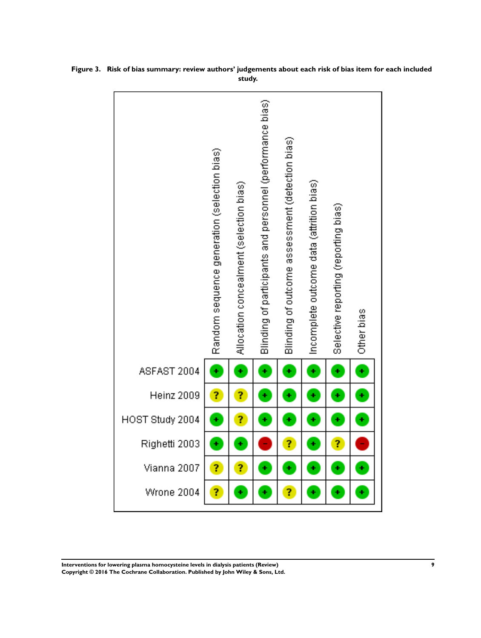|                 | Random sequence generation (selection bias) | Allocation concealment (selection bias) | Blinding of participants and personnel (performance bias) | Blinding of outcome assessment (detection bias) | (Incomplete outcome data (attrition bias | Selective reporting (reporting bias) | Other bias |
|-----------------|---------------------------------------------|-----------------------------------------|-----------------------------------------------------------|-------------------------------------------------|------------------------------------------|--------------------------------------|------------|
| ASFAST 2004     | ÷                                           | ÷                                       | ÷                                                         | ÷                                               | ÷                                        | ÷                                    | ÷          |
| Heinz 2009      | ?                                           | Ĩ,                                      | ¥                                                         | ÷                                               | ¥                                        | ¥                                    | ¥          |
| HOST Study 2004 | ÷                                           | 7                                       | ÷                                                         | ÷                                               | ÷                                        | ÷                                    | ŧ          |
| Righetti 2003   | ÷                                           | ÷                                       |                                                           | ?                                               | ÷                                        | ?                                    |            |
| Vianna 2007     | ?                                           | ?                                       | ÷                                                         | ÷                                               | ÷                                        | ÷                                    | ¥          |
| 2004<br>Wrone   | ?                                           | ÷                                       | ÷                                                         | ?                                               | ÷                                        | ÷                                    | ÷          |

<span id="page-11-0"></span>**Figure 3. Risk of bias summary: review authors' judgements about each risk of bias item for each included study.**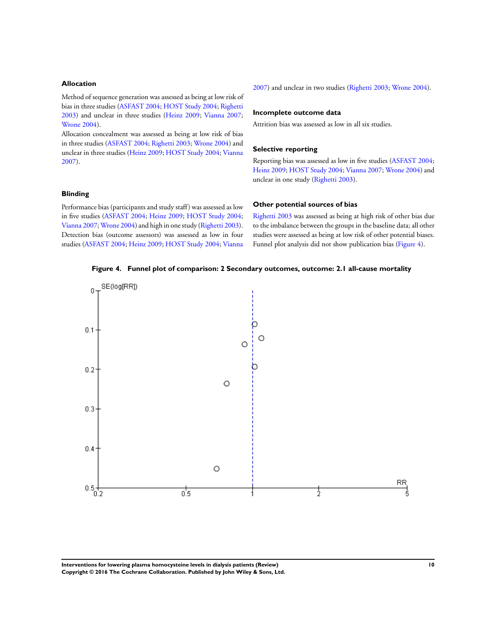## **Allocation**

Method of sequence generation was assessed as being at low risk of bias in three studies ([ASFAST 2004](#page-16-0); [HOST Study 2004;](#page-16-0) [Righetti](#page-16-0) [2003](#page-16-0)) and unclear in three studies [\(Heinz 2009](#page-16-0); [Vianna 2007;](#page-16-0) [Wrone 2004](#page-16-0)).

Allocation concealment was assessed as being at low risk of bias in three studies [\(ASFAST 2004](#page-16-0); [Righetti 2003;](#page-16-0) [Wrone 2004](#page-16-0)) and unclear in three studies [\(Heinz 2009](#page-16-0); [HOST Study 2004](#page-16-0); [Vianna](#page-16-0) [2007](#page-16-0)).

## **Blinding**

Performance bias (participants and study staff) was assessed as low in five studies [\(ASFAST 2004](#page-16-0); [Heinz 2009](#page-16-0); [HOST Study 2004;](#page-16-0) [Vianna 2007;](#page-16-0) [Wrone 2004](#page-16-0)) and high in one study [\(Righetti 2003](#page-16-0)). Detection bias (outcome assessors) was assessed as low in four studies ([ASFAST 2004](#page-16-0); [Heinz 2009;](#page-16-0) [HOST Study 2004;](#page-16-0) [Vianna](#page-16-0)

[2007](#page-16-0)) and unclear in two studies [\(Righetti 2003;](#page-16-0) [Wrone 2004](#page-16-0)).

#### **Incomplete outcome data**

Attrition bias was assessed as low in all six studies.

## **Selective reporting**

Reporting bias was assessed as low in five studies [\(ASFAST 2004;](#page-16-0) [Heinz 2009](#page-16-0); [HOST Study 2004](#page-16-0); [Vianna 2007](#page-16-0); [Wrone 2004\)](#page-16-0) and unclear in one study ([Righetti 2003](#page-16-0)).

#### **Other potential sources of bias**

[Righetti 2003](#page-16-0) was assessed as being at high risk of other bias due to the imbalance between the groups in the baseline data; all other studies were assessed as being at low risk of other potential biases. Funnel plot analysis did not show publication bias (Figure 4).

### **Figure 4. Funnel plot of comparison: 2 Secondary outcomes, outcome: 2.1 all-cause mortality**

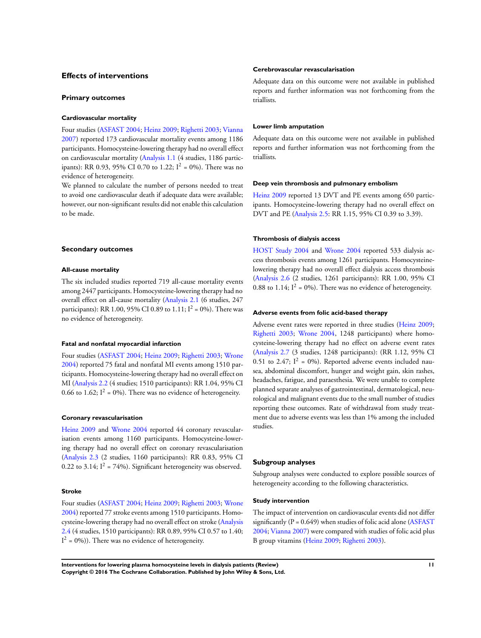## **Effects of interventions**

#### **Primary outcomes**

#### **Cardiovascular mortality**

Four studies [\(ASFAST 2004;](#page-16-0) [Heinz 2009](#page-16-0); [Righetti 2003;](#page-16-0) [Vianna](#page-16-0) [2007](#page-16-0)) reported 173 cardiovascular mortality events among 1186 participants. Homocysteine-lowering therapy had no overall effect on cardiovascular mortality ([Analysis 1.1](#page-48-0) (4 studies, 1186 participants): RR 0.93, 95% CI 0.70 to 1.22;  $I^2 = 0\%$ ). There was no evidence of heterogeneity.

We planned to calculate the number of persons needed to treat to avoid one cardiovascular death if adequate data were available; however, our non-significant results did not enable this calculation to be made.

#### **Secondary outcomes**

#### **All-cause mortality**

The six included studies reported 719 all-cause mortality events among 2447 participants. Homocysteine-lowering therapy had no overall effect on all-cause mortality [\(Analysis 2.1](#page-49-0) (6 studies, 247 participants): RR 1.00, 95% CI 0.89 to 1.11;  $I^2 = 0$ %). There was no evidence of heterogeneity.

#### **Fatal and nonfatal myocardial infarction**

Four studies ([ASFAST 2004](#page-16-0); [Heinz 2009](#page-16-0); [Righetti 2003](#page-16-0); [Wrone](#page-16-0) [2004](#page-16-0)) reported 75 fatal and nonfatal MI events among 1510 participants. Homocysteine-lowering therapy had no overall effect on MI [\(Analysis 2.2](#page-50-0) (4 studies; 1510 participants): RR 1.04, 95% CI 0.66 to 1.62;  $I^2 = 0\%$ ). There was no evidence of heterogeneity.

#### **Coronary revascularisation**

[Heinz 2009](#page-16-0) and [Wrone 2004](#page-16-0) reported 44 coronary revascularisation events among 1160 participants. Homocysteine-lowering therapy had no overall effect on coronary revascularisation [\(Analysis 2.3](#page-51-0) (2 studies, 1160 participants): RR 0.83, 95% CI 0.22 to 3.14;  $I^2 = 74\%$ ). Significant heterogeneity was observed.

### **Stroke**

Four studies ([ASFAST 2004](#page-16-0); [Heinz 2009](#page-16-0); [Righetti 2003](#page-16-0); [Wrone](#page-16-0) [2004](#page-16-0)) reported 77 stroke events among 1510 participants. Homocysteine-lowering therapy had no overall effect on stroke ([Analysis](#page-52-0) [2.4](#page-52-0) (4 studies, 1510 participants): RR 0.89, 95% CI 0.57 to 1.40;  $I^2 = 0\%)$ ). There was no evidence of heterogeneity.

#### **Cerebrovascular revascularisation**

Adequate data on this outcome were not available in published reports and further information was not forthcoming from the triallists.

#### **Lower limb amputation**

Adequate data on this outcome were not available in published reports and further information was not forthcoming from the triallists.

## **Deep vein thrombosis and pulmonary embolism**

[Heinz 2009](#page-16-0) reported 13 DVT and PE events among 650 participants. Homocysteine-lowering therapy had no overall effect on DVT and PE ([Analysis 2.5:](#page-52-0) RR 1.15, 95% CI 0.39 to 3.39).

#### **Thrombosis of dialysis access**

[HOST Study 2004](#page-16-0) and [Wrone 2004](#page-16-0) reported 533 dialysis access thrombosis events among 1261 participants. Homocysteinelowering therapy had no overall effect dialysis access thrombosis [\(Analysis 2.6](#page-53-0) (2 studies, 1261 participants): RR 1.00, 95% CI 0.88 to 1.14;  $I^2 = 0\%$ ). There was no evidence of heterogeneity.

#### **Adverse events from folic acid-based therapy**

Adverse event rates were reported in three studies ([Heinz 2009;](#page-16-0) [Righetti 2003](#page-16-0); [Wrone 2004,](#page-16-0) 1248 participants) where homocysteine-lowering therapy had no effect on adverse event rates [\(Analysis 2.7](#page-53-0) (3 studies, 1248 participants): (RR 1.12, 95% CI 0.51 to 2.47;  $I^2 = 0\%$ ). Reported adverse events included nausea, abdominal discomfort, hunger and weight gain, skin rashes, headaches, fatigue, and paraesthesia. We were unable to complete planned separate analyses of gastrointestinal, dermatological, neurological and malignant events due to the small number of studies reporting these outcomes. Rate of withdrawal from study treatment due to adverse events was less than 1% among the included studies.

#### **Subgroup analyses**

Subgroup analyses were conducted to explore possible sources of heterogeneity according to the following characteristics.

#### **Study intervention**

The impact of intervention on cardiovascular events did not differ significantly  $(P = 0.649)$  when studies of folic acid alone ([ASFAST](#page-16-0) [2004](#page-16-0); [Vianna 2007](#page-16-0)) were compared with studies of folic acid plus B group vitamins [\(Heinz 2009;](#page-16-0) [Righetti 2003\)](#page-16-0).

**Interventions for lowering plasma homocysteine levels in dialysis patients (Review) 11 Copyright © 2016 The Cochrane Collaboration. Published by John Wiley & Sons, Ltd.**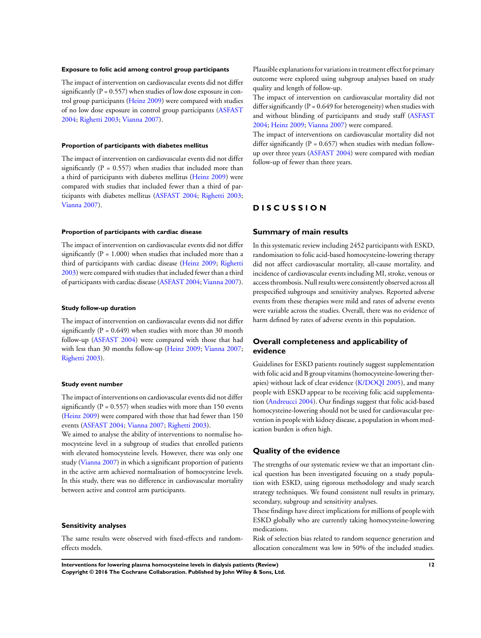#### **Exposure to folic acid among control group participants**

The impact of intervention on cardiovascular events did not differ significantly ( $P = 0.557$ ) when studies of low dose exposure in control group participants [\(Heinz 2009](#page-16-0)) were compared with studies of no low dose exposure in control group participants ([ASFAST](#page-16-0) [2004](#page-16-0); [Righetti 2003](#page-16-0); [Vianna 2007\)](#page-16-0).

## **Proportion of participants with diabetes mellitus**

The impact of intervention on cardiovascular events did not differ significantly ( $P = 0.557$ ) when studies that included more than a third of participants with diabetes mellitus ([Heinz 2009\)](#page-16-0) were compared with studies that included fewer than a third of participants with diabetes mellitus [\(ASFAST 2004](#page-16-0); [Righetti 2003;](#page-16-0) [Vianna 2007](#page-16-0)).

#### **Proportion of participants with cardiac disease**

The impact of intervention on cardiovascular events did not differ significantly ( $P = 1.000$ ) when studies that included more than a third of participants with cardiac disease ([Heinz 2009;](#page-16-0) [Righetti](#page-16-0) [2003](#page-16-0)) were compared with studies that included fewer than a third of participants with cardiac disease (ASFAST 2004; Vianna 2007).

#### **Study follow-up duration**

The impact of intervention on cardiovascular events did not differ significantly ( $P = 0.649$ ) when studies with more than 30 month follow-up [\(ASFAST 2004\)](#page-16-0) were compared with those that had with less than 30 months follow-up ([Heinz 2009;](#page-16-0) [Vianna 2007;](#page-16-0) [Righetti 2003\)](#page-16-0).

#### **Study event number**

The impact of interventions on cardiovascular events did not differ significantly ( $P = 0.557$ ) when studies with more than 150 events [\(Heinz 2009](#page-16-0)) were compared with those that had fewer than 150 events ([ASFAST 2004](#page-16-0); [Vianna 2007](#page-16-0); [Righetti 2003](#page-16-0)).

We aimed to analyse the ability of interventions to normalise homocysteine level in a subgroup of studies that enrolled patients with elevated homocysteine levels. However, there was only one study ([Vianna 2007\)](#page-16-0) in which a significant proportion of patients in the active arm achieved normalisation of homocysteine levels. In this study, there was no difference in cardiovascular mortality between active and control arm participants.

#### **Sensitivity analyses**

The same results were observed with fixed-effects and randomeffects models.

Plausible explanations for variations in treatment effect for primary outcome were explored using subgroup analyses based on study quality and length of follow-up.

The impact of intervention on cardiovascular mortality did not differ significantly ( $P = 0.649$  for heterogeneity) when studies with and without blinding of participants and study staff ([ASFAST](#page-16-0) [2004](#page-16-0); [Heinz 2009](#page-16-0); [Vianna 2007\)](#page-16-0) were compared.

The impact of interventions on cardiovascular mortality did not differ significantly ( $P = 0.657$ ) when studies with median followup over three years ([ASFAST 2004](#page-16-0)) were compared with median follow-up of fewer than three years.

## **D I S C U S S I O N**

### **Summary of main results**

In this systematic review including 2452 participants with ESKD, randomisation to folic acid-based homocysteine-lowering therapy did not affect cardiovascular mortality, all-cause mortality, and incidence of cardiovascular events including MI, stroke, venous or access thrombosis. Null results were consistently observed across all prespecified subgroups and sensitivity analyses. Reported adverse events from these therapies were mild and rates of adverse events were variable across the studies. Overall, there was no evidence of harm defined by rates of adverse events in this population.

## **Overall completeness and applicability of evidence**

Guidelines for ESKD patients routinely suggest supplementation with folic acid and B group vitamins (homocysteine-lowering therapies) without lack of clear evidence ([K/DOQI 2005](#page-16-0)), and many people with ESKD appear to be receiving folic acid supplementation [\(Andreucci 2004\)](#page-16-0). Our findings suggest that folic acid-based homocysteine-lowering should not be used for cardiovascular prevention in people with kidney disease, a population in whom medication burden is often high.

## **Quality of the evidence**

The strengths of our systematic review we that an important clinical question has been investigated focusing on a study population with ESKD, using rigorous methodology and study search strategy techniques. We found consistent null results in primary, secondary, subgroup and sensitivity analyses.

These findings have direct implications for millions of people with ESKD globally who are currently taking homocysteine-lowering medications.

Risk of selection bias related to random sequence generation and allocation concealment was low in 50% of the included studies.

**Interventions for lowering plasma homocysteine levels in dialysis patients (Review) 12 Copyright © 2016 The Cochrane Collaboration. Published by John Wiley & Sons, Ltd.**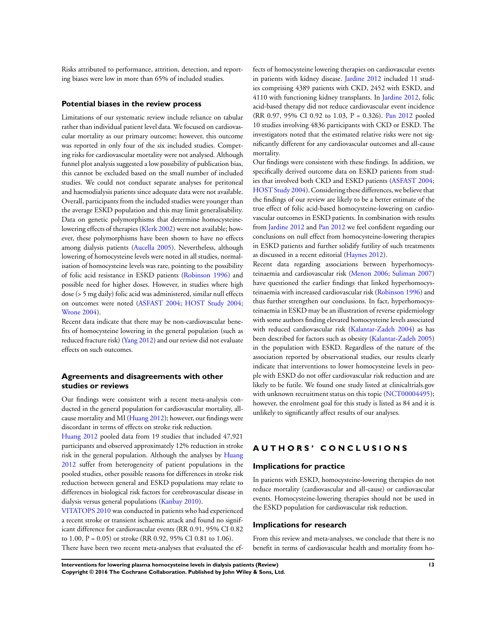Risks attributed to performance, attrition, detection, and reporting biases were low in more than 65% of included studies.

### **Potential biases in the review process**

Limitations of our systematic review include reliance on tabular rather than individual patient level data. We focused on cardiovascular mortality as our primary outcome; however, this outcome was reported in only four of the six included studies. Competing risks for cardiovascular mortality were not analysed. Although funnel plot analysis suggested a low possibility of publication bias, this cannot be excluded based on the small number of included studies. We could not conduct separate analyses for peritoneal and haemodialysis patients since adequate data were not available. Overall, participants from the included studies were younger than the average ESKD population and this may limit generalisability. Data on genetic polymorphisms that determine homocysteinelowering effects of therapies [\(Klerk 2002](#page-16-0)) were not available; however, these polymorphisms have been shown to have no effects among dialysis patients ([Aucella 2005\)](#page-16-0). Nevertheless, although lowering of homocysteine levels were noted in all studies, normalisation of homocysteine levels was rare, pointing to the possibility of folic acid resistance in ESKD patients [\(Robinson 1996](#page-16-0)) and possible need for higher doses. However, in studies where high dose (> 5 mg daily) folic acid was administered, similar null effects on outcomes were noted [\(ASFAST 2004](#page-16-0); [HOST Study 2004;](#page-16-0) [Wrone 2004](#page-16-0)).

Recent data indicate that there may be non-cardiovascular benefits of homocysteine lowering in the general population (such as reduced fracture risk) [\(Yang 2012](#page-16-0)) and our review did not evaluate effects on such outcomes.

## **Agreements and disagreements with other studies or reviews**

Our findings were consistent with a recent meta-analysis conducted in the general population for cardiovascular mortality, allcause mortality and MI ([Huang 2012\)](#page-16-0); however, our findings were discordant in terms of effects on stroke risk reduction.

[Huang 2012](#page-16-0) pooled data from 19 studies that included 47,921 participants and observed approximately 12% reduction in stroke risk in the general population. Although the analyses by [Huang](#page-16-0) [2012](#page-16-0) suffer from heterogeneity of patient populations in the pooled studies, other possible reasons for differences in stroke risk reduction between general and ESKD populations may relate to differences in biological risk factors for cerebrovascular disease in dialysis versus general populations [\(Kanbay 2010](#page-16-0)).

[VITATOPS 2010](#page-16-0) was conducted in patients who had experienced a recent stroke or transient ischaemic attack and found no significant difference for cardiovascular events (RR 0.91, 95% CI 0.82 to 1.00,  $P = 0.05$ ) or stroke (RR 0.92, 95% CI 0.81 to 1.06). There have been two recent meta-analyses that evaluated the ef-

fects of homocysteine lowering therapies on cardiovascular events in patients with kidney disease. [Jardine 2012](#page-16-0) included 11 studies comprising 4389 patients with CKD, 2452 with ESKD, and 4110 with functioning kidney transplants. In [Jardine 2012](#page-16-0), folic acid-based therapy did not reduce cardiovascular event incidence (RR 0.97, 95% CI 0.92 to 1.03, P = 0.326). [Pan 2012](#page-16-0) pooled 10 studies involving 4836 participants with CKD or ESKD. The investigators noted that the estimated relative risks were not significantly different for any cardiovascular outcomes and all-cause mortality.

Our findings were consistent with these findings. In addition, we specifically derived outcome data on ESKD patients from studies that involved both CKD and ESKD patients [\(ASFAST 2004;](#page-16-0) [HOST Study 2004\)](#page-16-0). Considering these differences, we believe that the findings of our review are likely to be a better estimate of the true effect of folic acid-based homocysteine-lowering on cardiovascular outcomes in ESKD patients. In combination with results from [Jardine 2012](#page-16-0) and [Pan 2012](#page-16-0) we feel confident regarding our conclusions on null effect from homocysteine-lowering therapies in ESKD patients and further solidify futility of such treatments as discussed in a recent editorial ([Haynes 2012\)](#page-16-0).

Recent data regarding associations between hyperhomocysteinaemia and cardiovascular risk ([Menon 2006;](#page-16-0) [Suliman 2007](#page-16-0)) have questioned the earlier findings that linked hyperhomocysteinaemia with increased cardiovascular risk [\(Robinson 1996\)](#page-16-0) and thus further strengthen our conclusions. In fact, hyperhomocysteinaemia in ESKD may be an illustration of reverse epidemiology with some authors finding elevated homocysteine levels associated with reduced cardiovascular risk [\(Kalantar-Zadeh 2004\)](#page-16-0) as has been described for factors such as obesity [\(Kalantar-Zadeh 2005](#page-16-0)) in the population with ESKD. Regardless of the nature of the association reported by observational studies, our results clearly indicate that interventions to lower homocysteine levels in people with ESKD do not offer cardiovascular risk reduction and are likely to be futile. We found one study listed at clinicaltrials.gov with unknown recruitment status on this topic ([NCT00004495](#page-16-0)); however, the enrolment goal for this study is listed as 84 and it is unlikely to significantly affect results of our analyses.

## **A U T H O R S ' C O N C L U S I O N S**

## **Implications for practice**

In patients with ESKD, homocysteine-lowering therapies do not reduce mortality (cardiovascular and all-cause) or cardiovascular events. Homocysteine-lowering therapies should not be used in the ESKD population for cardiovascular risk reduction.

## **Implications for research**

From this review and meta-analyses, we conclude that there is no benefit in terms of cardiovascular health and mortality from ho-

**Interventions for lowering plasma homocysteine levels in dialysis patients (Review) 13 Copyright © 2016 The Cochrane Collaboration. Published by John Wiley & Sons, Ltd.**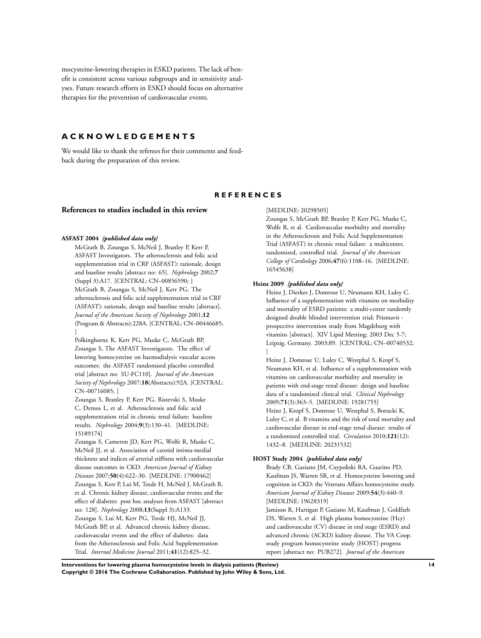<span id="page-16-0"></span>mocysteine-lowering therapies in ESKD patients. The lack of benefit is consistent across various subgroups and in sensitivity analyses. Future research efforts in ESKD should focus on alternative therapies for the prevention of cardiovascular events.

## **A C K N O W L E D G E M E N T S**

We would like to thank the referees for their comments and feedback during the preparation of this review.

#### **R E F E R E N C E S**

## **References to studies included in this review**

#### **ASFAST 2004** *{published data only}*

McGrath B, Zoungas S, McNeil J, Branley P, Kerr P, ASFAST Investigators. The atherosclerosis and folic acid supplementation trial in CRF (ASFAST): rationale, design and baseline results [abstract no: 65]. *Nephrology* 2002;**7** (Suppl 3):A17. [CENTRAL: CN–00856590; ] McGrath B, Zoungas S, McNeil J, Kerr PG. The atherosclerosis and folic acid supplementation trial in CRF (ASFAST): rationale, design and baseline results [abstract]. *Journal of the American Society of Nephrology* 2001;**12** (Program & Abstracts):228A. [CENTRAL: CN–00446685; ]

Polkinghorne K, Kerr PG, Muske C, McGrath BP, Zoungas S, The ASFAST Investigators. The effect of lowering homocysteine on haemodialysis vascular access outcomes: the ASFAST randomised placebo controlled trial [abstract no: SU-FC110]. *Journal of the American Society of Nephrology* 2007;**18**(Abstracts):92A. [CENTRAL: CN–00716085; ]

Zoungas S, Branley P, Kerr PG, Ristevski S, Muske C, Demos L, et al. Atherosclerosis and folic acid supplementation trial in chronic renal failure: baseline results. *Nephrology* 2004;**9**(3):130–41. [MEDLINE: 15189174]

Zoungas S, Cameron JD, Kerr PG, Wolfe R, Muske C, McNeil JJ, et al. Association of carotid intima-medial thickness and indices of arterial stiffness with cardiovascular disease outcomes in CKD. *American Journal of Kidney Diseases* 2007;**50**(4):622–30. [MEDLINE: 17900462] Zoungas S, Kerr P, Lui M, Teede H, McNeil J, McGrath B, et al. Chronic kidney disease, cardiovascular events and the effect of diabetes: post hoc analyses from ASFAST [abstract no: 128]. *Nephrology* 2008;**13**(Suppl 3):A133. Zoungas S, Lui M, Kerr PG, Teede HJ, McNeil JJ, McGrath BP, et al. Advanced chronic kidney disease, cardiovascular events and the effect of diabetes: data from the Atherosclerosis and Folic Acid Supplementation Trial. *Internal Medicine Journal* 2011;**41**(12):825–32.

#### [MEDLINE: 20298505]

Zoungas S, McGrath BP, Branley P, Kerr PG, Muske C, Wolfe R, et al. Cardiovascular morbidity and mortality in the Atherosclerosis and Folic Acid Supplementation Trial (ASFAST) in chronic renal failure: a multicenter, randomized, controlled trial. *Journal of the American College of Cardiology* 2006;**47**(6):1108–16. [MEDLINE: 16545638]

#### **Heinz 2009** *{published data only}*

Heinz J, Dierkes J, Domrose U, Neumann KH, Luley C. Influence of a supplementation with vitamins on morbidity and mortality of ESRD patients: a multi-center randomly designed double blinded intervention trial; Prismavit prospective intervention study from Magdeburg with vitamins [abstract]. XIV Lipid Meeting; 2003 Dec 5-7; Leipzig, Germany. 2003:89. [CENTRAL: CN–00740532; ]

Heinz J, Domrose U, Luley C, Westphal S, Kropf S, Neumann KH, et al. Influence of a supplementation with vitamins on cardiovascular morbidity and mortality in patients with end-stage renal disease: design and baseline data of a randomized clinical trial. *Clinical Nephrology* 2009;**71**(3):363–5. [MEDLINE: 19281755] Heinz J, Kropf S, Domrose U, Westphal S, Borucki K, Luley C, et al. B vitamins and the risk of total mortality and cardiovascular disease in end-stage renal disease: results of a randomized controlled trial. *Circulation* 2010;**121**(12): 1432–8. [MEDLINE: 20231532]

### **HOST Study 2004** *{published data only}*

Brady CB, Gaziano JM, Cxypoliski RA, Guarino PD, Kaufman JS, Warren SR, et al. Homocysteine lowering and cognition in CKD: the Veterans Affairs homocysteine study. *American Journal of Kidney Diseases* 2009;**54**(3):440–9. [MEDLINE: 19628319]

Jamison R, Hartigan P, Gaziano M, Kaufman J, Goldfarb DS, Warren S, et al. High plasma homocysteine (Hcy) and cardiovascular (CV) disease in end stage (ESRD) and advanced chronic (ACKD) kidney disease. The VA Coop. study program homocysteine study (HOST) progress report [abstract no: PUB272]. *Journal of the American*

**Interventions for lowering plasma homocysteine levels in dialysis patients (Review) 14 Copyright © 2016 The Cochrane Collaboration. Published by John Wiley & Sons, Ltd.**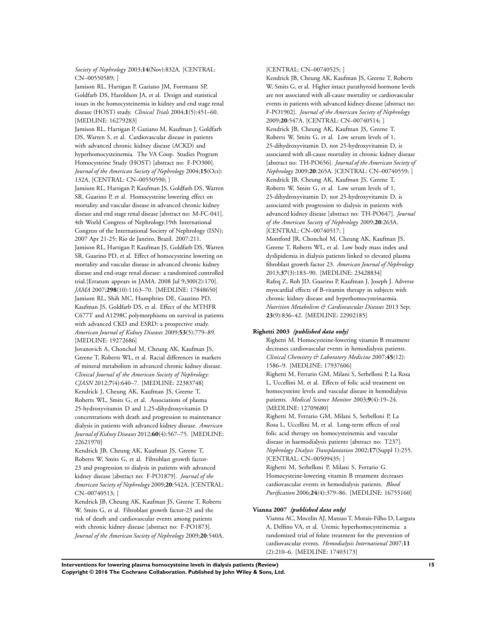*Society of Nephrology* 2003;**14**(Nov):832A. [CENTRAL: CN–00550589; ]

Jamison RL, Hartigan P, Gaziano JM, Fortmann SP, Goldfarb DS, Haroldson JA, et al. Design and statistical issues in the homocysteinemia in kidney and end stage renal disease (HOST) study. *Clinical Trials* 2004;**1**(5):451–60. [MEDLINE: 16279283]

Jamison RL, Hartigan P, Gaziano M, Kaufman J, Goldfarb DS, Warren S, et al. Cardiovascular disease in patients with advanced chronic kidney disease (ACKD) and hyperhomocysteinemia. The VA Coop. Studies Program Homocysteine Study (HOST) [abstract no: F-PO300]. *Journal of the American Society of Nephrology* 2004;**15**(Oct): 132A. [CENTRAL: CN–00550590; ]

Jamison RL, Hartigan P, Kaufman JS, Goldfarb DS, Warren SR, Guarino P, et al. Homocysteine lowering effect on mortality and vascular disease in advanced chronic kidney disease and end stage renal disease [abstract no: M-FC-041]. 4th World Congress of Nephrology.19th International Congress of the International Society of Nephrology (ISN); 2007 Apr 21-25; Rio de Janeiro, Brazil. 2007:211. Jamison RL, Hartigan P, Kaufman JS, Goldfarb DS, Warren SR, Guarino PD, et al. Effect of homocysteine lowering on mortality and vascular disease in advanced chronic kidney disease and end-stage renal disease: a randomized controlled trial.[Erratum appears in JAMA. 2008 Jul 9;300(2):170]. *JAMA* 2007;**298**(10):1163–70. [MEDLINE: 17848650] Jamison RL, Shih MC, Humphries DE, Guarino PD, Kaufman JS, Goldfarb DS, et al. Effect of the MTHFR C677T and A1298C polymorphisms on survival in patients with advanced CKD and ESRD: a prospective study. *American Journal of Kidney Diseases* 2009;**53**(5):779–89. [MEDLINE: 19272686]

Jovanovich A, Chonchol M, Cheung AK, Kaufman JS, Greene T, Roberts WL, et al. Racial differences in markers of mineral metabolism in advanced chronic kidney disease. *Clinical Journal of the American Society of Nephrology: CJASN* 2012;**7**(4):640–7. [MEDLINE: 22383748] Kendrick J, Cheung AK, Kaufman JS, Greene T, Roberts WL, Smits G, et al. Associations of plasma 25-hydroxyvitamin D and 1,25-dihydroxyvitamin D concentrations with death and progression to maintenance dialysis in patients with advanced kidney disease. *American Journal of Kidney Diseases* 2012;**60**(4):567–75. [MEDLINE: 22621970]

Kendrick JB, Cheung AK, Kaufman JS, Greene T, Roberts W, Smits G, et al. Fibroblast growth factor-23 and progression to dialysis in patients with advanced kidney disease [abstract no: F-PO1879]. *Journal of the American Society of Nephrology* 2009;**20**:542A. [CENTRAL: CN–00740513; ]

Kendrick JB, Cheung AK, Kaufman JS, Greene T, Roberts W, Smits G, et al. Fibroblast growth factor-23 and the risk of death and cardiovascular events among patients with chronic kidney disease [abstract no: F-PO1873]. *Journal of the American Society of Nephrology* 2009;**20**:540A. [CENTRAL: CN-00740525; ]

Kendrick JB, Cheung AK, Kaufman JS, Greene T, Roberts W, Smits G, et al. Higher intact parathyroid hormone levels are not associated with all-cause mortality or cardiovascular events in patients with advanced kidney disease [abstract no: F-PO1902]. *Journal of the American Society of Nephrology* 2009;**20**:547A. [CENTRAL: CN–00740514; ] Kendrick JB, Cheung AK, Kaufman JS, Greene T, Roberts W, Smits G, et al. Low serum levels of 1, 25-dihydroxyvitamin D, not 25-hydroxyvitamin D, is associated with all-cause mortality in chronic kidney disease [abstract no: TH-PO656]. *Journal of the American Society of Nephrology* 2009;**20**:265A. [CENTRAL: CN–00740559; ] Kendrick JB, Cheung AK, Kaufman JS, Greene T, Roberts W, Smits G, et al. Low serum levels of 1, 25-dihydroxyvitamin D, not 25-hydroxyvitamin D, is associated with progression to dialysis in patients with advanced kidney disease [abstract no: TH-PO647]. *Journal of the American Society of Nephrology* 2009;**20**:263A. [CENTRAL: CN–00740517; ]

Montford JR, Chonchol M, Cheung AK, Kaufman JS, Greene T, Roberts WL, et al. Low body mass index and dyslipidemia in dialysis patients linked to elevated plasma fibroblast growth factor 23. *American Journal of Nephrology* 2013;**37**(3):183–90. [MEDLINE: 23428834] Rafeq Z, Roh JD, Guarino P, Kaufman J, Joseph J. Adverse myocardial effects of B-vitamin therapy in subjects with chronic kidney disease and hyperhomocysteinaemia. *Nutrition Metabolism & Cardiovascular Diseases* 2013 Sep; **23**(9):836–42. [MEDLINE: 22902185]

#### **Righetti 2003** *{published data only}*

Righetti M. Homocysteine-lowering vitamin B treatment decreases cardiovascular events in hemodialysis patients. *Clinical Chemistry & Laboratory Medicine* 2007;**45**(12): 1586–9. [MEDLINE: 17937606] Righetti M, Ferrario GM, Milani S, Serbelloni P, La Rosa L, Uccellini M, et al. Effects of folic acid treatment on homocysteine levels and vascular disease in hemodialysis patients. *Medical Science Monitor* 2003;**9**(4):19–24. [MEDLINE: 12709680]

Righetti M, Ferrario GM, Milani S, Serbelloni P, La Rosa L, Uccellini M, et al. Long-term effects of oral folic acid therapy on homocysteinemia and vascular disease in haemodialysis patients [abstract no: T237]. *Nephrology Dialysis Transplantation* 2002;**17**(Suppl 1):255. [CENTRAL: CN–00509435; ]

Righetti M, Serbelloni P, Milani S, Ferrario G. Homocysteine-lowering vitamin B treatment decreases cardiovascular events in hemodialysis patients. *Blood Purification* 2006;**24**(4):379–86. [MEDLINE: 16755160]

#### **Vianna 2007** *{published data only}*

Vianna AC, Mocelin AJ, Matsuo T, Morais-Filho D, Largura A, Delfino VA, et al. Uremic hyperhomocysteinemia: a randomized trial of folate treatment for the prevention of cardiovascular events. *Hemodialysis International* 2007;**11** (2):210–6. [MEDLINE: 17403173]

**Interventions for lowering plasma homocysteine levels in dialysis patients (Review) 15 Copyright © 2016 The Cochrane Collaboration. Published by John Wiley & Sons, Ltd.**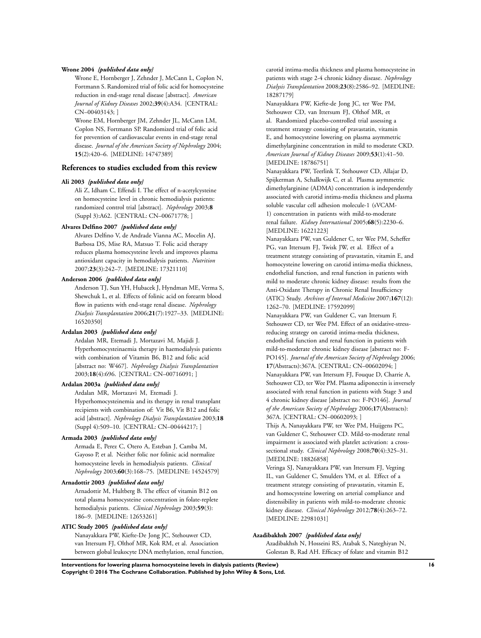### **Wrone 2004** *{published data only}*

Wrone E, Hornberger J, Zehnder J, McCann L, Coplon N, Fortmann S. Randomized trial of folic acid for homocysteine reduction in end-stage renal disease [abstract]. *American Journal of Kidney Diseases* 2002;**39**(4):A34. [CENTRAL: CN–00403143; ]

Wrone EM, Hornberger JM, Zehnder JL, McCann LM, Coplon NS, Fortmann SP. Randomized trial of folic acid for prevention of cardiovascular events in end-stage renal disease. *Journal of the American Society of Nephrology* 2004; **15**(2):420–6. [MEDLINE: 14747389]

#### **References to studies excluded from this review**

#### **Ali 2003** *{published data only}*

Ali Z, Idham C, Effendi I. The effect of n-acetylcysteine on homocysteine level in chronic hemodialysis patients: randomized control trial [abstract]. *Nephrology* 2003;**8** (Suppl 3):A62. [CENTRAL: CN–00671778; ]

#### **Alvares Delfino 2007** *{published data only}*

Alvares Delfino V, de Andrade Vianna AC, Mocelin AJ, Barbosa DS, Mise RA, Matsuo T. Folic acid therapy reduces plasma homocysteine levels and improves plasma antioxidant capacity in hemodialysis patients. *Nutrition* 2007;**23**(3):242–7. [MEDLINE: 17321110]

#### **Anderson 2006** *{published data only}*

Anderson TJ, Sun YH, Hubacek J, Hyndman ME, Verma S, Shewchuk L, et al. Effects of folinic acid on forearm blood flow in patients with end-stage renal disease. *Nephrology Dialysis Transplantation* 2006;**21**(7):1927–33. [MEDLINE: 16520350]

#### **Ardalan 2003** *{published data only}*

Ardalan MR, Etemadi J, Mortazavi M, Majidi J. Hyperhomocysteinaemia therapy in haemodialysis patients with combination of Vitamin B6, B12 and folic acid [abstract no: W467]. *Nephrology Dialysis Transplantation* 2003;**18**(4):696. [CENTRAL: CN–00716091; ]

#### **Ardalan 2003a** *{published data only}*

Ardalan MR, Mortazavi M, Etemadi J. Hyperhomocysteinemia and its therapy in renal transplant recipients with combination of: Vit B6, Vit B12 and folic acid [abstract]. *Nephrology Dialysis Transplantation* 2003;**18** (Suppl 4):509–10. [CENTRAL: CN–00444217; ]

#### **Armada 2003** *{published data only}*

Armada E, Perez C, Otero A, Esteban J, Camba M, Gayoso P, et al. Neither folic nor folinic acid normalize homocysteine levels in hemodialysis patients. *Clinical Nephrology* 2003;**60**(3):168–75. [MEDLINE: 14524579]

#### **Arnadottir 2003** *{published data only}*

Arnadottir M, Hultberg B. The effect of vitamin B12 on total plasma homocysteine concentration in folate-replete hemodialysis patients. *Clinical Nephrology* 2003;**59**(3): 186–9. [MEDLINE: 12653261]

#### **ATIC Study 2005** *{published data only}*

Nanayakkara PW, Kiefte-De Jong JC, Stehouwer CD, van Ittersum FJ, Olthof MR, Kok RM, et al. Association between global leukocyte DNA methylation, renal function, carotid intima-media thickness and plasma homocysteine in patients with stage 2-4 chronic kidney disease. *Nephrology Dialysis Transplantation* 2008;**23**(8):2586–92. [MEDLINE: 18287179]

Nanayakkara PW, Kiefte-de Jong JC, ter Wee PM, Stehouwer CD, van Ittersum FJ, Olthof MR, et al. Randomized placebo-controlled trial assessing a treatment strategy consisting of pravastatin, vitamin E, and homocysteine lowering on plasma asymmetric dimethylarginine concentration in mild to moderate CKD. *American Journal of Kidney Diseases* 2009;**53**(1):41–50. [MEDLINE: 18786751]

Nanayakkara PW, Teerlink T, Stehouwer CD, Allajar D, Spijkerman A, Schalkwijk C, et al. Plasma asymmetric dimethylarginine (ADMA) concentration is independently associated with carotid intima-media thickness and plasma soluble vascular cell adhesion molecule-1 (sVCAM-1) concentration in patients with mild-to-moderate renal failure. *Kidney International* 2005;**68**(5):2230–6. [MEDLINE: 16221223]

Nanayakkara PW, van Guldener C, ter Wee PM, Scheffer PG, van Ittersum FJ, Twisk JW, et al. Effect of a treatment strategy consisting of pravastatin, vitamin E, and homocysteine lowering on carotid intima-media thickness, endothelial function, and renal function in patients with mild to moderate chronic kidney disease: results from the Anti-Oxidant Therapy in Chronic Renal Insufficiency (ATIC) Study. *Archives of Internal Medicine* 2007;**167**(12): 1262–70. [MEDLINE: 17592099]

Nanayakkara PW, van Guldener C, van Ittersum F, Stehouwer CD, ter Wee PM. Effect of an oxidative-stressreducing strategy on carotid intima-media thickness, endothelial function and renal function in patients with mild-to-moderate chronic kidney disease [abstract no: F-PO145]. *Journal of the American Society of Nephrology* 2006; **17**(Abstracts):367A. [CENTRAL: CN–00602094; ] Nanayakkara PW, van Ittersum FJ, Fouque D, Charrie A, Stehouwer CD, ter Wee PM. Plasma adiponectin is inversely associated with renal function in patients with Stage 3 and

4 chronic kidney disease [abstract no: F-PO146]. *Journal of the American Society of Nephrology* 2006;**17**(Abstracts): 367A. [CENTRAL: CN–00602093; ]

Thijs A, Nanayakkara PW, ter Wee PM, Huijgens PC, van Guldener C, Stehouwer CD. Mild-to-moderate renal impairment is associated with platelet activation: a crosssectional study. *Clinical Nephrology* 2008;**70**(4):325–31. [MEDLINE: 18826858]

Veringa SJ, Nanayakkara PW, van Ittersum FJ, Vegting IL, van Guldener C, Smulders YM, et al. Effect of a treatment strategy consisting of pravastatin, vitamin E, and homocysteine lowering on arterial compliance and distensibility in patients with mild-to-moderate chronic kidney disease. *Clinical Nephrology* 2012;**78**(4):263–72. [MEDLINE: 22981031]

#### **Azadibakhsh 2007** *{published data only}*

Azadibakhsh N, Hosseini RS, Atabak S, Nateghiyan N, Golestan B, Rad AH. Efficacy of folate and vitamin B12

**Interventions for lowering plasma homocysteine levels in dialysis patients (Review) 16 Copyright © 2016 The Cochrane Collaboration. Published by John Wiley & Sons, Ltd.**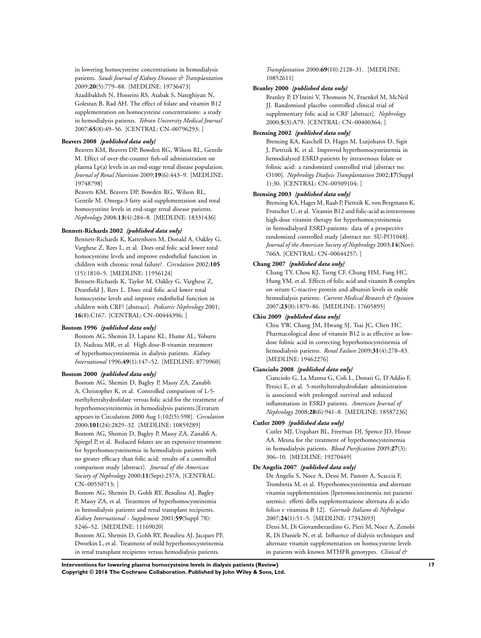in lowering homocysteine concentrations in hemodialysis patients. *Saudi Journal of Kidney Diseases & Transplantation* 2009;**20**(5):779–88. [MEDLINE: 19736473] Azadibakhsh N, Hosseini RS, Atabak S, Nateghiyan N, Golestan B, Rad AH. The effect of folate and vitamin B12 supplementation on homocysteine concentrations: a study in hemodialysis patients. *Tehran University Medical Journal* 2007;**65**(8):49–56. [CENTRAL: CN–00796293; ]

### **Beavers 2008** *{published data only}*

Beavers KM, Beavers DP, Bowden RG, Wilson RL, Gentile M. Effect of over-the-counter fish-oil administration on plasma Lp(a) levels in an end-stage renal disease population. *Journal of Renal Nutrition* 2009;**19**(6):443–9. [MEDLINE: 19748798]

Beavers KM, Beavers DP, Bowden RG, Wilson RL, Gentile M. Omega-3 fatty acid supplementation and total homocysteine levels in end-stage renal disease patients. *Nephrology* 2008;**13**(4):284–8. [MEDLINE: 18331436]

#### **Bennett-Richards 2002** *{published data only}*

Bennett-Richards K, Kattenhorn M, Donald A, Oakley G, Varghese Z, Rees L, et al. Does oral folic acid lower total homocysteine levels and improve endothelial function in children with chronic renal failure?. *Circulation* 2002;**105** (15):1810–5. [MEDLINE: 11956124] Bennett-Richards K, Taylor M, Oakley G, Varghese Z, Deanfield J, Rees L. Does oral folic acid lower total homocystine levels and improve endothelial function in children with CRF? [abstract]. *Pediatric Nephrology* 2001; **16**(8):C167. [CENTRAL: CN–00444396; ]

#### **Bostom 1996** *{published data only}*

Bostom AG, Shemin D, Lapane KL, Hume AL, Yoburn D, Nadeau MR, et al. High dose-B-vitamin treatment of hyperhomocysteinemia in dialysis patients. *Kidney International* 1996;**49**(1):147–52. [MEDLINE: 8770960]

#### **Bostom 2000** *{published data only}*

Bostom AG, Shemin D, Bagley P, Massy ZA, Zanabli A, Christopher K, et al. Controlled comparison of L-5 methyltetrahydrofolate versus folic acid for the treatment of hyperhomocysteinemia in hemodialysis patients.[Erratum appears in Circulation 2000 Aug 1;102(5):598]. *Circulation* 2000;**101**(24):2829–32. [MEDLINE: 10859289] Bostom AG, Shemin D, Bagley P, Massy ZA, Zanabli A, Spiegel P, et al. Reduced folates are an expensive treatment for hyperhomocysteinemia in hemodialysis patients with no greater efficacy than folic acid: results of a controlled comparison study [abstract]. *Journal of the American Society of Nephrology* 2000;**11**(Sept):257A. [CENTRAL: CN–00550713; ]

Bostom AG, Shemin D, Gohh RY, Beaulieu AJ, Bagley P, Massy ZA, et al. Treatment of hyperhomocysteinemia in hemodialysis patients and renal transplant recipients. *Kidney International - Supplement* 2001;**59**(Suppl 78): S246–52. [MEDLINE: 11169020]

Bostom AG, Shemin D, Gohh RY, Beaulieu AJ, Jacques PF, Dworkin L, et al. Treatment of mild hyperhomocysteinemia in renal transplant recipients versus hemodialysis patients.

*Transplantation* 2000;**69**(10):2128–31. [MEDLINE: 10852611]

#### **Branley 2000** *{published data only}*

Branley P, D'Intini V, Thomson N, Fraenkel M, McNeil JJ. Randomised placebo controlled clinical trial of supplementary folic acid in CRF [abstract]. *Nephrology* 2000;**5**(3):A79. [CENTRAL: CN–00400364; ]

## **Brensing 2002** *{published data only}*

Brensing KA, Kaschell D, Hages M, Lutjohann D, Sigit J, Pietrizik K, et al. Improved hyperhomocysteinemia in hemodialysed ESRD-patients by intravenous folate or folinic acid: a randomized controlled trial [abstract no: O100]. *Nephrology Dialysis Transplantation* 2002;**17**(Suppl 1):30. [CENTRAL: CN–00509104; ]

### **Brensing 2003** *{published data only}*

Brensing KA, Hages M, Raab P, Pietrzik K, von Bergmann K, Frotscher U, et al. Vitamin B12 and folic-acid as intravenous high-dose vitamin therapy for hyperhomocysteinemia in hemodialysed ESRD-patients: data of a prospective randomized controlled study [abstract no: SU-PO1048]. *Journal of the American Society of Nephrology* 2003;**14**(Nov): 766A. [CENTRAL: CN–00644257; ]

### **Chang 2007** *{published data only}*

Chang TY, Chou KJ, Tseng CF, Chung HM, Fang HC, Hung YM, et al. Effects of folic acid and vitamin B complex on serum C-reactive protein and albumin levels in stable hemodialysis patients. *Current Medical Research & Opinion* 2007;**23**(8):1879–86. [MEDLINE: 17605895]

#### **Chiu 2009** *{published data only}*

Chiu YW, Chang JM, Hwang SJ, Tsai JC, Chen HC. Pharmacological dose of vitamin B12 is as effective as lowdose folinic acid in correcting hyperhomocysteinemia of hemodialysis patients. *Renal Failure* 2009;**31**(4):278–83. [MEDLINE: 19462276]

#### **Cianciolo 2008** *{published data only}*

Cianciolo G, La Manna G, Coli L, Donati G, D'Addio F, Persici E, et al. 5-methyltetrahydrofolate administration is associated with prolonged survival and reduced inflammation in ESRD patients. *American Journal of Nephrology* 2008;**28**(6):941–8. [MEDLINE: 18587236]

### **Cutler 2009** *{published data only}*

Cutler MJ, Urquhart BL, Freeman DJ, Spence JD, House AA. Mesna for the treatment of hyperhomocysteinemia in hemodialysis patients. *Blood Purification* 2009;**27**(3): 306–10. [MEDLINE: 19270449]

### **De Angelis 2007** *{published data only}*

De Angelis S, Noce A, Dessi M, Pastore A, Scaccia F, Trombetta M, et al. Hyperhomocysteinemia and alternate vitamin supplementation [Iperomocisteinemia nei pazienti uremici: effetti della supplementazione alternata di acido folico e vitamina B 12]. *Giornale Italiano di Nefrologia* 2007;**24**(1):51–5. [MEDLINE: 17342693] Dessi M, Di Giovamberardino G, Pieri M, Noce A, Zenobi R, Di Daniele N, et al. Influence of dialysis techniques and alternate vitamin supplementation on homocysteine levels in patients with known MTHFR genotypes. *Clinical &*

**Interventions for lowering plasma homocysteine levels in dialysis patients (Review) 17 Copyright © 2016 The Cochrane Collaboration. Published by John Wiley & Sons, Ltd.**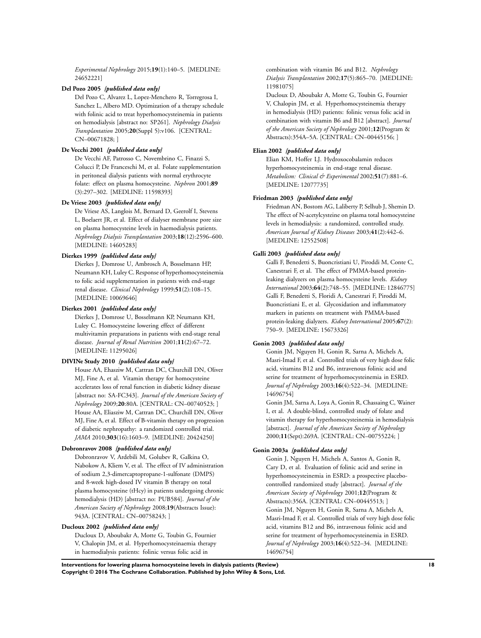*Experimental Nephrology* 2015;**19**(1):140–5. [MEDLINE: 24652221]

#### **Del Pozo 2005** *{published data only}*

Del Pozo C, Alvarez L, Lopez-Menchero R, Torregrosa I, Sanchez L, Albero MD. Optimization of a therapy schedule with folinic acid to treat hyperhomocysteinemia in patients on hemodialysis [abstract no: SP261]. *Nephrology Dialysis Transplantation* 2005;**20**(Suppl 5):v106. [CENTRAL: CN–00671828; ]

## **De Vecchi 2001** *{published data only}*

De Vecchi AF, Patrosso C, Novembrino C, Finazzi S, Colucci P, De Franceschi M, et al. Folate supplementation in peritoneal dialysis patients with normal erythrocyte folate: effect on plasma homocysteine. *Nephron* 2001;**89** (3):297–302. [MEDLINE: 11598393]

### **De Vriese 2003** *{published data only}*

De Vriese AS, Langlois M, Bernard D, Geerolf I, Stevens L, Boelaert JR, et al. Effect of dialyser membrane pore size on plasma homocysteine levels in haemodialysis patients. *Nephrology Dialysis Transplantation* 2003;**18**(12):2596–600. [MEDLINE: 14605283]

### **Dierkes 1999** *{published data only}*

Dierkes J, Domrose U, Ambrosch A, Bosselmann HP, Neumann KH, Luley C. Response of hyperhomocysteinemia to folic acid supplementation in patients with end-stage renal disease. *Clinical Nephrology* 1999;**51**(2):108–15. [MEDLINE: 10069646]

#### **Dierkes 2001** *{published data only}*

Dierkes J, Domrose U, Bosselmann KP, Neumann KH, Luley C. Homocysteine lowering effect of different multivitamin preparations in patients with end-stage renal disease. *Journal of Renal Nutrition* 2001;**11**(2):67–72. [MEDLINE: 11295026]

### **DIVINe Study 2010** *{published data only}*

House AA, Ehasziw M, Cattran DC, Churchill DN, Oliver MJ, Fine A, et al. Vitamin therapy for homocysteine accelerates loss of renal function in diabetic kidney disease [abstract no: SA-FC343]. *Journal of the American Society of Nephrology* 2009;**20**:80A. [CENTRAL: CN–00740523; ] House AA, Eliasziw M, Cattran DC, Churchill DN, Oliver MJ, Fine A, et al. Effect of B-vitamin therapy on progression of diabetic nephropathy: a randomized controlled trial. *JAMA* 2010;**303**(16):1603–9. [MEDLINE: 20424250]

### **Dobronravov 2008** *{published data only}*

Dobronravov V, Ardebili M, Golubev R, Galkina O, Nabokow A, Kliem V, et al. The effect of IV administration of sodium 2,3-dimercaptopropane-1-sulfonate (DMPS) and 8-week high-dosed IV vitamin B therapy on total plasma homocysteine (tHcy) in patients undergoing chronic hemodialysis (HD) [abstract no: PUB584]. *Journal of the American Society of Nephrology* 2008;**19**(Abstracts Issue): 943A. [CENTRAL: CN–00758243; ]

### **Ducloux 2002** *{published data only}*

Ducloux D, Aboubakr A, Motte G, Toubin G, Fournier V, Chalopin JM, et al. Hyperhomocysteinaemia therapy in haemodialysis patients: folinic versus folic acid in

combination with vitamin B6 and B12. *Nephrology Dialysis Transplantation* 2002;**17**(5):865–70. [MEDLINE: 11981075]

Ducloux D, Aboubakr A, Motte G, Toubin G, Fournier V, Chalopin JM, et al. Hyperhomocysteinemia therapy in hemodialysis (HD) patients: folinic versus folic acid in combination with vitamin B6 and B12 [abstract]. *Journal of the American Society of Nephrology* 2001;**12**(Program & Abstracts):354A–5A. [CENTRAL: CN–00445156; ]

#### **Elian 2002** *{published data only}*

Elian KM, Hoffer LJ. Hydroxocobalamin reduces hyperhomocysteinemia in end-stage renal disease. *Metabolism: Clinical & Experimental* 2002;**51**(7):881–6. [MEDLINE: 12077735]

#### **Friedman 2003** *{published data only}*

Friedman AN, Bostom AG, Laliberty P, Selhub J, Shemin D. The effect of N-acetylcysteine on plasma total homocysteine levels in hemodialysis: a randomized, controlled study. *American Journal of Kidney Diseases* 2003;**41**(2):442–6. [MEDLINE: 12552508]

### **Galli 2003** *{published data only}*

Galli F, Benedetti S, Buoncristiani U, Piroddi M, Conte C, Canestrari F, et al. The effect of PMMA-based proteinleaking dialyzers on plasma homocysteine levels. *Kidney International* 2003;**64**(2):748–55. [MEDLINE: 12846775] Galli F, Benedetti S, Floridi A, Canestrari F, Piroddi M, Buoncristiani E, et al. Glycoxidation and inflammatory markers in patients on treatment with PMMA-based protein-leaking dialyzers. *Kidney International* 2005;**67**(2): 750–9. [MEDLINE: 15673326]

#### **Gonin 2003** *{published data only}*

Gonin JM, Nguyen H, Gonin R, Sarna A, Michels A, Masri-Imad F, et al. Controlled trials of very high dose folic acid, vitamins B12 and B6, intravenous folinic acid and serine for treatment of hyperhomocysteinemia in ESRD. *Journal of Nephrology* 2003;**16**(4):522–34. [MEDLINE: 14696754]

Gonin JM, Sarna A, Loya A, Gonin R, Chassaing C, Wainer I, et al. A double-blind, controlled study of folate and vitamin therapy for hyperhomocysteinemia in hemodialysis [abstract]. *Journal of the American Society of Nephrology* 2000;**11**(Sept):269A. [CENTRAL: CN–00755224; ]

#### **Gonin 2003a** *{published data only}*

Gonin J, Nguyen H, Michels A, Santos A, Gonin R, Cary D, et al. Evaluation of folinic acid and serine in hyperhomocysteinemia in ESRD: a prospective placebocontrolled randomized study [abstract]. *Journal of the American Society of Nephrology* 2001;**12**(Program & Abstracts):356A. [CENTRAL: CN–00445513; ] Gonin JM, Nguyen H, Gonin R, Sarna A, Michels A, Masri-Imad F, et al. Controlled trials of very high dose folic acid, vitamins B12 and B6, intravenous folinic acid and serine for treatment of hyperhomocysteinemia in ESRD. *Journal of Nephrology* 2003;**16**(4):522–34. [MEDLINE: 14696754]

**Interventions for lowering plasma homocysteine levels in dialysis patients (Review) 18 Copyright © 2016 The Cochrane Collaboration. Published by John Wiley & Sons, Ltd.**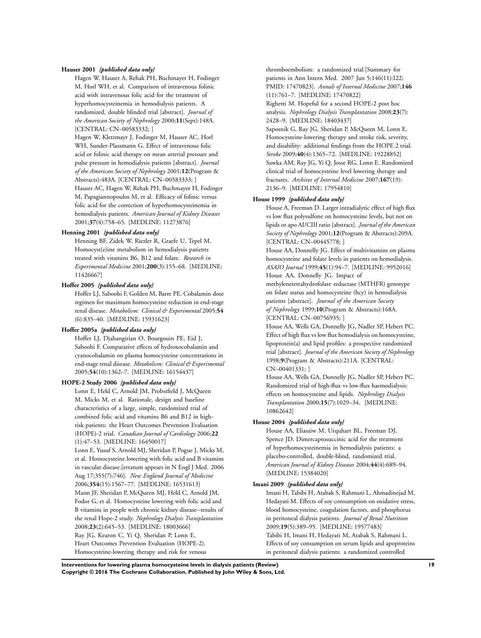#### **Hauser 2001** *{published data only}*

Hagen W, Hauser A, Rehak PH, Buchmayer H, Fodinger M, Horl WH, et al. Comparison of intravenous folinic acid with intravenous folic acid for the treatment of hyperhomocysteinemia in hemodialysis patients. A randomized, double blinded trial [abstract]. *Journal of the American Society of Nephrology* 2000;**11**(Sept):148A. [CENTRAL: CN–00583332; ]

Hagen W, Kletzmayr J, Fodinger M, Hauser AC, Horl WH, Sunder-Plassmann G. Effect of intravenous folic acid or folinic acid therapy on mean arterial pressure and pulse pressure in hemodialysis patients [abstract]. *Journal of the American Society of Nephrology* 2001;**12**(Program & Abstracts):483A. [CENTRAL: CN–00583333; ] Hauser AC, Hagen W, Rehak PH, Buchmayer H, Fodinger M, Papagiannopoulos M, et al. Efficacy of folinic versus

folic acid for the correction of hyperhomocysteinemia in hemodialysis patients. *American Journal of Kidney Diseases* 2001;**37**(4):758–65. [MEDLINE: 11273876]

## **Henning 2001** *{published data only}*

Henning BF, Zidek W, Riezler R, Graefe U, Tepel M. Homocyst(e)ine metabolism in hemodialysis patients treated with vitamins B6, B12 and folate. *Research in Experimental Medicine* 2001;**200**(3):155–68. [MEDLINE: 11426667]

## **Hoffer 2005** *{published data only}*

Hoffer LJ, Saboohi F, Golden M, Barre PE. Cobalamin dose regimen for maximum homocysteine reduction in end-stage renal disease. *Metabolism: Clinical & Experimental* 2005;**54** (6):835–40. [MEDLINE: 15931623]

#### **Hoffer 2005a** *{published data only}*

Hoffer LJ, Djahangirian O, Bourgouin PE, Eid J, Saboohi F. Comparative effects of hydroxocobalamin and cyanocobalamin on plasma homocysteine concentrations in end-stage renal disease. *Metabolism: Clinical & Experimental* 2005;**54**(10):1362–7. [MEDLINE: 16154437]

#### **HOPE-2 Study 2006** *{published data only}*

Lonn E, Held C, Arnold JM, Probstfield J, McQueen M, Micks M, et al. Rationale, design and baseline characteristics of a large, simple, randomized trial of combined folic acid and vitamins B6 and B12 in highrisk patients: the Heart Outcomes Prevention Evaluation (HOPE)-2 trial. *Canadian Journal of Cardiology* 2006;**22** (1):47–53. [MEDLINE: 16450017]

Lonn E, Yusuf S, Arnold MJ, Sheridan P, Pogue J, Micks M, et al. Homocysteine lowering with folic acid and B vitamins in vascular disease.[erratum appears in N Engl J Med. 2006 Aug 17;355(7):746]. *New England Journal of Medicine* 2006;**354**(15):1567–77. [MEDLINE: 16531613] Mann JF, Sheridan P, McQueen MJ, Held C, Arnold JM, Fodor G, et al. Homocysteine lowering with folic acid and B vitamins in people with chronic kidney disease--results of the renal Hope-2 study. *Nephrology Dialysis Transplantation* 2008;**23**(2):645–53. [MEDLINE: 18003666] Ray JG, Kearon C, Yi Q, Sheridan P, Lonn E, Heart Outcomes Prevention Evaluation (HOPE-2).

Homocysteine-lowering therapy and risk for venous

thromboembolism: a randomized trial.[Summary for patients in Ann Intern Med. 2007 Jun 5;146(11):I22; PMID: 17470823]. *Annals of Internal Medicine* 2007;**146** (11):761–7. [MEDLINE: 17470822]

Righetti M. Hopeful for a second HOPE-2 post hoc analysis. *Nephrology Dialysis Transplantation* 2008;**23**(7): 2428–9. [MEDLINE: 18403437]

Saposnik G, Ray JG, Sheridan P, McQueen M, Lonn E. Homocysteine-lowering therapy and stroke risk, severity, and disability: additional findings from the HOPE 2 trial. *Stroke* 2009;**40**(4):1365–72. [MEDLINE: 19228852] Sawka AM, Ray JG, Yi Q, Josse RG, Lonn E. Randomized clinical trial of homocysteine level lowering therapy and fractures. *Archives of Internal Medicine* 2007;**167**(19): 2136–9. [MEDLINE: 17954810]

#### **House 1999** *{published data only}*

House A, Freeman D. Larger intradialytic effect of high flux vs low flux polysulfone on homocysteine levels, but not on lipids or apo AI/CIII ratio [abstract]. *Journal of the American Society of Nephrology* 2001;**12**(Program & Abstracts):209A. [CENTRAL: CN–00445778; ]

House AA, Donnelly JG. Effect of multivitamins on plasma homocysteine and folate levels in patients on hemodialysis. *ASAIO Journal* 1999;**45**(1):94–7. [MEDLINE: 9952016] House AA, Donnelly JG. Impact of

methylenetetrahydrofolate reductase (MTHFR) genotype on folate status and homocysteine (hcy) in hemodialysis patients [abstract]. *Journal of the American Society of Nephrology* 1999;**10**(Program & Abstracts):168A. [CENTRAL: CN–00756935; ]

House AA, Wells GA, Donnelly JG, Nadler SP, Hebert PC. Effect of high flux vs low flux hemodialysis on homocysteine, lipoprotein(a) and lipid profiles: a prospective randomized trial [abstract]. *Journal of the American Society of Nephrology* 1998;**9**(Program & Abstracts):211A. [CENTRAL: CN–00401331; ]

House AA, Wells GA, Donnelly JG, Nadler SP, Hebert PC. Randomized trial of high-flux vs low-flux haemodialysis: effects on homocysteine and lipids. *Nephrology Dialysis Transplantation* 2000;**15**(7):1029–34. [MEDLINE: 10862642]

### **House 2004** *{published data only}*

House AA, Eliasziw M, Urquhart BL, Freeman DJ, Spence JD. Dimercaptosuccinic acid for the treatment of hyperhomocysteinemia in hemodialysis patients: a placebo-controlled, double-blind, randomized trial. *American Journal of Kidney Diseases* 2004;**44**(4):689–94. [MEDLINE: 15384020]

### **Imani 2009** *{published data only}*

Imani H, Tabibi H, Atabak S, Rahmani L, Ahmadinejad M, Hedayati M. Effects of soy consumption on oxidative stress, blood homocysteine, coagulation factors, and phosphorus in peritoneal dialysis patients. *Journal of Renal Nutrition* 2009;**19**(5):389–95. [MEDLINE: 19577483] Tabibi H, Imani H, Hedayati M, Atabak S, Rahmani L. Effects of soy consumption on serum lipids and apoproteins in peritoneal dialysis patients: a randomized controlled

**Interventions for lowering plasma homocysteine levels in dialysis patients (Review) 19 Copyright © 2016 The Cochrane Collaboration. Published by John Wiley & Sons, Ltd.**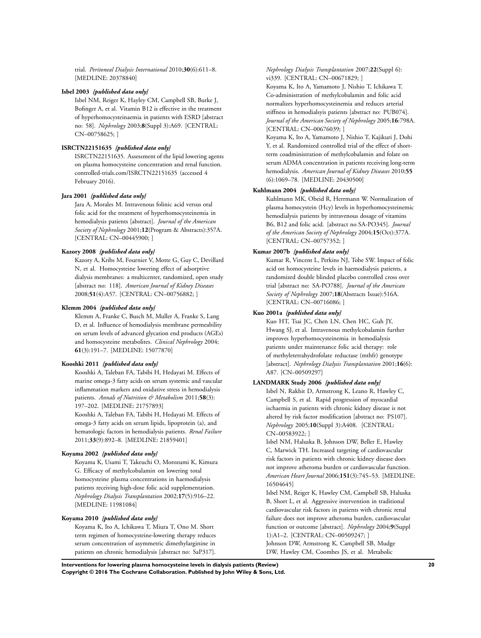trial. *Peritoneal Dialysis International* 2010;**30**(6):611–8. [MEDLINE: 20378840]

#### **Isbel 2003** *{published data only}*

Isbel NM, Reiger K, Hayley CM, Campbell SB, Burke J, Bofinger A, et al. Vitamin B12 is effective in the treatment of hyperhomocysteinaemia in patients with ESRD [abstract no: 58]. *Nephrology* 2003;**8**(Suppl 3):A69. [CENTRAL: CN–00758625; ]

#### **ISRCTN22151635** *{published data only}*

ISRCTN22151635. Assessment of the lipid lowering agents on plasma homocysteine concentration and renal function. controlled-trials.com/ISRCTN22151635 (accessed 4 February 2016).

### **Jara 2001** *{published data only}*

Jara A, Morales M. Intravenous folinic acid versus oral folic acid for the treatment of hyperhomocysteinemia in hemodialysis patients [abstract]. *Journal of the American Society of Nephrology* 2001;**12**(Program & Abstracts):357A. [CENTRAL: CN-00445900; ]

### **Kazory 2008** *{published data only}*

Kazory A, Kribs M, Fournier V, Motte G, Guy C, Devillard N, et al. Homocysteine lowering effect of adsorptive dialysis membranes: a multicenter, randomized, open study [abstract no: 118]. *American Journal of Kidney Diseases* 2008;**51**(4):A57. [CENTRAL: CN–00756882; ]

#### **Klemm 2004** *{published data only}*

Klemm A, Franke C, Busch M, Muller A, Franke S, Lang D, et al. Influence of hemodialysis membrane permeability on serum levels of advanced glycation end products (AGEs) and homocysteine metabolites. *Clinical Nephrology* 2004; **61**(3):191–7. [MEDLINE: 15077870]

#### **Kooshki 2011** *{published data only}*

Kooshki A, Taleban FA, Tabibi H, Hedayati M. Effects of marine omega-3 fatty acids on serum systemic and vascular inflammation markers and oxidative stress in hemodialysis patients. *Annals of Nutrition & Metabolism* 2011;**58**(3): 197–202. [MEDLINE: 21757893]

Kooshki A, Taleban FA, Tabibi H, Hedayati M. Effects of omega-3 fatty acids on serum lipids, lipoprotein (a), and hematologic factors in hemodialysis patients. *Renal Failure* 2011;**33**(9):892–8. [MEDLINE: 21859401]

### **Koyama 2002** *{published data only}*

Koyama K, Usami T, Takeuchi O, Morozumi K, Kimura G. Efficacy of methylcobalamin on lowering total homocysteine plasma concentrations in haemodialysis patients receiving high-dose folic acid supplementation. *Nephrology Dialysis Transplantation* 2002;**17**(5):916–22. [MEDLINE: 11981084]

#### **Koyama 2010** *{published data only}*

Koyama K, Ito A, Ichikawa T, Miura T, Ono M. Short term regimen of homocysteine-lowering therapy reduces serum concentration of asymmetric dimethylarginine in patients on chronic hemodialysis [abstract no: SaP317].

#### *Nephrology Dialysis Transplantation* 2007;**22**(Suppl 6): vi339. [CENTRAL: CN–00671829; ]

Koyama K, Ito A, Yamamoto J, Nishio T, Ichikawa T. Co-administration of methylcobalamin and folic acid normalizes hyperhomocysteinemia and reduces arterial stiffness in hemodialsyis patients [abstract no: PUB074]. *Journal of the American Society of Nephrology* 2005;**16**:798A. [CENTRAL: CN–00676039; ]

Koyama K, Ito A, Yamamoto J, Nishio T, Kajikuri J, Dohi Y, et al. Randomized controlled trial of the effect of shortterm coadministration of methylcobalamin and folate on serum ADMA concentration in patients receiving long-term hemodialysis. *American Journal of Kidney Diseases* 2010;**55** (6):1069–78. [MEDLINE: 20430500]

### **Kuhlmann 2004** *{published data only}*

Kuhlmann MK, Obeid R, Herrmann W. Normalization of plasma homocystein (Hcy) levels in hyperhomocysteinemic hemodialysis patients by intravenous dosage of vitamins B6, B12 and folic acid. [abstract no SA-PO345]. *Journal of the American Society of Nephrology* 2004;**15**(Oct):377A. [CENTRAL: CN–00757352; ]

#### **Kumar 2007b** *{published data only}*

Kumar R, Vincent L, Perkins NJ, Tobe SW. Impact of folic acid on homocysteine levels in haemodialysis patients, a randomized double blinded placebo controlled cross over trial [abstract no: SA-PO788]. *Journal of the American Society of Nephrology* 2007;**18**(Abstracts Issue):516A. [CENTRAL: CN–00716086; ]

#### **Kuo 2001a** *{published data only}*

Kuo HT, Tsai JC, Chen LN, Chen HC, Guh JY, Hwang SJ, et al. Intravenous methylcobalamin further improves hyperhomocysteinemia in hemodialysis patients under maintenance folic acid therapy: role of methyletetrahydrofolate reductase (mthfr) genotype [abstract]. *Nephrology Dialysis Transplantation* 2001;**16**(6): A87. [CN–00509297]

### **LANDMARK Study 2006** *{published data only}*

Isbel N, Rakhit D, Armstrong K, Leano R, Hawley C, Campbell S, et al. Rapid progression of myocardial ischaemia in patients with chronic kidney disease is not altered by risk factor modification [abstract no: PS107]. *Nephrology* 2005;**10**(Suppl 3):A408. [CENTRAL: CN–00583922; ]

Isbel NM, Haluska B, Johnson DW, Beller E, Hawley C, Marwick TH. Increased targeting of cardiovascular risk factors in patients with chronic kidney disease does not improve atheroma burden or cardiovascular function. *American Heart Journal* 2006;**151**(3):745–53. [MEDLINE: 16504645]

Isbel NM, Reiger K, Hawley CM, Campbell SB, Haluska B, Short L, et al. Aggressive intervention in traditional cardiovascular risk factors in patients with chronic renal failure does not improve atheroma burden, cardiovascular function or outcome [abstract]. *Nephrology* 2004;**9**(Suppl 1):A1–2. [CENTRAL: CN–00509247; ] Johnson DW, Armstrong K, Campbell SB, Mudge

DW, Hawley CM, Coombes JS, et al. Metabolic

**Interventions for lowering plasma homocysteine levels in dialysis patients (Review) 20 Copyright © 2016 The Cochrane Collaboration. Published by John Wiley & Sons, Ltd.**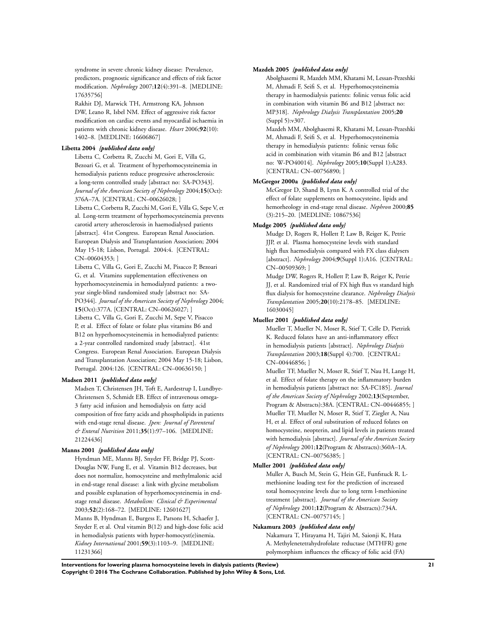syndrome in severe chronic kidney disease: Prevalence, predictors, prognostic significance and effects of risk factor modification. *Nephrology* 2007;**12**(4):391–8. [MEDLINE: 17635756]

Rakhit DJ, Marwick TH, Armstrong KA, Johnson DW, Leano R, Isbel NM. Effect of aggressive risk factor modification on cardiac events and myocardial ischaemia in patients with chronic kidney disease. *Heart* 2006;**92**(10): 1402–8. [MEDLINE: 16606867]

#### **Libetta 2004** *{published data only}*

Libetta C, Corbetta R, Zucchi M, Gori E, Villa G, Bezoari G, et al. Treatment of hyperhomocysteinemia in hemodialysis patients reduce progressive atherosclerosis: a long-term controlled study [abstract no: SA-PO343]. *Journal of the American Society of Nephrology* 2004;**15**(Oct): 376A–7A. [CENTRAL: CN–00626028; ]

Libetta C, Corbetta R, Zucchi M, Gori E, Villa G, Sepe V, et al. Long-term treatment of hyperhomocysteinemia prevents carotid artery atherosclerosis in haemodialysed patients [abstract]. 41st Congress. European Renal Association. European Dialysis and Transplantation Association; 2004 May 15-18; Lisbon, Portugal. 2004:4. [CENTRAL: CN–00604353; ]

Libetta C, Villa G, Gori E, Zucchi M, Pisacco P, Bezoari G, et al. Vitamins supplementation effectiveness on hyperhomocysteinemia in hemodialyzed patients: a twoyear single-blind randomized study [abstract no: SA-PO344]. *Journal of the American Society of Nephrology* 2004; **15**(Oct):377A. [CENTRAL: CN–00626027; ] Libetta C, Villa G, Gori E, Zucchi M, Sepe V, Pisacco P, et al. Effect of folate or folate plus vitamins B6 and B12 on hyperhomocysteinemia in hemodialyzed patients: a 2-year controlled randomized study [abstract]. 41st Congress. European Renal Association. European Dialysis and Transplantation Association; 2004 May 15-18; Lisbon, Portugal. 2004:126. [CENTRAL: CN–00636150; ]

#### **Madsen 2011** *{published data only}*

Madsen T, Christensen JH, Toft E, Aardestrup I, Lundbye-Christensen S, Schmidt EB. Effect of intravenous omega-3 fatty acid infusion and hemodialysis on fatty acid composition of free fatty acids and phospholipids in patients with end-stage renal disease. *Jpen: Journal of Parenteral & Enteral Nutrition* 2011;**35**(1):97–106. [MEDLINE: 21224436]

#### **Manns 2001** *{published data only}*

Hyndman ME, Manns BJ, Snyder FF, Bridge PJ, Scott-Douglas NW, Fung E, et al. Vitamin B12 decreases, but does not normalize, homocysteine and methylmalonic acid in end-stage renal disease: a link with glycine metabolism and possible explanation of hyperhomocysteinemia in endstage renal disease. *Metabolism: Clinical & Experimental* 2003;**52**(2):168–72. [MEDLINE: 12601627] Manns B, Hyndman E, Burgess E, Parsons H, Schaefer J, Snyder F, et al. Oral vitamin B(12) and high-dose folic acid in hemodialysis patients with hyper-homocyst(e)inemia. *Kidney International* 2001;**59**(3):1103–9. [MEDLINE: 11231366]

### **Mazdeh 2005** *{published data only}*

Abolghasemi R, Mazdeh MM, Khatami M, Lessan-Pezeshki M, Ahmadi F, Seifi S, et al. Hyperhomocysteinemia therapy in haemodialysis patients: folinic versus folic acid in combination with vitamin B6 and B12 [abstract no: MP318]. *Nephrology Dialysis Transplantation* 2005;**20** (Suppl 5):v307.

Mazdeh MM, Abolghasemi R, Khatami M, Lessan-Pezeshki M, Ahmadi F, Seifi S, et al. Hyperhomocysteinemia therapy in hemodialysis patients: folinic versus folic acid in combination with vitamin B6 and B12 [abstract no: W-PO40014]. *Nephrology* 2005;**10**(Suppl 1):A283. [CENTRAL: CN–00756890; ]

### **McGregor 2000a** *{published data only}*

McGregor D, Shand B, Lynn K. A controlled trial of the effect of folate supplements on homocysteine, lipids and hemorheology in end-stage renal disease. *Nephron* 2000;**85** (3):215–20. [MEDLINE: 10867536]

#### **Mudge 2005** *{published data only}*

Mudge D, Rogers R, Hollett P, Law B, Reiger K, Petrie JJP, et al. Plasma homocysteine levels with standard high flux haemodialysis compared with FX class dialysers [abstract]. *Nephrology* 2004;**9**(Suppl 1):A16. [CENTRAL: CN–00509369; ]

Mudge DW, Rogers R, Hollett P, Law B, Reiger K, Petrie JJ, et al. Randomized trial of FX high flux vs standard high flux dialysis for homocysteine clearance. *Nephrology Dialysis Transplantation* 2005;**20**(10):2178–85. [MEDLINE: 16030045]

#### **Mueller 2001** *{published data only}*

Mueller T, Mueller N, Moser R, Stief T, Celle D, Pietrizk K. Reduced folates have an anti-inflammatory effect in hemodialysis patients [abstract]. *Nephrology Dialysis Transplantation* 2003;**18**(Suppl 4):700. [CENTRAL: CN–00446856; ]

Mueller TF, Mueller N, Moser R, Stief T, Nau H, Lange H, et al. Effect of folate therapy on the inflammatory burden in hemodialysis patients [abstract no: SA-FC185]. *Journal of the American Society of Nephrology* 2002;**13**(September, Program & Abstracts):38A. [CENTRAL: CN–00446855; ] Mueller TF, Mueller N, Moser R, Stief T, Ziegler A, Nau H, et al. Effect of oral substitution of reduced folates on homocysteine, neopterin, and lipid levels in patients treated with hemodialysis [abstract]. *Journal of the American Society of Nephrology* 2001;**12**(Program & Abstracts):360A–1A. [CENTRAL: CN–00756385; ]

### **Muller 2001** *{published data only}*

Muller A, Busch M, Stein G, Hein GE, Funfstuck R. Lmethionine loading test for the prediction of increased total homocysteine levels due to long term l-methionine treatment [abstract]. *Journal of the American Society of Nephrology* 2001;**12**(Program & Abstracts):734A. [CENTRAL: CN–00757145; ]

## **Nakamura 2003** *{published data only}*

Nakamura T, Hirayama H, Tajiri M, Saionji K, Hata A. Methylenetetrahydrofolate reductase (MTHFR) gene polymorphism influences the efficacy of folic acid (FA)

**Interventions for lowering plasma homocysteine levels in dialysis patients (Review) 21 Copyright © 2016 The Cochrane Collaboration. Published by John Wiley & Sons, Ltd.**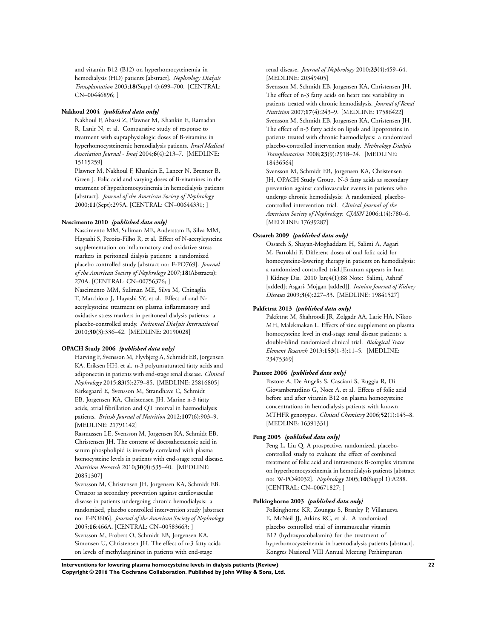and vitamin B12 (B12) on hyperhomocyteinemia in hemodialysis (HD) patients [abstract]. *Nephrology Dialysis Transplantation* 2003;**18**(Suppl 4):699–700. [CENTRAL: CN–00446896; ]

#### **Nakhoul 2004** *{published data only}*

Nakhoul F, Abassi Z, Plawner M, Khankin E, Ramadan R, Lanir N, et al. Comparative study of response to treatment with supraphysiologic doses of B-vitamins in hyperhomocysteinemic hemodialysis patients. *Israel Medical Association Journal - Imaj* 2004;**6**(4):213–7. [MEDLINE: 15115259]

Plawner M, Nakhoul F, Khankin E, Laneer N, Brenner B, Green J. Folic acid and varying doses of B-vitamines in the treatment of hyperhomocystinemia in hemodialysis patients [abstract]. *Journal of the American Society of Nephrology* 2000;**11**(Sept):295A. [CENTRAL: CN–00644331; ]

#### **Nascimento 2010** *{published data only}*

Nascimento MM, Suliman ME, Anderstam B, Silva MM, Hayashi S, Pecoits-Filho R, et al. Effect of N-acetylcysteine supplementation on inflammatory and oxidative stress markers in peritoneal dialysis patients: a randomized placebo controlled study [abstract no: F-PO769]. *Journal of the American Society of Nephrology* 2007;**18**(Abstracts): 270A. [CENTRAL: CN–00756376; ] Nascimento MM, Suliman ME, Silva M, Chinaglia T, Marchioro J, Hayashi SY, et al. Effect of oral Nacetylcysteine treatment on plasma inflammatory and oxidative stress markers in peritoneal dialysis patients: a placebo-controlled study. *Peritoneal Dialysis International* 2010;**30**(3):336–42. [MEDLINE: 20190028]

#### **OPACH Study 2006** *{published data only}*

Harving F, Svensson M, Flyvbjerg A, Schmidt EB, Jorgensen KA, Eriksen HH, et al. n-3 polyunsaturated fatty acids and adiponectin in patients with end-stage renal disease. *Clinical Nephrology* 2015;**83**(5):279–85. [MEDLINE: 25816805] Kirkegaard E, Svensson M, Strandhave C, Schmidt EB, Jorgensen KA, Christensen JH. Marine n-3 fatty acids, atrial fibrillation and QT interval in haemodialysis patients. *British Journal of Nutrition* 2012;**107**(6):903–9. [MEDLINE: 21791142]

Rasmussen LE, Svensson M, Jorgensen KA, Schmidt EB, Christensen JH. The content of docosahexaenoic acid in serum phospholipid is inversely correlated with plasma homocysteine levels in patients with end-stage renal disease. *Nutrition Research* 2010;**30**(8):535–40. [MEDLINE: 20851307]

Svensson M, Christensen JH, Jorgensen KA, Schmidt EB. Omacor as secondary prevention against cardiovascular disease in patients undergoing chronic hemodialysis: a randomised, placebo controlled intervention study [abstract no: F-PO606]. *Journal of the American Society of Nephrology* 2005;**16**:466A. [CENTRAL: CN–00583663; ] Svensson M, Frobert O, Schmidt EB, Jorgensen KA, Simonsen U, Christensen JH. The effect of n-3 fatty acids on levels of methylarginines in patients with end-stage

renal disease. *Journal of Nephrology* 2010;**23**(4):459–64. [MEDLINE: 20349405]

Svensson M, Schmidt EB, Jorgensen KA, Christensen JH. The effect of n-3 fatty acids on heart rate variability in patients treated with chronic hemodialysis. *Journal of Renal Nutrition* 2007;**17**(4):243–9. [MEDLINE: 17586422] Svensson M, Schmidt EB, Jorgensen KA, Christensen JH. The effect of n-3 fatty acids on lipids and lipoproteins in patients treated with chronic haemodialysis: a randomized placebo-controlled intervention study. *Nephrology Dialysis Transplantation* 2008;**23**(9):2918–24. [MEDLINE: 18436564]

Svensson M, Schmidt EB, Jorgensen KA, Christensen JH, OPACH Study Group. N-3 fatty acids as secondary prevention against cardiovascular events in patients who undergo chronic hemodialysis: A randomized, placebocontrolled intervention trial. *Clinical Journal of the American Society of Nephrology: CJASN* 2006;**1**(4):780–6. [MEDLINE: 17699287]

#### **Ossareh 2009** *{published data only}*

Ossareh S, Shayan-Moghaddam H, Salimi A, Asgari M, Farrokhi F. Different doses of oral folic acid for homocysteine-lowering therapy in patients on hemodialysis: a randomized controlled trial.[Erratum appears in Iran J Kidney Dis. 2010 Jan;4(1):88 Note: Salimi, Ashraf [added]; Asgari, Mojgan [added]]. *Iranian Journal of Kidney Diseases* 2009;**3**(4):227–33. [MEDLINE: 19841527]

#### **Pakfetrat 2013** *{published data only}*

Pakfetrat M, Shahroodi JR, Zolgadr AA, Larie HA, Nikoo MH, Malekmakan L. Effects of zinc supplement on plasma homocysteine level in end-stage renal disease patients: a double-blind randomized clinical trial. *Biological Trace Element Research* 2013;**153**(1-3):11–5. [MEDLINE: 23475369]

### **Pastore 2006** *{published data only}*

Pastore A, De Angelis S, Casciani S, Ruggia R, Di Giovamberardino G, Noce A, et al. Effects of folic acid before and after vitamin B12 on plasma homocysteine concentrations in hemodialysis patients with known MTHFR genotypes. *Clinical Chemistry* 2006;**52**(1):145–8. [MEDLINE: 16391331]

#### **Peng 2005** *{published data only}*

Peng L, Liu Q. A prospective, randomized, placebocontrolled study to evaluate the effect of combined treatment of folic acid and intravenous B-complex vitamins on hyperhomocysteinemia in hemodialysis patients [abstract no: W-PO40032]. *Nephrology* 2005;**10**(Suppl 1):A288. [CENTRAL: CN–00671827; ]

### **Polkinghorne 2003** *{published data only}*

Polkinghorne KR, Zoungas S, Branley P, Villanueva E, McNeil JJ, Atkins RC, et al. A randomised placebo controlled trial of intramuscular vitamin B12 (hydroxyocobalamin) for the treatment of hyperhomocysteinemia in haemodialysis patients [abstract]. Kongres Nasional VIII Annual Meeting Perhimpunan

**Interventions for lowering plasma homocysteine levels in dialysis patients (Review) 22 Copyright © 2016 The Cochrane Collaboration. Published by John Wiley & Sons, Ltd.**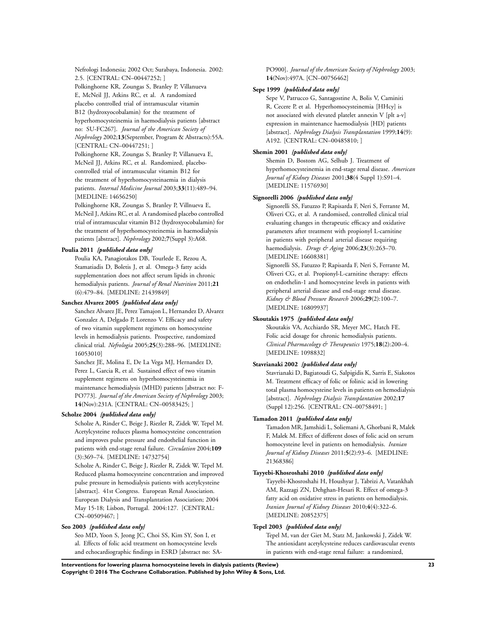Nefrologi Indonesia; 2002 Oct; Surabaya, Indonesia. 2002: 2.5. [CENTRAL: CN–00447252; ]

Polkinghorne KR, Zoungas S, Branley P, Villanueva E, McNeil JJ, Atkins RC, et al. A randomized placebo controlled trial of intramuscular vitamin B12 (hydroxyocobalamin) for the treatment of hyperhomocysteinemia in haemodialysis patients [abstract no: SU-FC267]. *Journal of the American Society of Nephrology* 2002;**13**(September, Program & Abstracts):55A. [CENTRAL: CN–00447251; ]

Polkinghorne KR, Zoungas S, Branley P, Villanueva E, McNeil JJ, Atkins RC, et al. Randomized, placebocontrolled trial of intramuscular vitamin B12 for the treatment of hyperhomocysteinaemia in dialysis patients. *Internal Medicine Journal* 2003;**33**(11):489–94. [MEDLINE: 14656250]

Polkinghorne KR, Zoungas S, Branley P, Villnueva E, McNeil J, Atkins RC, et al. A randomised placebo controlled trial of intramuscular vitamin B12 (hydroxyocobalamin) for the treatment of hyperhomocysteinemia in haemodialysis patients [abstract]. *Nephrology* 2002;**7**(Suppl 3):A68.

## **Poulia 2011** *{published data only}*

Poulia KA, Panagiotakos DB, Tourlede E, Rezou A, Stamatiadis D, Boletis J, et al. Omega-3 fatty acids supplementation does not affect serum lipids in chronic hemodialysis patients. *Journal of Renal Nutrition* 2011;**21** (6):479–84. [MEDLINE: 21439849]

## **Sanchez Alvarez 2005** *{published data only}*

Sanchez Alvarez JE, Perez Tamajon L, Hernandez D, Alvarez Gonzalez A, Delgado P, Lorenzo V. Efficacy and safety of two vitamin supplement regimens on homocysteine levels in hemodialysis patients. Prospective, randomized clinical trial. *Nefrologia* 2005;**25**(3):288–96. [MEDLINE: 16053010]

Sanchez JE, Molina E, De La Vega MJ, Hernandez D, Perez L, Garcia R, et al. Sustained effect of two vitamin supplement regimens on hyperhomocysteinemia in maintenance hemodialysis (MHD) patients [abstract no: F-PO773]. *Journal of the American Society of Nephrology* 2003; **14**(Nov):231A. [CENTRAL: CN–00583425; ]

#### **Scholze 2004** *{published data only}*

Scholze A, Rinder C, Beige J, Riezler R, Zidek W, Tepel M. Acetylcysteine reduces plasma homocysteine concentration and improves pulse pressure and endothelial function in patients with end-stage renal failure. *Circulation* 2004;**109** (3):369–74. [MEDLINE: 14732754]

Scholze A, Rinder C, Beige J, Riezler R, Zidek W, Tepel M. Reduced plasma homocysteine concentration and improved pulse pressure in hemodialysis patients with acetylcysteine [abstract]. 41st Congress. European Renal Association. European Dialysis and Transplantation Association; 2004 May 15-18; Lisbon, Portugal. 2004:127. [CENTRAL: CN–00509467; ]

#### **Seo 2003** *{published data only}*

Seo MD, Yoon S, Jeong JC, Choi SS, Kim SY, Son I, et al. Effects of folic acid treatment on homocysteine levels and echocardiographic findings in ESRD [abstract no: SA- PO900]. *Journal of the American Society of Nephrology* 2003; **14**(Nov):497A. [CN–00756462]

### **Sepe 1999** *{published data only}*

Sepe V, Patrucco G, Santagostine A, Bolis V, Caminiti R, Cecere P, et al. Hyperhomocysteinemia [HHcy] is not associated with elevated platelet annexin V [plt a-v] expression in maintenance haemodialysis [HD] patients [abstract]. *Nephrology Dialysis Transplantation* 1999;**14**(9): A192. [CENTRAL: CN–00485810; ]

#### **Shemin 2001** *{published data only}*

Shemin D, Bostom AG, Selhub J. Treatment of hyperhomocysteinemia in end-stage renal disease. *American Journal of Kidney Diseases* 2001;**38**(4 Suppl 1):S91–4. [MEDLINE: 11576930]

#### **Signorelli 2006** *{published data only}*

Signorelli SS, Fatuzzo P, Rapisarda F, Neri S, Ferrante M, Oliveri CG, et al. A randomised, controlled clinical trial evaluating changes in therapeutic efficacy and oxidative parameters after treatment with propionyl L-carnitine in patients with peripheral arterial disease requiring haemodialysis. *Drugs & Aging* 2006;**23**(3):263–70. [MEDLINE: 16608381]

Signorelli SS, Fatuzzo P, Rapisarda F, Neri S, Ferrante M, Oliveri CG, et al. Propionyl-L-carnitine therapy: effects on endothelin-1 and homocysteine levels in patients with peripheral arterial disease and end-stage renal disease. *Kidney & Blood Pressure Research* 2006;**29**(2):100–7. [MEDLINE: 16809937]

### **Skoutakis 1975** *{published data only}*

Skoutakis VA, Acchiardo SR, Meyer MC, Hatch FE. Folic acid dosage for chronic hemodialysis patients. *Clinical Pharmacology & Therapeutics* 1975;**18**(2):200–4. [MEDLINE: 1098832]

#### **Stavrianaki 2002** *{published data only}*

Stavrianaki D, Bagiatoudi G, Salpigidis K, Sarris E, Siakotos M. Treatment efficacy of folic or folinic acid in lowering total plasma homocysteine levels in patients on hemodialysis [abstract]. *Nephrology Dialysis Transplantation* 2002;**17** (Suppl 12):256. [CENTRAL: CN–00758491; ]

### **Tamadon 2011** *{published data only}*

Tamadon MR, Jamshidi L, Soliemani A, Ghorbani R, Malek F, Malek M. Effect of different doses of folic acid on serum homocysteine level in patients on hemodialysis. *Iranian Journal of Kidney Diseases* 2011;**5**(2):93–6. [MEDLINE: 21368386]

### **Tayyebi-Khosroshahi 2010** *{published data only}*

Tayyebi-Khosroshahi H, Houshyar J, Tabrizi A, Vatankhah AM, Razzagi ZN, Dehghan-Hesari R. Effect of omega-3 fatty acid on oxidative stress in patients on hemodialysis. *Iranian Journal of Kidney Diseases* 2010;**4**(4):322–6. [MEDLINE: 20852375]

### **Tepel 2003** *{published data only}*

Tepel M, van der Giet M, Statz M, Jankowski J, Zidek W. The antioxidant acetylcysteine reduces cardiovascular events in patients with end-stage renal failure: a randomized,

**Interventions for lowering plasma homocysteine levels in dialysis patients (Review) 23 Copyright © 2016 The Cochrane Collaboration. Published by John Wiley & Sons, Ltd.**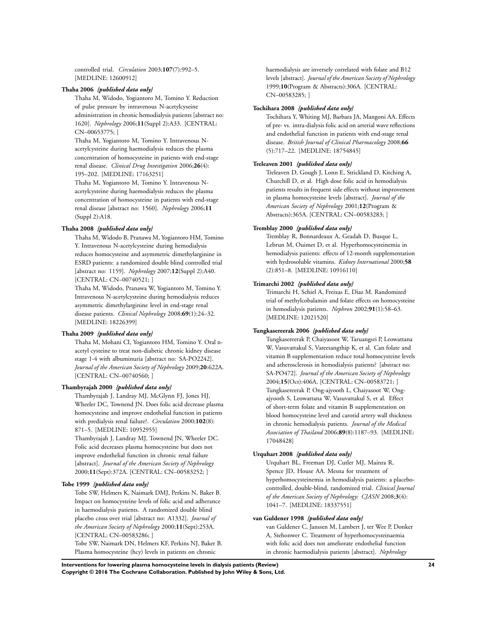controlled trial. *Circulation* 2003;**107**(7):992–5. [MEDLINE: 12600912]

#### **Thaha 2006** *{published data only}*

Thaha M, Widodo, Yogiantoro M, Tomino Y. Reduction of pulse pressure by intravenous N-acetylcyseine administration in chronic hemodialysis patients [abstract no: 1620]. *Nephrology* 2006;**11**(Suppl 2):A33. [CENTRAL: CN–00653775; ]

Thaha M, Yogiantoro M, Tomino Y. Intravenous Nacetylcysteine during haemodialysis reduces the plasma concentration of homocysteine in patients with end-stage renal disease. *Clinical Drug Investigation* 2006;**26**(4): 195–202. [MEDLINE: 17163251]

Thaha M, Yogiantoro M, Tomino Y. Intravenous Nacetylcysteine during haemodialysis reduces the plasma concentration of homocysteine in patients with end-stage renal disease [abstract no: 1560]. *Nephrology* 2006;**11** (Suppl 2):A18.

## **Thaha 2008** *{published data only}*

Thaha M, Widodo B, Pranawa M, Yogiantoro HM, Tomino Y. Intravenous N-acetylcysteine during hemodialysis reduces homocysteine and asymmetric dimethylarginine in ESRD patients: a randomized double blind controlled trial [abstract no: 1159]. *Nephrology* 2007;**12**(Suppl 2):A40. [CENTRAL: CN–00740521; ]

Thaha M, Widodo, Pranawa W, Yogiantoro M, Tomino Y. Intravenous N-acetylcysteine during hemodialysis reduces asymmetric dimethylarginine level in end-stage renal disease patients. *Clinical Nephrology* 2008;**69**(1):24–32. [MEDLINE: 18226399]

### **Thaha 2009** *{published data only}*

Thaha M, Mohani CI, Yogiantoro HM, Tomino Y. Oral nacetyl cysteine to treat non-diabetic chronic kidney disease stage 1-4 with albuminuria [abstract no: SA-PO2242]. *Journal of the American Society of Nephrology* 2009;**20**:622A. [CENTRAL: CN-00740560; ]

#### **Thambyrajah 2000** *{published data only}*

Thambyrajah J, Landray MJ, McGlynn FJ, Jones HJ, Wheeler DC, Townend JN. Does folic acid decrease plasma homocysteine and improve endothelial function in patients with predialysis renal failure?. *Circulation* 2000;**102**(8): 871–5. [MEDLINE: 10952955]

Thambyrajah J, Landray MJ, Townend JN, Wheeler DC. Folic acid decreases plasma homocysteine but does not improve endothelial function in chronic renal failure [abstract]. *Journal of the American Society of Nephrology* 2000;**11**(Sept):372A. [CENTRAL: CN–00583252; ]

#### **Tobe 1999** *{published data only}*

Tobe SW, Helmers K, Naimark DMJ, Perkins N, Baker B. Impact on homocysteine levels of folic acid and adherance in haemodialysis patients. A randomized double blind placebo cross over trial [abstract no: A1332]. *Journal of the American Society of Nephrology* 2000;**11**(Sept):253A. [CENTRAL: CN–00583286; ]

Tobe SW, Naimark DN, Helmers KF, Perkins NJ, Baker B. Plasma homocysteine (hcy) levels in patients on chronic

haemodialysis are inversely correlated with folate and B12 levels [abstract]. *Journal of the American Society of Nephrology* 1999;**10**(Program & Abstracts):306A. [CENTRAL: CN–00583285; ]

#### **Tochihara 2008** *{published data only}*

Tochihara Y, Whiting MJ, Barbara JA, Mangoni AA. Effects of pre- vs. intra-dialysis folic acid on arterial wave reflections and endothelial function in patients with end-stage renal disease. *British Journal of Clinical Pharmacology* 2008;**66** (5):717–22. [MEDLINE: 18754845]

### **Treleaven 2001** *{published data only}*

Treleaven D, Gough J, Lonn E, Strickland D, Kitching A, Churchill D, et al. High dose folic acid in hemodialysis patients results in frequent side effects without improvement in plasma homocysteine levels [abstract]. *Journal of the American Society of Nephrology* 2001;**12**(Program & Abstracts):365A. [CENTRAL: CN–00583283; ]

## **Tremblay 2000** *{published data only}*

Tremblay R, Bonnardeaux A, Geadah D, Busque L, Lebrun M, Ouimet D, et al. Hyperhomocysteinemia in hemodialysis patients: effects of 12-month supplementation with hydrosoluble vitamins. *Kidney International* 2000;**58** (2):851–8. [MEDLINE: 10916110]

#### **Trimarchi 2002** *{published data only}*

Trimarchi H, Schiel A, Freixas E, Diaz M. Randomized trial of methylcobalamin and folate effects on homocysteine in hemodialysis patients. *Nephron* 2002;**91**(1):58–63. [MEDLINE: 12021520]

#### **Tungkasereerak 2006** *{published data only}*

Tungkasereerak P, Chaiyasoot W, Taruangsri P, Leowattana W, Vasuvattakul S, Vareesangthip K, et al. Can folate and vitamin B supplementation reduce total homocysteine levels and atherosclerosis in hemodialysis patients? [abstract no: SA-PO472]. *Journal of the American Society of Nephrology* 2004;**15**(Oct):406A. [CENTRAL: CN–00583721; ] Tungkasereerak P, Ong-ajyooth L, Chaiyasoot W, Ongajyooth S, Leowattana W, Vasuvattakul S, et al. Effect of short-term folate and vitamin B supplementation on blood homocysteine level and carotid artery wall thickness in chronic hemodialysis patients. *Journal of the Medical Association of Thailand* 2006;**89**(8):1187–93. [MEDLINE: 17048428]

## **Urquhart 2008** *{published data only}*

Urquhart BL, Freeman DJ, Cutler MJ, Mainra R, Spence JD, House AA. Mesna for treatment of hyperhomocysteinemia in hemodialysis patients: a placebocontrolled, double-blind, randomized trial. *Clinical Journal of the American Society of Nephrology: CJASN* 2008;**3**(4): 1041–7. [MEDLINE: 18337551]

### **van Guldener 1998** *{published data only}*

van Guldener C, Janssen M, Lambert J, ter Wee P, Donker A, Stehonwer C. Treatment of hyperhomocysteinaemia with folic acid does not ameliorate endothelial function in chronic haemodialysis patients [abstract]. *Nephrology*

**Interventions for lowering plasma homocysteine levels in dialysis patients (Review) 24 Copyright © 2016 The Cochrane Collaboration. Published by John Wiley & Sons, Ltd.**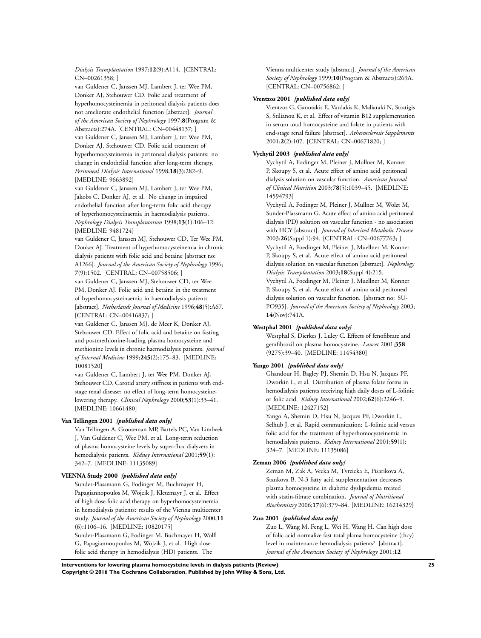*Dialysis Transplantation* 1997;**12**(9):A114. [CENTRAL: CN–00261358; ]

van Guldener C, Janssen MJ, Lambert J, ter Wee PM, Donker AJ, Stehouwer CD. Folic acid treatment of hyperhomocysteinemia in peritoneal dialysis patients does not ameliorate endothelial function [abstract]. *Journal of the American Society of Nephrology* 1997;**8**(Program & Abstracts):274A. [CENTRAL: CN–00448137; ] van Guldener C, Janssen MJ, Lambert J, ter Wee PM, Donker AJ, Stehouwer CD. Folic acid treatment of hyperhomocysteinemia in peritoneal dialysis patients: no change in endothelial function after long-term therapy. *Peritoneal Dialysis International* 1998;**18**(3):282–9. [MEDLINE: 9663892]

van Guldener C, Janssen MJ, Lambert J, ter Wee PM, Jakobs C, Donker AJ, et al. No change in impaired endothelial function after long-term folic acid therapy of hyperhomocysteinaemia in haemodialysis patients. *Nephrology Dialysis Transplantation* 1998;**13**(1):106–12. [MEDLINE: 9481724]

van Guldener C, Janssen MJ, Stehouwer CD, Ter Wee PM, Donker AJ. Treatment of hyperhomocysteinemia in chronic dialysis patients with folic acid and betaine [abstract no: A1266]. *Journal of the American Society of Nephrology* 1996; **7**(9):1502. [CENTRAL: CN–00758506; ]

van Guldener C, Janssen MJ, Stehouwer CD, ter Wee PM, Donker AJ. Folic acid and betaine in the treatment of hyperhomocysteinaemia in haemodialysis patients [abstract]. *Netherlands Journal of Medicine* 1996;**48**(5):A67. [CENTRAL: CN–00416837; ]

van Guldener C, Janssen MJ, de Meer K, Donker AJ, Stehouwer CD. Effect of folic acid and betaine on fasting and postmethionine-loading plasma homocysteine and methionine levels in chronic haemodialysis patients. *Journal of Internal Medicine* 1999;**245**(2):175–83. [MEDLINE: 10081520]

van Guldener C, Lambert J, ter Wee PM, Donker AJ, Stehouwer CD. Carotid artery stiffness in patients with endstage renal disease: no effect of long-term homocysteinelowering therapy. *Clinical Nephrology* 2000;**53**(1):33–41. [MEDLINE: 10661480]

### **Van Tellingen 2001** *{published data only}*

Van Tellingen A, Grooteman MP, Bartels PC, Van Limbeek J, Van Guldener C, Wee PM, et al. Long-term reduction of plasma homocysteine levels by super-flux dialyzers in hemodialysis patients. *Kidney International* 2001;**59**(1): 342–7. [MEDLINE: 11135089]

#### **VIENNA Study 2000** *{published data only}*

Sunder-Plassmann G, Fodinger M, Buchmayer H, Papagiannopoulos M, Wojcik J, Kletzmayr J, et al. Effect of high dose folic acid therapy on hyperhomocysteinemia in hemodialysis patients: results of the Vienna multicenter study. *Journal of the American Society of Nephrology* 2000;**11** (6):1106–16. [MEDLINE: 10820175]

Sunder-Plassmann G, Fodinger M, Buchmayer H, Wolfl G, Papagiannoupoulos M, Wojzik J, et al. High dose folic acid therapy in hemodialysis (HD) patients. The

Vienna multicenter study [abstract]. *Journal of the American Society of Nephrology* 1999;**10**(Program & Abstracts):269A. [CENTRAL: CN-00756862; ]

#### **Vrentzos 2001** *{published data only}*

Vrentzos G, Ganotakis E, Vardakis K, Maliaraki N, Stratigis S, Stilianou K, et al. Effect of vitamin B12 supplementation in serum total homocysteine and folate in patients with end-stage renal failure [abstract]. *Atherosclerosis Supplements* 2001;**2**(2):107. [CENTRAL: CN–00671820; ]

### **Vychytil 2003** *{published data only}*

Vychytil A, Fodinger M, Pleiner J, Mullner M, Konner P, Skoupy S, et al. Acute effect of amino acid peritoneal dialysis solution on vascular function. *American Journal of Clinical Nutrition* 2003;**78**(5):1039–45. [MEDLINE: 14594793]

Vychytil A, Fodinger M, Pleiner J, Mullner M, Wolzt M, Sunder-Plassmann G. Acute effect of amino acid peritoneal dialysis (PD) solution on vascular function - no association with HCY [abstract]. *Journal of Inherited Metabolic Disease* 2003;**26**(Suppl 1):94. [CENTRAL: CN–00677763; ] Vychytil A, Foedinger M, Pleiner J, Muellner M, Konner P, Skoupy S, et al. Acute effect of amino acid peritoneal dialysis solution on vascular function [abstract]. *Nephrology Dialysis Transplantation* 2003;**18**(Suppl 4):215. Vychytil A, Foedinger M, Pleiner J, Muellner M, Konner P, Skoupy S, et al. Acute effect of amino acid peritoneal dialysis solution on vascular function. [abstract no: SU-PO935]. *Journal of the American Society of Nephrology* 2003; **14**(Nov):741A.

#### **Westphal 2001** *{published data only}*

Westphal S, Dierkes J, Luley C. Effects of fenofibrate and gemfibrozil on plasma homocysteine. *Lancet* 2001;**358** (9275):39–40. [MEDLINE: 11454380]

#### **Yango 2001** *{published data only}*

Ghandour H, Bagley PJ, Shemin D, Hsu N, Jacques PF, Dworkin L, et al. Distribution of plasma folate forms in hemodialysis patients receiving high daily doses of L-folinic or folic acid. *Kidney International* 2002;**62**(6):2246–9. [MEDLINE: 12427152]

Yango A, Shemin D, Hsu N, Jacques PF, Dworkin L, Selhub J, et al. Rapid communication: L-folinic acid versus folic acid for the treatment of hyperhomocysteinemia in hemodialysis patients. *Kidney International* 2001;**59**(1): 324–7. [MEDLINE: 11135086]

### **Zeman 2006** *{published data only}*

Zeman M, Zak A, Vecka M, Tvrzicka E, Pisarikova A, Stankova B. N-3 fatty acid supplementation decreases plasma homocysteine in diabetic dyslipidemia treated with statin-fibrate combination. *Journal of Nutritional Biochemistry* 2006;**17**(6):379–84. [MEDLINE: 16214329]

#### **Zuo 2001** *{published data only}*

Zuo L, Wang M, Feng L, Wei H, Wang H. Can high dose of folic acid normalize fast total plama homocysteine (thcy) level in maintenance hemodialysis patients? [abstract]. *Journal of the American Society of Nephrology* 2001;**12**

**Interventions for lowering plasma homocysteine levels in dialysis patients (Review) 25 Copyright © 2016 The Cochrane Collaboration. Published by John Wiley & Sons, Ltd.**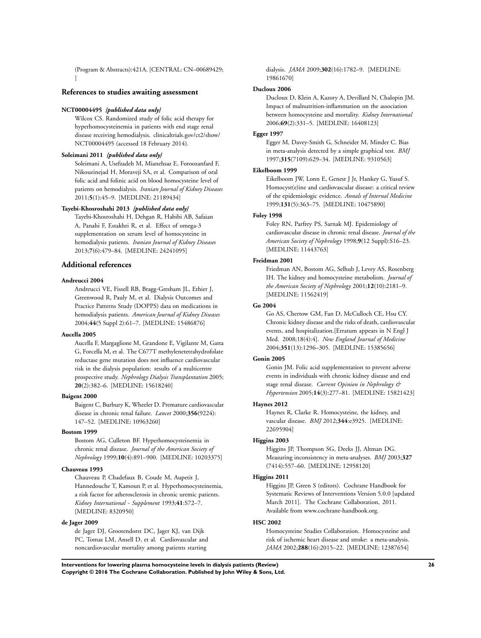(Program & Abstracts):421A. [CENTRAL: CN–00689429; ]

## **References to studies awaiting assessment**

#### **NCT00004495** *{published data only}*

Wilcox CS. Randomized study of folic acid therapy for hyperhomocysteinemia in patients with end stage renal disease receiving hemodialysis. clinicaltrials.gov/ct2/show/ NCT00004495 (accessed 18 February 2014).

### **Soleimani 2011** *{published data only}*

Soleimani A, Usefzadeh M, Mianehsaz E, Foroozanfard F, Nikoueinejad H, Moraveji SA, et al. Comparison of oral folic acid and folinic acid on blood homocysteine level of patients on hemodialysis. *Iranian Journal of Kidney Diseases* 2011;**5**(1):45–9. [MEDLINE: 21189434]

#### **Tayebi-Khosroshahi 2013** *{published data only}*

Tayebi-Khosroshahi H, Dehgan R, Habibi AB, Safaian A, Panahi F, Estakhri R, et al. Effect of omega-3 supplementation on serum level of homocysteine in hemodialysis patients. *Iranian Journal of Kidney Diseases* 2013;**7**(6):479–84. [MEDLINE: 24241095]

### **Additional references**

#### **Andreucci 2004**

Andreucci VE, Fissell RB, Bragg-Gresham JL, Ethier J, Greenwood R, Pauly M, et al. Dialysis Outcomes and Practice Patterns Study (DOPPS) data on medications in hemodialysis patients. *American Journal of Kidney Diseases* 2004;**44**(5 Suppl 2):61–7. [MEDLINE: 15486876]

### **Aucella 2005**

Aucella F, Margaglione M, Grandone E, Vigilante M, Gatta G, Forcella M, et al. The C677T methylenetetrahydrofolate reductase gene mutation does not influence cardiovascular risk in the dialysis population: results of a multicentre prospective study. *Nephrology Dialysis Transplantation* 2005; **20**(2):382–6. [MEDLINE: 15618240]

## **Baigent 2000**

Baigent C, Burbury K, Wheeler D. Premature cardiovascular disease in chronic renal failure. *Lancet* 2000;**356**(9224): 147–52. [MEDLINE: 10963260]

#### **Bostom 1999**

Bostom AG, Culleton BF. Hyperhomocysteinemia in chronic renal disease. *Journal of the American Society of Nephrology* 1999;**10**(4):891–900. [MEDLINE: 10203375]

### **Chauveau 1993**

Chauveau P, Chadefaux B, Coude M, Aupetit J, Hannedouche T, Kamoun P, et al. Hyperhomocysteinemia, a risk factor for atherosclerosis in chronic uremic patients. *Kidney International - Supplement* 1993;**41**:S72–7. [MEDLINE: 8320950]

### **de Jager 2009**

de Jager DJ, Grootendorst DC, Jager KJ, van Dijk PC, Tomas LM, Ansell D, et al. Cardiovascular and noncardiovascular mortality among patients starting

dialysis. *JAMA* 2009;**302**(16):1782–9. [MEDLINE: 19861670]

#### **Ducloux 2006**

Ducloux D, Klein A, Kazory A, Devillard N, Chalopin JM. Impact of malnutrition-inflammation on the association between homocysteine and mortality. *Kidney International* 2006;**69**(2):331–5. [MEDLINE: 16408123]

## **Egger 1997**

Egger M, Davey-Smith G, Schneider M, Minder C. Bias in meta-analysis detected by a simple graphical test. *BMJ* 1997;**315**(7109):629–34. [MEDLINE: 9310563]

### **Eikelboom 1999**

Eikelboom JW, Lonn E, Genest J Jr, Hankey G, Yusuf S. Homocyst(e)ine and cardiovascular disease: a critical review of the epidemiologic evidence. *Annals of Internal Medicine* 1999;**131**(5):363–75. [MEDLINE: 10475890]

## **Foley 1998**

Foley RN, Parfrey PS, Sarnak MJ. Epidemiology of cardiovascular disease in chronic renal disease. *Journal of the American Society of Nephrology* 1998;**9**(12 Suppl):S16–23. [MEDLINE: 11443763]

#### **Freidman 2001**

Friedman AN, Bostom AG, Selhub J, Levey AS, Rosenberg IH. The kidney and homocysteine metabolism. *Journal of the American Society of Nephrology* 2001;**12**(10):2181–9. [MEDLINE: 11562419]

#### **Go 2004**

Go AS, Chertow GM, Fan D, McCulloch CE, Hsu CY. Chronic kidney disease and the risks of death, cardiovascular events, and hospitalization.[Erratum appears in N Engl J Med. 2008;18(4):4]. *New England Journal of Medicine* 2004;**351**(13):1296–305. [MEDLINE: 15385656]

#### **Gonin 2005**

Gonin JM. Folic acid supplementation to prevent adverse events in individuals with chronic kidney disease and end stage renal disease. *Current Opinion in Nephrology & Hypertension* 2005;**14**(3):277–81. [MEDLINE: 15821423]

#### **Haynes 2012**

Haynes R, Clarke R. Homocysteine, the kidney, and vascular disease. *BMJ* 2012;**344**:e3925. [MEDLINE: 22695904]

### **Higgins 2003**

Higgins JP, Thompson SG, Deeks JJ, Altman DG. Measuring inconsistency in meta-analyses. *BMJ* 2003;**327** (7414):557–60. [MEDLINE: 12958120]

## **Higgins 2011**

Higgins JP, Green S (editors). Cochrane Handbook for Systematic Reviews of Interventions Version 5.0.0 [updated March 2011]. The Cochrane Collaboration, 2011. Available from www.cochrane-handbook.org.

### **HSC 2002**

Homocysteine Studies Collaboration. Homocysteine and risk of ischemic heart disease and stroke: a meta-analysis. *JAMA* 2002;**288**(16):2015–22. [MEDLINE: 12387654]

**Interventions for lowering plasma homocysteine levels in dialysis patients (Review) 26 Copyright © 2016 The Cochrane Collaboration. Published by John Wiley & Sons, Ltd.**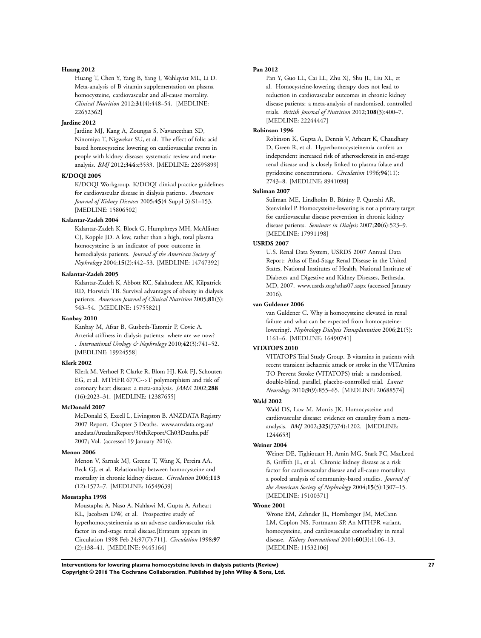#### **Huang 2012**

Huang T, Chen Y, Yang B, Yang J, Wahlqvist ML, Li D. Meta-analysis of B vitamin supplementation on plasma homocysteine, cardiovascular and all-cause mortality. *Clinical Nutrition* 2012;**31**(4):448–54. [MEDLINE: 22652362]

### **Jardine 2012**

Jardine MJ, Kang A, Zoungas S, Navaneethan SD, Ninomiya T, Nigwekar SU, et al. The effect of folic acid based homocysteine lowering on cardiovascular events in people with kidney disease: systematic review and metaanalysis. *BMJ* 2012;**344**:e3533. [MEDLINE: 22695899]

### **K/DOQI 2005**

K/DOQI Workgroup. K/DOQI clinical practice guidelines for cardiovascular disease in dialysis patients. *American Journal of Kidney Diseases* 2005;**45**(4 Suppl 3):S1–153. [MEDLINE: 15806502]

### **Kalantar-Zadeh 2004**

Kalantar-Zadeh K, Block G, Humphreys MH, McAllister CJ, Kopple JD. A low, rather than a high, total plasma homocysteine is an indicator of poor outcome in hemodialysis patients. *Journal of the American Society of Nephrology* 2004;**15**(2):442–53. [MEDLINE: 14747392]

### **Kalantar-Zadeh 2005**

Kalantar-Zadeh K, Abbott KC, Salahudeen AK, Kilpatrick RD, Horwich TB. Survival advantages of obesity in dialysis patients. *American Journal of Clinical Nutrition* 2005;**81**(3): 543–54. [MEDLINE: 15755821]

## **Kanbay 2010**

Kanbay M, Afsar B, Gusbeth-Tatomir P, Covic A. Arterial stiffness in dialysis patients: where are we now? . *International Urology & Nephrology* 2010;**42**(3):741–52. [MEDLINE: 19924558]

#### **Klerk 2002**

Klerk M, Verhoef P, Clarke R, Blom HJ, Kok FJ, Schouten EG, et al. MTHFR 677C-->T polymorphism and risk of coronary heart disease: a meta-analysis. *JAMA* 2002;**288** (16):2023–31. [MEDLINE: 12387655]

#### **McDonald 2007**

McDonald S, Excell L, Livingston B. ANZDATA Registry 2007 Report. Chapter 3 Deaths. www.anzdata.org.au/ anzdata/AnzdataReport/30thReport/Ch03Deaths.pdf 2007; Vol. (accessed 19 January 2016).

#### **Menon 2006**

Menon V, Sarnak MJ, Greene T, Wang X, Pereira AA, Beck GJ, et al. Relationship between homocysteine and mortality in chronic kidney disease. *Circulation* 2006;**113** (12):1572–7. [MEDLINE: 16549639]

#### **Moustapha 1998**

Moustapha A, Naso A, Nahlawi M, Gupta A, Arheart KL, Jacobsen DW, et al. Prospective study of hyperhomocysteinemia as an adverse cardiovascular risk factor in end-stage renal disease.[Erratum appears in Circulation 1998 Feb 24;97(7):711]. *Circulation* 1998;**97** (2):138–41. [MEDLINE: 9445164]

#### **Pan 2012**

Pan Y, Guo LL, Cai LL, Zhu XJ, Shu JL, Liu XL, et al. Homocysteine-lowering therapy does not lead to reduction in cardiovascular outcomes in chronic kidney disease patients: a meta-analysis of randomised, controlled trials. *British Journal of Nutrition* 2012;**108**(3):400–7. [MEDLINE: 22244447]

#### **Robinson 1996**

Robinson K, Gupta A, Dennis V, Arheart K, Chaudhary D, Green R, et al. Hyperhomocysteinemia confers an independent increased risk of atherosclerosis in end-stage renal disease and is closely linked to plasma folate and pyridoxine concentrations. *Circulation* 1996;**94**(11): 2743–8. [MEDLINE: 8941098]

#### **Suliman 2007**

Suliman ME, Lindholm B, Bárány P, Qureshi AR, Stenvinkel P. Homocysteine-lowering is not a primary target for cardiovascular disease prevention in chronic kidney disease patients. *Seminars in Dialysis* 2007;**20**(6):523–9. [MEDLINE: 17991198]

### **USRDS 2007**

U.S. Renal Data System, USRDS 2007 Annual Data Report: Atlas of End-Stage Renal Disease in the United States, National Institutes of Health, National Institute of Diabetes and Digestive and Kidney Diseases, Bethesda, MD, 2007. www.usrds.org/atlas07.aspx (accessed January 2016).

#### **van Guldener 2006**

van Guldener C. Why is homocysteine elevated in renal failure and what can be expected from homocysteinelowering?. *Nephrology Dialysis Transplantation* 2006;**21**(5): 1161–6. [MEDLINE: 16490741]

## **VITATOPS 2010**

VITATOPS Trial Study Group. B vitamins in patients with recent transient ischaemic attack or stroke in the VITAmins TO Prevent Stroke (VITATOPS) trial: a randomised, double-blind, parallel, placebo-controlled trial. *Lancet Neurology* 2010;**9**(9):855–65. [MEDLINE: 20688574]

### **Wald 2002**

Wald DS, Law M, Morris JK. Homocysteine and cardiovascular disease: evidence on causality from a metaanalysis. *BMJ* 2002;**325**(7374):1202. [MEDLINE: 1244653]

#### **Weiner 2004**

Weiner DE, Tighiouart H, Amin MG, Stark PC, MacLeod B, Griffith JL, et al. Chronic kidney disease as a risk factor for cardiovascular disease and all-cause mortality: a pooled analysis of community-based studies. *Journal of the American Society of Nephrology* 2004;**15**(5):1307–15. [MEDLINE: 15100371]

## **Wrone 2001**

Wrone EM, Zehnder JL, Hornberger JM, McCann LM, Coplon NS, Fortmann SP. An MTHFR variant, homocysteine, and cardiovascular comorbidity in renal disease. *Kidney International* 2001;**60**(3):1106–13. [MEDLINE: 11532106]

**Interventions for lowering plasma homocysteine levels in dialysis patients (Review) 27 Copyright © 2016 The Cochrane Collaboration. Published by John Wiley & Sons, Ltd.**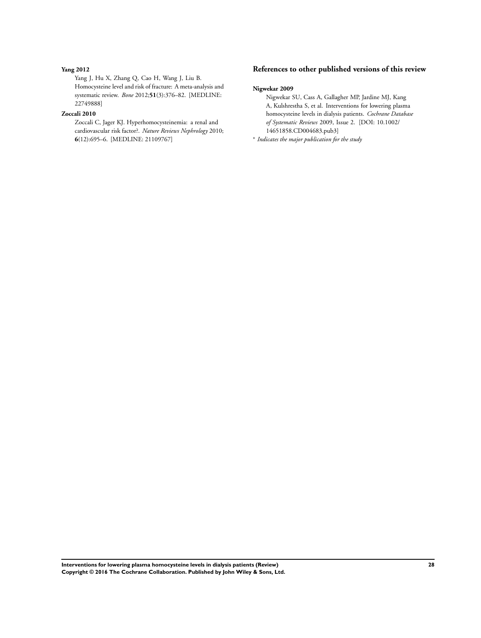## **Yang 2012**

Yang J, Hu X, Zhang Q, Cao H, Wang J, Liu B. Homocysteine level and risk of fracture: A meta-analysis and systematic review. *Bone* 2012;**51**(3):376–82. [MEDLINE: 22749888]

## **Zoccali 2010**

Zoccali C, Jager KJ. Hyperhomocysteinemia: a renal and cardiovascular risk factor?. *Nature Reviews Nephrology* 2010; **6**(12):695–6. [MEDLINE: 21109767]

## **References to other published versions of this review**

## **Nigwekar 2009**

Nigwekar SU, Cass A, Gallagher MP, Jardine MJ, Kang A, Kulshrestha S, et al. Interventions for lowering plasma homocysteine levels in dialysis patients. *Cochrane Database of Systematic Reviews* 2009, Issue 2. [DOI: 10.1002/ 14651858.CD004683.pub3]

∗ *Indicates the major publication for the study*

**Interventions for lowering plasma homocysteine levels in dialysis patients (Review) 28 Copyright © 2016 The Cochrane Collaboration. Published by John Wiley & Sons, Ltd.**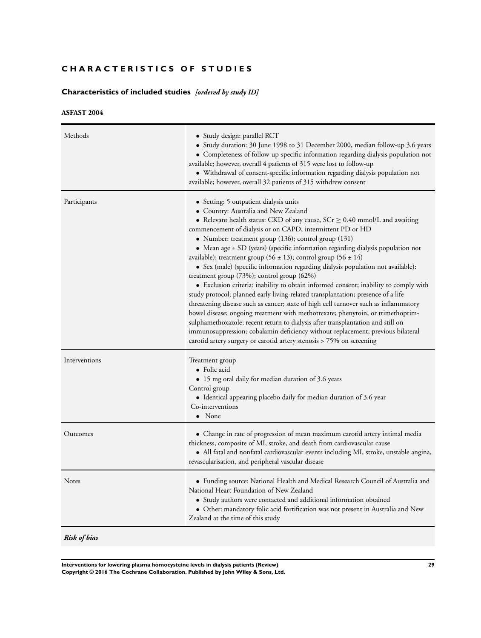## <span id="page-31-0"></span>**CHARACTERISTICS OF STUDIES**

# **Characteristics of included studies** *[ordered by study ID]*

## **ASFAST 2004**

| Methods       | · Study design: parallel RCT<br>• Study duration: 30 June 1998 to 31 December 2000, median follow-up 3.6 years<br>• Completeness of follow-up-specific information regarding dialysis population not<br>available; however, overall 4 patients of 315 were lost to follow-up<br>• Withdrawal of consent-specific information regarding dialysis population not<br>available; however, overall 32 patients of 315 withdrew consent                                                                                                                                                                                                                                                                                                                                                                                                                                                                                                                                                                                                                                                                                                                                                                    |
|---------------|------------------------------------------------------------------------------------------------------------------------------------------------------------------------------------------------------------------------------------------------------------------------------------------------------------------------------------------------------------------------------------------------------------------------------------------------------------------------------------------------------------------------------------------------------------------------------------------------------------------------------------------------------------------------------------------------------------------------------------------------------------------------------------------------------------------------------------------------------------------------------------------------------------------------------------------------------------------------------------------------------------------------------------------------------------------------------------------------------------------------------------------------------------------------------------------------------|
| Participants  | • Setting: 5 outpatient dialysis units<br>$\bullet$ Country: Australia and New Zealand<br>• Relevant health status: CKD of any cause, $SCr \geq 0.40$ mmol/L and awaiting<br>commencement of dialysis or on CAPD, intermittent PD or HD<br>• Number: treatment group $(136)$ ; control group $(131)$<br>• Mean age $\pm$ SD (years) (specific information regarding dialysis population not<br>available): treatment group (56 ± 13); control group (56 ± 14)<br>• Sex (male) (specific information regarding dialysis population not available):<br>treatment group (73%); control group (62%)<br>• Exclusion criteria: inability to obtain informed consent; inability to comply with<br>study protocol; planned early living-related transplantation; presence of a life<br>threatening disease such as cancer; state of high cell turnover such as inflammatory<br>bowel disease; ongoing treatment with methotrexate; phenytoin, or trimethoprim-<br>sulphamethoxazole; recent return to dialysis after transplantation and still on<br>immunosuppression; cobalamin deficiency without replacement; previous bilateral<br>carotid artery surgery or carotid artery stenosis > 75% on screening |
| Interventions | Treatment group<br>• Folic acid<br>• 15 mg oral daily for median duration of 3.6 years<br>Control group<br>• Identical appearing placebo daily for median duration of 3.6 year<br>Co-interventions<br>$\bullet$ None                                                                                                                                                                                                                                                                                                                                                                                                                                                                                                                                                                                                                                                                                                                                                                                                                                                                                                                                                                                 |
| Outcomes      | • Change in rate of progression of mean maximum carotid artery intimal media<br>thickness, composite of MI, stroke, and death from cardiovascular cause<br>• All fatal and nonfatal cardiovascular events including MI, stroke, unstable angina,<br>revascularisation, and peripheral vascular disease                                                                                                                                                                                                                                                                                                                                                                                                                                                                                                                                                                                                                                                                                                                                                                                                                                                                                               |
| <b>Notes</b>  | • Funding source: National Health and Medical Research Council of Australia and<br>National Heart Foundation of New Zealand<br>• Study authors were contacted and additional information obtained<br>· Other: mandatory folic acid fortification was not present in Australia and New<br>Zealand at the time of this study                                                                                                                                                                                                                                                                                                                                                                                                                                                                                                                                                                                                                                                                                                                                                                                                                                                                           |

*Risk of bias*

**Interventions for lowering plasma homocysteine levels in dialysis patients (Review) 29 Copyright © 2016 The Cochrane Collaboration. Published by John Wiley & Sons, Ltd.**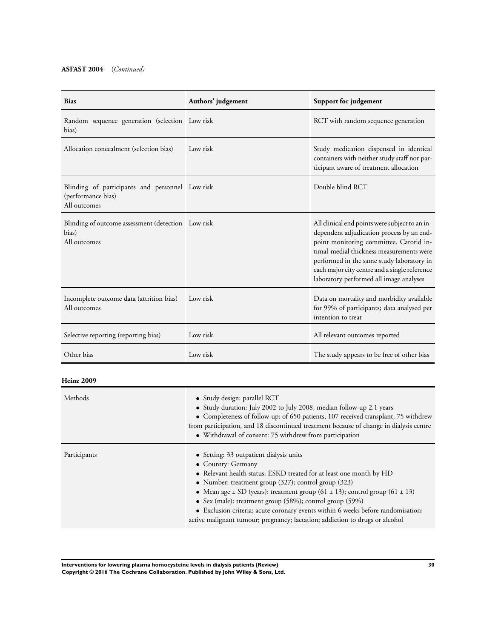## **ASFAST 2004** (*Continued)*

| <b>Bias</b>                                                                           | Authors' judgement | Support for judgement                                                                                                                                                                                                                                                                                                       |
|---------------------------------------------------------------------------------------|--------------------|-----------------------------------------------------------------------------------------------------------------------------------------------------------------------------------------------------------------------------------------------------------------------------------------------------------------------------|
| Random sequence generation (selection Low risk)<br>bias)                              |                    | RCT with random sequence generation                                                                                                                                                                                                                                                                                         |
| Allocation concealment (selection bias)                                               | Low risk           | Study medication dispensed in identical<br>containers with neither study staff nor par-<br>ticipant aware of treatment allocation                                                                                                                                                                                           |
| Blinding of participants and personnel Low risk<br>(performance bias)<br>All outcomes |                    | Double blind RCT                                                                                                                                                                                                                                                                                                            |
| Blinding of outcome assessment (detection Low risk<br>bias)<br>All outcomes           |                    | All clinical end points were subject to an in-<br>dependent adjudication process by an end-<br>point monitoring committee. Carotid in-<br>timal-medial thickness measurements were<br>performed in the same study laboratory in<br>each major city centre and a single reference<br>laboratory performed all image analyses |
| Incomplete outcome data (attrition bias)<br>All outcomes                              | Low risk           | Data on mortality and morbidity available<br>for 99% of participants; data analysed per<br>intention to treat                                                                                                                                                                                                               |
| Selective reporting (reporting bias)                                                  | Low risk           | All relevant outcomes reported                                                                                                                                                                                                                                                                                              |
| Other bias                                                                            | Low risk           | The study appears to be free of other bias                                                                                                                                                                                                                                                                                  |

## **Heinz 2009**

| Methods      | • Study design: parallel RCT<br>• Study duration: July 2002 to July 2008, median follow-up 2.1 years<br>• Completeness of follow-up: of 650 patients, 107 received transplant, 75 withdrew<br>from participation, and 18 discontinued treatment because of change in dialysis centre<br>• Withdrawal of consent: 75 withdrew from participation                                                                                                                                                                              |
|--------------|------------------------------------------------------------------------------------------------------------------------------------------------------------------------------------------------------------------------------------------------------------------------------------------------------------------------------------------------------------------------------------------------------------------------------------------------------------------------------------------------------------------------------|
| Participants | • Setting: 33 outpatient dialysis units<br>• Country: Germany<br>• Relevant health status: ESKD treated for at least one month by HD<br>• Number: treatment group $(327)$ ; control group $(323)$<br>• Mean age $\pm$ SD (years): treatment group (61 $\pm$ 13); control group (61 $\pm$ 13)<br>• Sex (male): treatment group (58%); control group (59%)<br>• Exclusion criteria: acute coronary events within 6 weeks before randomisation;<br>active malignant tumour; pregnancy; lactation; addiction to drugs or alcohol |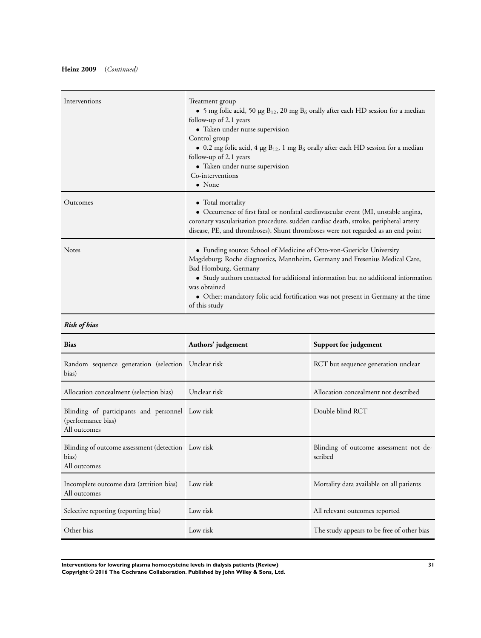| Interventions | Treatment group<br>• 5 mg folic acid, 50 µg $B_{12}$ , 20 mg $B_6$ orally after each HD session for a median<br>follow-up of 2.1 years<br>• Taken under nurse supervision<br>Control group<br>• 0.2 mg folic acid, 4 µg $B_{12}$ , 1 mg $B_6$ orally after each HD session for a median<br>follow-up of 2.1 years<br>• Taken under nurse supervision<br>Co-interventions<br>$\bullet$ None |
|---------------|--------------------------------------------------------------------------------------------------------------------------------------------------------------------------------------------------------------------------------------------------------------------------------------------------------------------------------------------------------------------------------------------|
| Outcomes      | • Total mortality<br>• Occurrence of first fatal or nonfatal cardiovascular event (MI, unstable angina,<br>coronary vascularisation procedure, sudden cardiac death, stroke, peripheral artery<br>disease, PE, and thromboses). Shunt thromboses were not regarded as an end point                                                                                                         |
| <b>Notes</b>  | • Funding source: School of Medicine of Otto-von-Guericke University<br>Magdeburg; Roche diagnostics, Mannheim, Germany and Fresenius Medical Care,<br>Bad Homburg, Germany<br>• Study authors contacted for additional information but no additional information<br>was obtained<br>• Other: mandatory folic acid fortification was not present in Germany at the time<br>of this study   |

# *Risk of bias*

| <b>Bias</b>                                                                           | Authors' judgement | Support for judgement                             |
|---------------------------------------------------------------------------------------|--------------------|---------------------------------------------------|
| Random sequence generation (selection Unclear risk<br>bias)                           |                    | RCT but sequence generation unclear               |
| Allocation concealment (selection bias)                                               | Unclear risk       | Allocation concealment not described              |
| Blinding of participants and personnel Low risk<br>(performance bias)<br>All outcomes |                    | Double blind RCT                                  |
| Blinding of outcome assessment (detection Low risk<br>bias)<br>All outcomes           |                    | Blinding of outcome assessment not de-<br>scribed |
| Incomplete outcome data (attrition bias)<br>All outcomes                              | Low risk           | Mortality data available on all patients          |
| Selective reporting (reporting bias)                                                  | Low risk           | All relevant outcomes reported                    |
| Other bias                                                                            | Low risk           | The study appears to be free of other bias        |

**Interventions for lowering plasma homocysteine levels in dialysis patients (Review) 31 Copyright © 2016 The Cochrane Collaboration. Published by John Wiley & Sons, Ltd.**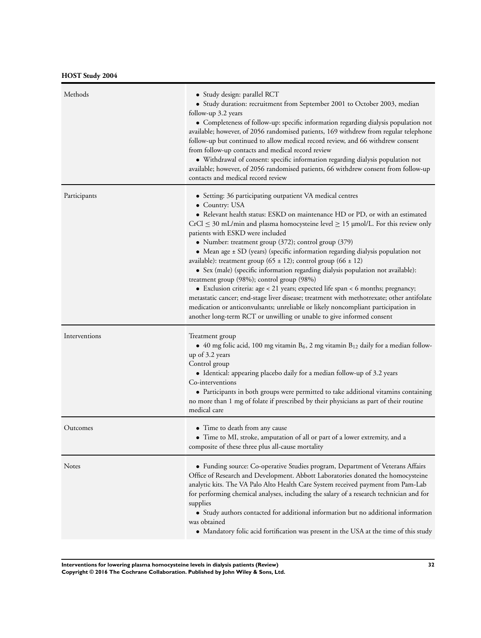| Methods       | • Study design: parallel RCT<br>• Study duration: recruitment from September 2001 to October 2003, median<br>follow-up 3.2 years<br>• Completeness of follow-up: specific information regarding dialysis population not<br>available; however, of 2056 randomised patients, 169 withdrew from regular telephone<br>follow-up but continued to allow medical record review, and 66 withdrew consent<br>from follow-up contacts and medical record review<br>· Withdrawal of consent: specific information regarding dialysis population not<br>available; however, of 2056 randomised patients, 66 withdrew consent from follow-up<br>contacts and medical record review                                                                                                                                                                                                                                                                                                                      |
|---------------|----------------------------------------------------------------------------------------------------------------------------------------------------------------------------------------------------------------------------------------------------------------------------------------------------------------------------------------------------------------------------------------------------------------------------------------------------------------------------------------------------------------------------------------------------------------------------------------------------------------------------------------------------------------------------------------------------------------------------------------------------------------------------------------------------------------------------------------------------------------------------------------------------------------------------------------------------------------------------------------------|
| Participants  | • Setting: 36 participating outpatient VA medical centres<br>• Country: USA<br>• Relevant health status: ESKD on maintenance HD or PD, or with an estimated<br>CrCl $\leq$ 30 mL/min and plasma homocysteine level $\geq$ 15 µmol/L. For this review only<br>patients with ESKD were included<br>• Number: treatment group (372); control group (379)<br>• Mean age ± SD (years) (specific information regarding dialysis population not<br>available): treatment group (65 ± 12); control group (66 ± 12)<br>• Sex (male) (specific information regarding dialysis population not available):<br>treatment group (98%); control group (98%)<br>• Exclusion criteria: $age < 21$ years; expected life span < 6 months; pregnancy;<br>metastatic cancer; end-stage liver disease; treatment with methotrexate; other antifolate<br>medication or anticonvulsants; unreliable or likely noncompliant participation in<br>another long-term RCT or unwilling or unable to give informed consent |
| Interventions | Treatment group<br>• 40 mg folic acid, 100 mg vitamin $B_6$ , 2 mg vitamin $B_{12}$ daily for a median follow-<br>up of 3.2 years<br>Control group<br>• Identical: appearing placebo daily for a median follow-up of 3.2 years<br>Co-interventions<br>• Participants in both groups were permitted to take additional vitamins containing<br>no more than 1 mg of folate if prescribed by their physicians as part of their routine<br>medical care                                                                                                                                                                                                                                                                                                                                                                                                                                                                                                                                          |
| Outcomes      | • Time to death from any cause<br>• Time to MI, stroke, amputation of all or part of a lower extremity, and a<br>composite of these three plus all-cause mortality                                                                                                                                                                                                                                                                                                                                                                                                                                                                                                                                                                                                                                                                                                                                                                                                                           |
| <b>Notes</b>  | • Funding source: Co-operative Studies program, Department of Veterans Affairs<br>Office of Research and Development. Abbott Laboratories donated the homocysteine<br>analytic kits. The VA Palo Alto Health Care System received payment from Pam-Lab<br>for performing chemical analyses, including the salary of a research technician and for<br>supplies<br>• Study authors contacted for additional information but no additional information<br>was obtained<br>• Mandatory folic acid fortification was present in the USA at the time of this study                                                                                                                                                                                                                                                                                                                                                                                                                                 |

**Interventions for lowering plasma homocysteine levels in dialysis patients (Review) 32 Copyright © 2016 The Cochrane Collaboration. Published by John Wiley & Sons, Ltd.**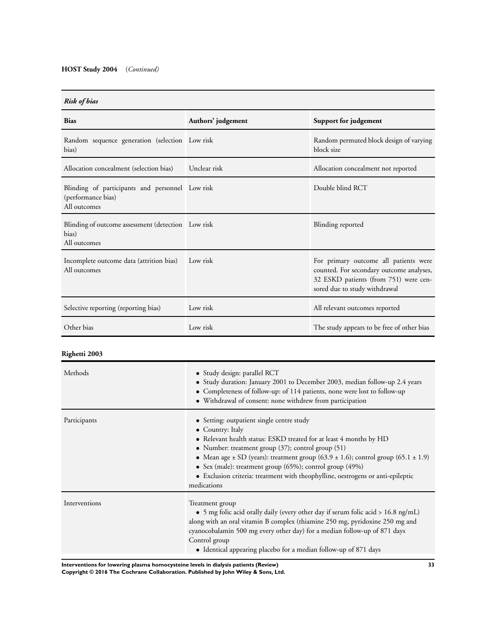## **HOST Study 2004** (*Continued)*

## *Risk of bias*

| <b>Bias</b>                                                                           | Authors' judgement | Support for judgement                                                                                                                                       |  |
|---------------------------------------------------------------------------------------|--------------------|-------------------------------------------------------------------------------------------------------------------------------------------------------------|--|
| Random sequence generation (selection Low risk<br>bias)                               |                    | Random permuted block design of varying<br>block size                                                                                                       |  |
| Allocation concealment (selection bias)                                               | Unclear risk       | Allocation concealment not reported                                                                                                                         |  |
| Blinding of participants and personnel Low risk<br>(performance bias)<br>All outcomes |                    | Double blind RCT                                                                                                                                            |  |
| Blinding of outcome assessment (detection Low risk<br>bias)<br>All outcomes           |                    | Blinding reported                                                                                                                                           |  |
| Incomplete outcome data (attrition bias)<br>All outcomes                              | Low risk           | For primary outcome all patients were<br>counted. For secondary outcome analyses,<br>32 ESKD patients (from 751) were cen-<br>sored due to study withdrawal |  |
| Selective reporting (reporting bias)                                                  | Low risk           | All relevant outcomes reported                                                                                                                              |  |
| Other bias                                                                            | Low risk           | The study appears to be free of other bias                                                                                                                  |  |

## **Righetti 2003**

| Methods       | • Study design: parallel RCT<br>• Study duration: January 2001 to December 2003, median follow-up 2.4 years<br>• Completeness of follow-up: of 114 patients, none were lost to follow-up<br>• Withdrawal of consent: none withdrew from participation                                                                                                                                                                                                                        |
|---------------|------------------------------------------------------------------------------------------------------------------------------------------------------------------------------------------------------------------------------------------------------------------------------------------------------------------------------------------------------------------------------------------------------------------------------------------------------------------------------|
| Participants  | • Setting: outpatient single centre study<br>$\bullet$ Country: Italy<br>• Relevant health status: ESKD treated for at least 4 months by HD<br>• Number: treatment group $(37)$ ; control group $(51)$<br>• Mean age $\pm$ SD (years): treatment group (63.9 $\pm$ 1.6); control group (65.1 $\pm$ 1.9)<br>• Sex (male): treatment group $(65\%)$ ; control group $(49\%)$<br>• Exclusion criteria: treatment with theophylline, oestrogens or anti-epileptic<br>medications |
| Interventions | Treatment group<br>• 5 mg folic acid orally daily (every other day if serum folic acid $> 16.8$ ng/mL)<br>along with an oral vitamin B complex (thiamine 250 mg, pyridoxine 250 mg and<br>cyanocobalamin 500 mg every other day) for a median follow-up of 871 days<br>Control group<br>• Identical appearing placebo for a median follow-up of 871 days                                                                                                                     |

**Interventions for lowering plasma homocysteine levels in dialysis patients (Review) 33**

**Copyright © 2016 The Cochrane Collaboration. Published by John Wiley & Sons, Ltd.**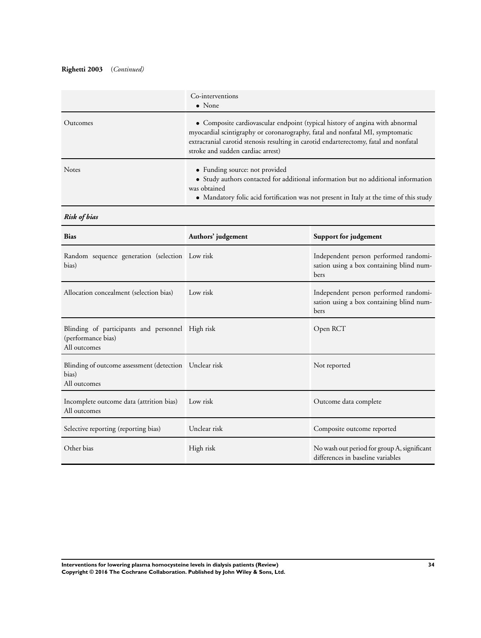## **Righetti 2003** (*Continued)*

|              | Co-interventions<br>$\bullet$ None                                                                                                                                                                                                                                                          |
|--------------|---------------------------------------------------------------------------------------------------------------------------------------------------------------------------------------------------------------------------------------------------------------------------------------------|
| Outcomes     | • Composite cardiovascular endpoint (typical history of angina with abnormal<br>myocardial scintigraphy or coronarography, fatal and nonfatal MI, symptomatic<br>extracranial carotid stenosis resulting in carotid endarterectomy, fatal and nonfatal<br>stroke and sudden cardiac arrest) |
| <b>Notes</b> | • Funding source: not provided<br>• Study authors contacted for additional information but no additional information<br>was obtained<br>• Mandatory folic acid fortification was not present in Italy at the time of this study                                                             |

*Risk of bias*

| <b>Bias</b>                                                                            | Authors' judgement | Support for judgement                                                                     |
|----------------------------------------------------------------------------------------|--------------------|-------------------------------------------------------------------------------------------|
| Random sequence generation (selection Low risk<br>bias)                                |                    | Independent person performed randomi-<br>sation using a box containing blind num-<br>bers |
| Allocation concealment (selection bias)                                                | Low risk           | Independent person performed randomi-<br>sation using a box containing blind num-<br>bers |
| Blinding of participants and personnel High risk<br>(performance bias)<br>All outcomes |                    | Open RCT                                                                                  |
| Blinding of outcome assessment (detection Unclear risk<br>bias)<br>All outcomes        |                    | Not reported                                                                              |
| Incomplete outcome data (attrition bias)<br>All outcomes                               | Low risk           | Outcome data complete                                                                     |
| Selective reporting (reporting bias)                                                   | Unclear risk       | Composite outcome reported                                                                |
| Other bias                                                                             | High risk          | No wash out period for group A, significant<br>differences in baseline variables          |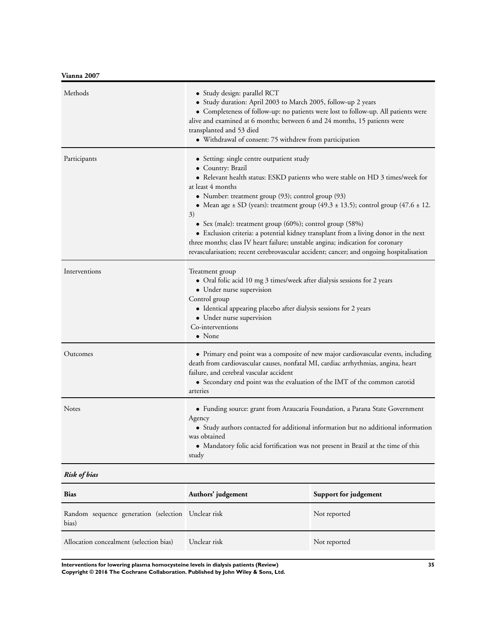| Methods       | · Study design: parallel RCT<br>• Study duration: April 2003 to March 2005, follow-up 2 years<br>• Completeness of follow-up: no patients were lost to follow-up. All patients were<br>alive and examined at 6 months; between 6 and 24 months, 15 patients were<br>transplanted and 53 died<br>· Withdrawal of consent: 75 withdrew from participation                                                                                                                                                                                                                                                                                                            |
|---------------|--------------------------------------------------------------------------------------------------------------------------------------------------------------------------------------------------------------------------------------------------------------------------------------------------------------------------------------------------------------------------------------------------------------------------------------------------------------------------------------------------------------------------------------------------------------------------------------------------------------------------------------------------------------------|
| Participants  | • Setting: single centre outpatient study<br>· Country: Brazil<br>• Relevant health status: ESKD patients who were stable on HD 3 times/week for<br>at least 4 months<br>• Number: treatment group (93); control group (93)<br>• Mean age $\pm$ SD (years): treatment group (49.3 $\pm$ 13.5); control group (47.6 $\pm$ 12.<br>3)<br>• Sex (male): treatment group (60%); control group (58%)<br>• Exclusion criteria: a potential kidney transplant from a living donor in the next<br>three months; class IV heart failure; unstable angina; indication for coronary<br>revascularisation; recent cerebrovascular accident; cancer; and ongoing hospitalisation |
| Interventions | Treatment group<br>• Oral folic acid 10 mg 3 times/week after dialysis sessions for 2 years<br>• Under nurse supervision<br>Control group<br>• Identical appearing placebo after dialysis sessions for 2 years<br>• Under nurse supervision<br>Co-interventions<br>$\bullet$ None                                                                                                                                                                                                                                                                                                                                                                                  |
| Outcomes      | • Primary end point was a composite of new major cardiovascular events, including<br>death from cardiovascular causes, nonfatal MI, cardiac arrhythmias, angina, heart<br>failure, and cerebral vascular accident<br>• Secondary end point was the evaluation of the IMT of the common carotid<br>arteries                                                                                                                                                                                                                                                                                                                                                         |
| <b>Notes</b>  | • Funding source: grant from Araucaria Foundation, a Parana State Government<br>Agency<br>• Study authors contacted for additional information but no additional information<br>was obtained<br>• Mandatory folic acid fortification was not present in Brazil at the time of this<br>study                                                                                                                                                                                                                                                                                                                                                                        |

## *Risk of bias*

| <b>Bias</b>                                                 | Authors' judgement | Support for judgement |
|-------------------------------------------------------------|--------------------|-----------------------|
| Random sequence generation (selection Unclear risk<br>bias) |                    | Not reported          |
| Allocation concealment (selection bias)                     | Unclear risk       | Not reported          |

**Interventions for lowering plasma homocysteine levels in dialysis patients (Review) 35 Copyright © 2016 The Cochrane Collaboration. Published by John Wiley & Sons, Ltd.**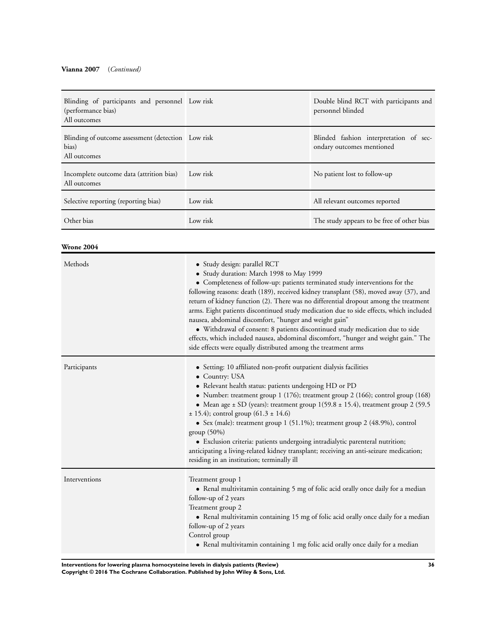## **Vianna 2007** (*Continued)*

| Blinding of participants and personnel Low risk<br>(performance bias)<br>All outcomes |          | Double blind RCT with participants and<br>personnel blinded         |
|---------------------------------------------------------------------------------------|----------|---------------------------------------------------------------------|
| Blinding of outcome assessment (detection Low risk<br>bias)<br>All outcomes           |          | Blinded fashion interpretation of sec-<br>ondary outcomes mentioned |
| Incomplete outcome data (attrition bias) Low risk<br>All outcomes                     |          | No patient lost to follow-up                                        |
| Selective reporting (reporting bias)                                                  | Low risk | All relevant outcomes reported                                      |
| Other bias                                                                            | Low risk | The study appears to be free of other bias                          |

## **Wrone 2004**

| Methods       | • Study design: parallel RCT<br>• Study duration: March 1998 to May 1999<br>• Completeness of follow-up: patients terminated study interventions for the<br>following reasons: death (189), received kidney transplant (58), moved away (37), and<br>return of kidney function (2). There was no differential dropout among the treatment<br>arms. Eight patients discontinued study medication due to side effects, which included<br>nausea, abdominal discomfort, "hunger and weight gain"<br>• Withdrawal of consent: 8 patients discontinued study medication due to side<br>effects, which included nausea, abdominal discomfort, "hunger and weight gain." The<br>side effects were equally distributed among the treatment arms |
|---------------|-----------------------------------------------------------------------------------------------------------------------------------------------------------------------------------------------------------------------------------------------------------------------------------------------------------------------------------------------------------------------------------------------------------------------------------------------------------------------------------------------------------------------------------------------------------------------------------------------------------------------------------------------------------------------------------------------------------------------------------------|
| Participants  | • Setting: 10 affiliated non-profit outpatient dialysis facilities<br>• Country: USA<br>• Relevant health status: patients undergoing HD or PD<br>• Number: treatment group 1 (176); treatment group 2 (166); control group (168)<br>• Mean age $\pm$ SD (years): treatment group 1(59.8 $\pm$ 15.4), treatment group 2 (59.5<br>$\pm$ 15.4); control group (61.3 $\pm$ 14.6)<br>• Sex (male): treatment group $1$ (51.1%); treatment group $2$ (48.9%), control<br>group $(50\%)$<br>• Exclusion criteria: patients undergoing intradialytic parenteral nutrition;<br>anticipating a living-related kidney transplant; receiving an anti-seizure medication;<br>residing in an institution; terminally ill                             |
| Interventions | Treatment group 1<br>• Renal multivitamin containing 5 mg of folic acid orally once daily for a median<br>follow-up of 2 years<br>Treatment group 2<br>• Renal multivitamin containing 15 mg of folic acid orally once daily for a median<br>follow-up of 2 years<br>Control group<br>• Renal multivitamin containing 1 mg folic acid orally once daily for a median                                                                                                                                                                                                                                                                                                                                                                    |

**Interventions for lowering plasma homocysteine levels in dialysis patients (Review) 36**

**Copyright © 2016 The Cochrane Collaboration. Published by John Wiley & Sons, Ltd.**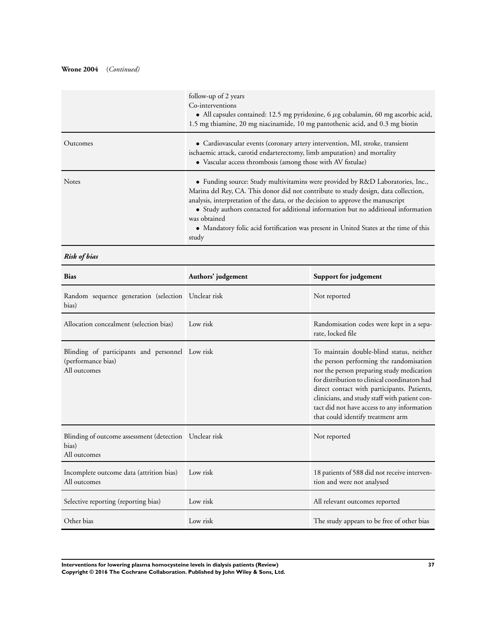## **Wrone 2004** (*Continued)*

|                 | follow-up of 2 years<br>Co-interventions<br>• All capsules contained: 12.5 mg pyridoxine, 6 $\mu$ g cobalamin, 60 mg ascorbic acid,<br>1.5 mg thiamine, 20 mg niacinamide, 10 mg pantothenic acid, and 0.3 mg biotin                                                                                                                                                                                                                                             |
|-----------------|------------------------------------------------------------------------------------------------------------------------------------------------------------------------------------------------------------------------------------------------------------------------------------------------------------------------------------------------------------------------------------------------------------------------------------------------------------------|
| <b>Outcomes</b> | • Cardiovascular events (coronary artery intervention, MI, stroke, transient<br>ischaemic attack, carotid endarterectomy, limb amputation) and mortality<br>• Vascular access thrombosis (among those with AV fistulae)                                                                                                                                                                                                                                          |
| <b>Notes</b>    | • Funding source: Study multivitamins were provided by R&D Laboratories, Inc.,<br>Marina del Rey, CA. This donor did not contribute to study design, data collection,<br>analysis, interpretation of the data, or the decision to approve the manuscript<br>• Study authors contacted for additional information but no additional information<br>was obtained<br>• Mandatory folic acid fortification was present in United States at the time of this<br>study |

*Risk of bias*

| <b>Bias</b>                                                                           | Authors' judgement | Support for judgement                                                                                                                                                                                                                                                                                                                                                 |
|---------------------------------------------------------------------------------------|--------------------|-----------------------------------------------------------------------------------------------------------------------------------------------------------------------------------------------------------------------------------------------------------------------------------------------------------------------------------------------------------------------|
| Random sequence generation (selection Unclear risk<br>bias)                           |                    | Not reported                                                                                                                                                                                                                                                                                                                                                          |
| Allocation concealment (selection bias)                                               | Low risk           | Randomisation codes were kept in a sepa-<br>rate, locked file                                                                                                                                                                                                                                                                                                         |
| Blinding of participants and personnel Low risk<br>(performance bias)<br>All outcomes |                    | To maintain double-blind status, neither<br>the person performing the randomisation<br>nor the person preparing study medication<br>for distribution to clinical coordinators had<br>direct contact with participants. Patients,<br>clinicians, and study staff with patient con-<br>tact did not have access to any information<br>that could identify treatment arm |
| Blinding of outcome assessment (detection Unclear risk<br>bias)<br>All outcomes       |                    | Not reported                                                                                                                                                                                                                                                                                                                                                          |
| Incomplete outcome data (attrition bias)<br>All outcomes                              | Low risk           | 18 patients of 588 did not receive interven-<br>tion and were not analysed                                                                                                                                                                                                                                                                                            |
| Selective reporting (reporting bias)                                                  | Low risk           | All relevant outcomes reported                                                                                                                                                                                                                                                                                                                                        |
| Other bias                                                                            | Low risk           | The study appears to be free of other bias                                                                                                                                                                                                                                                                                                                            |

**Interventions for lowering plasma homocysteine levels in dialysis patients (Review) 37 Copyright © 2016 The Cochrane Collaboration. Published by John Wiley & Sons, Ltd.**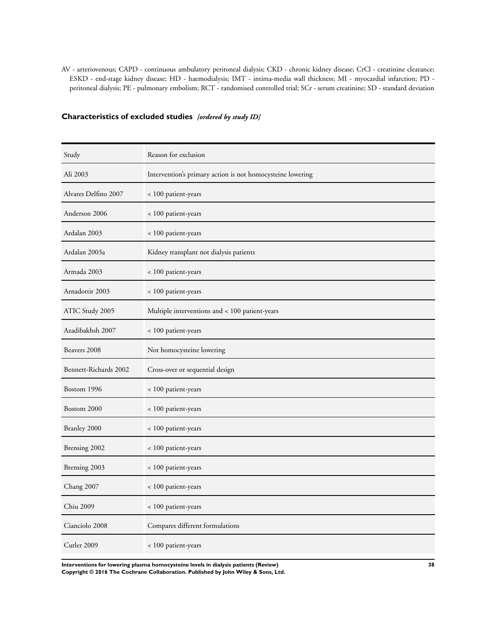<span id="page-40-0"></span>AV - arteriovenous; CAPD - continuous ambulatory peritoneal dialysis; CKD - chronic kidney disease; CrCl - creatinine clearance; ESKD - end-stage kidney disease; HD - haemodialysis; IMT - intima-media wall thickness; MI - myocardial infarction; PD peritoneal dialysis; PE - pulmonary embolism; RCT - randomised controlled trial; SCr - serum creatinine; SD - standard deviation

## **Characteristics of excluded studies** *[ordered by study ID]*

| Study                 | Reason for exclusion                                       |
|-----------------------|------------------------------------------------------------|
| Ali 2003              | Intervention's primary action is not homocysteine lowering |
| Alvares Delfino 2007  | < 100 patient-years                                        |
| Anderson 2006         | < 100 patient-years                                        |
| Ardalan 2003          | < 100 patient-years                                        |
| Ardalan 2003a         | Kidney transplant not dialysis patients                    |
| Armada 2003           | < 100 patient-years                                        |
| Arnadottir 2003       | < 100 patient-years                                        |
| ATIC Study 2005       | Multiple interventions and < 100 patient-years             |
| Azadibakhsh 2007      | < 100 patient-years                                        |
| Beavers 2008          | Not homocysteine lowering                                  |
| Bennett-Richards 2002 | Cross-over or sequential design                            |
| Bostom 1996           | < 100 patient-years                                        |
| Bostom 2000           | < 100 patient-years                                        |
| Branley 2000          | < 100 patient-years                                        |
| Brensing 2002         | < 100 patient-years                                        |
| Brensing 2003         | < 100 patient-years                                        |
| Chang 2007            | < 100 patient-years                                        |
| Chiu 2009             | < 100 patient-years                                        |
| Cianciolo 2008        | Compares different formulations                            |
| Cutler 2009           | < 100 patient-years                                        |

**Interventions for lowering plasma homocysteine levels in dialysis patients (Review) 38 Copyright © 2016 The Cochrane Collaboration. Published by John Wiley & Sons, Ltd.**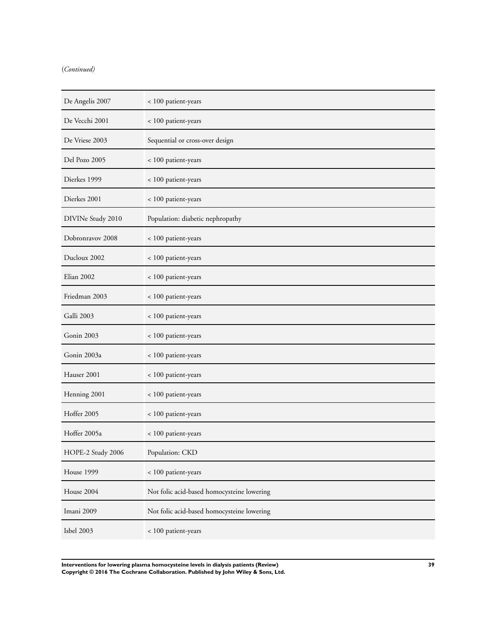| De Angelis 2007             | < 100 patient-years                        |
|-----------------------------|--------------------------------------------|
| De Vecchi 2001              | < 100 patient-years                        |
| De Vriese 2003              | Sequential or cross-over design            |
| Del Pozo 2005               | < 100 patient-years                        |
| Dierkes 1999                | < 100 patient-years                        |
| Dierkes 2001                | < 100 patient-years                        |
| DIVINe Study 2010           | Population: diabetic nephropathy           |
| Dobronravov <sub>2008</sub> | < 100 patient-years                        |
| Ducloux 2002                | < 100 patient-years                        |
| Elian 2002                  | < 100 patient-years                        |
| Friedman 2003               | < 100 patient-years                        |
| Galli 2003                  | < 100 patient-years                        |
| Gonin 2003                  | < 100 patient-years                        |
| Gonin 2003a                 | < 100 patient-years                        |
| Hauser 2001                 | < 100 patient-years                        |
| Henning 2001                | < 100 patient-years                        |
| Hoffer 2005                 | < 100 patient-years                        |
| Hoffer 2005a                | < 100 patient-years                        |
| HOPE-2 Study 2006           | Population: CKD                            |
| House 1999                  | < 100 patient-years                        |
| House 2004                  | Not folic acid-based homocysteine lowering |
| Imani 2009                  | Not folic acid-based homocysteine lowering |
| <b>Isbel 2003</b>           | < 100 patient-years                        |

**Interventions for lowering plasma homocysteine levels in dialysis patients (Review) 39 Copyright © 2016 The Cochrane Collaboration. Published by John Wiley & Sons, Ltd.**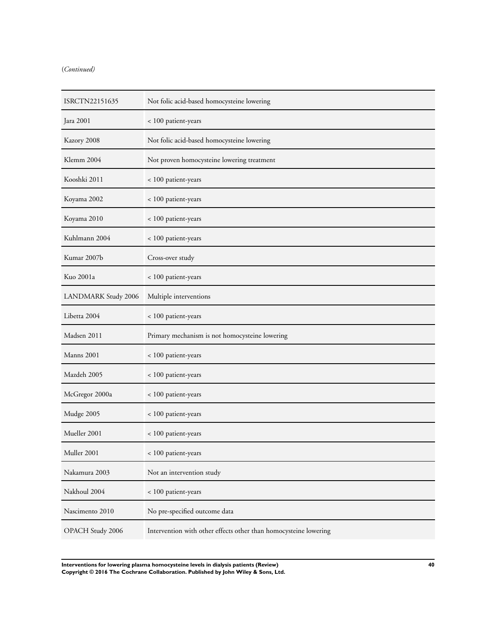| ISRCTN22151635             | Not folic acid-based homocysteine lowering                       |
|----------------------------|------------------------------------------------------------------|
| Jara 2001                  | < 100 patient-years                                              |
| Kazory 2008                | Not folic acid-based homocysteine lowering                       |
| Klemm 2004                 | Not proven homocysteine lowering treatment                       |
| Kooshki 2011               | < 100 patient-years                                              |
| Koyama 2002                | < 100 patient-years                                              |
| Koyama 2010                | < 100 patient-years                                              |
| Kuhlmann 2004              | < 100 patient-years                                              |
| Kumar 2007b                | Cross-over study                                                 |
| Kuo 2001a                  | < 100 patient-years                                              |
| <b>LANDMARK Study 2006</b> | Multiple interventions                                           |
| Libetta 2004               | < 100 patient-years                                              |
| Madsen 2011                | Primary mechanism is not homocysteine lowering                   |
| Manns 2001                 | < 100 patient-years                                              |
| Mazdeh 2005                | < 100 patient-years                                              |
| McGregor 2000a             | < 100 patient-years                                              |
| Mudge 2005                 | < 100 patient-years                                              |
| Mueller 2001               | < 100 patient-years                                              |
| Muller 2001                | < 100 patient-years                                              |
| Nakamura 2003              | Not an intervention study                                        |
| Nakhoul 2004               | < 100 patient-years                                              |
| Nascimento 2010            | No pre-specified outcome data                                    |
| OPACH Study 2006           | Intervention with other effects other than homocysteine lowering |

**Interventions for lowering plasma homocysteine levels in dialysis patients (Review) 40 Copyright © 2016 The Cochrane Collaboration. Published by John Wiley & Sons, Ltd.**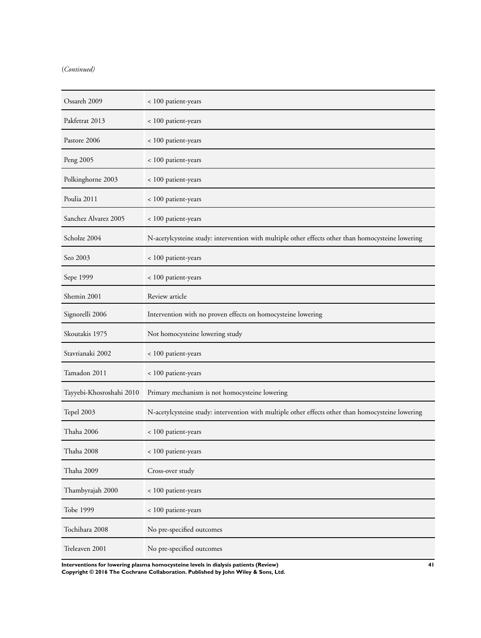| Ossareh 2009             | < 100 patient-years                                                                               |
|--------------------------|---------------------------------------------------------------------------------------------------|
| Pakfetrat 2013           | < 100 patient-years                                                                               |
| Pastore 2006             | < 100 patient-years                                                                               |
| Peng 2005                | < 100 patient-years                                                                               |
| Polkinghorne 2003        | < 100 patient-years                                                                               |
| Poulia 2011              | < 100 patient-years                                                                               |
| Sanchez Alvarez 2005     | < 100 patient-years                                                                               |
| Scholze 2004             | N-acetylcysteine study: intervention with multiple other effects other than homocysteine lowering |
| Seo 2003                 | < 100 patient-years                                                                               |
| Sepe 1999                | < 100 patient-years                                                                               |
| Shemin 2001              | Review article                                                                                    |
| Signorelli 2006          | Intervention with no proven effects on homocysteine lowering                                      |
| Skoutakis 1975           | Not homocysteine lowering study                                                                   |
| Stavrianaki 2002         | < 100 patient-years                                                                               |
| Tamadon 2011             | < 100 patient-years                                                                               |
| Tayyebi-Khosroshahi 2010 | Primary mechanism is not homocysteine lowering                                                    |
| Tepel 2003               | N-acetylcysteine study: intervention with multiple other effects other than homocysteine lowering |
| Thaha 2006               | < 100 patient-years                                                                               |
| Thaha 2008               | < 100 patient-years                                                                               |
| Thaha 2009               | Cross-over study                                                                                  |
| Thambyrajah 2000         | < 100 patient-years                                                                               |
| Tobe 1999                | < 100 patient-years                                                                               |
| Tochihara 2008           | No pre-specified outcomes                                                                         |
| Treleaven 2001           | No pre-specified outcomes                                                                         |

**Interventions for lowering plasma homocysteine levels in dialysis patients (Review) 41 Copyright © 2016 The Cochrane Collaboration. Published by John Wiley & Sons, Ltd.**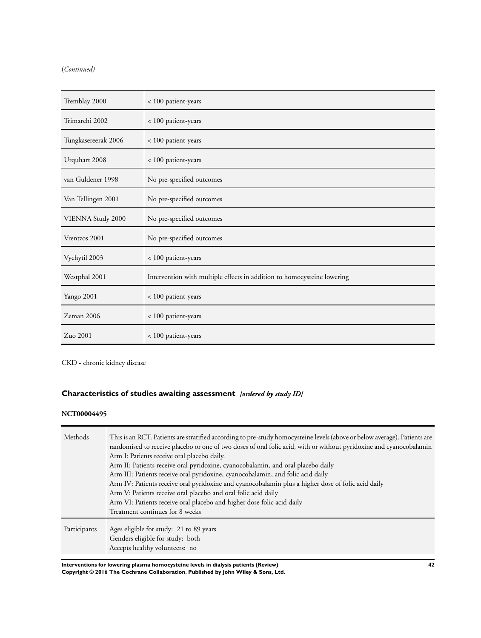| Tremblay 2000       | < 100 patient-years                                                     |
|---------------------|-------------------------------------------------------------------------|
| Trimarchi 2002      | < 100 patient-years                                                     |
| Tungkasereerak 2006 | < 100 patient-years                                                     |
| Urquhart 2008       | < 100 patient-years                                                     |
| van Guldener 1998   | No pre-specified outcomes                                               |
| Van Tellingen 2001  | No pre-specified outcomes                                               |
| VIENNA Study 2000   | No pre-specified outcomes                                               |
| Vrentzos 2001       | No pre-specified outcomes                                               |
| Vychytil 2003       | < 100 patient-years                                                     |
| Westphal 2001       | Intervention with multiple effects in addition to homocysteine lowering |
| Yango 2001          | < 100 patient-years                                                     |
| Zeman 2006          | < 100 patient-years                                                     |
| Zuo 2001            | < 100 patient-years                                                     |

CKD - chronic kidney disease

# **Characteristics of studies awaiting assessment** *[ordered by study ID]*

## **NCT00004495**

| Methods      | This is an RCT. Patients are stratified according to pre-study homocysteine levels (above or below average). Patients are<br>randomised to receive placebo or one of two doses of oral folic acid, with or without pyridoxine and cyanocobalamin<br>Arm I: Patients receive oral placebo daily.<br>Arm II: Patients receive oral pyridoxine, cyanocobalamin, and oral placebo daily<br>Arm III: Patients receive oral pyridoxine, cyanocobalamin, and folic acid daily<br>Arm IV: Patients receive oral pyridoxine and cyanocobalamin plus a higher dose of folic acid daily<br>Arm V: Patients receive oral placebo and oral folic acid daily<br>Arm VI: Patients receive oral placebo and higher dose folic acid daily<br>Treatment continues for 8 weeks |
|--------------|-------------------------------------------------------------------------------------------------------------------------------------------------------------------------------------------------------------------------------------------------------------------------------------------------------------------------------------------------------------------------------------------------------------------------------------------------------------------------------------------------------------------------------------------------------------------------------------------------------------------------------------------------------------------------------------------------------------------------------------------------------------|
| Participants | Ages eligible for study: 21 to 89 years<br>Genders eligible for study: both<br>Accepts healthy volunteers: no                                                                                                                                                                                                                                                                                                                                                                                                                                                                                                                                                                                                                                               |

**Interventions for lowering plasma homocysteine levels in dialysis patients (Review) 42 Copyright © 2016 The Cochrane Collaboration. Published by John Wiley & Sons, Ltd.**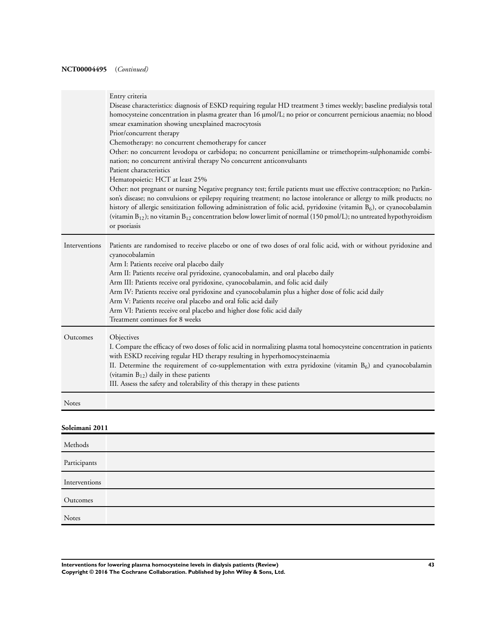## **NCT00004495** (*Continued)*

|               | Entry criteria                                                                                                                                                                                                                                                                                                                                                                                                                                                                                                         |
|---------------|------------------------------------------------------------------------------------------------------------------------------------------------------------------------------------------------------------------------------------------------------------------------------------------------------------------------------------------------------------------------------------------------------------------------------------------------------------------------------------------------------------------------|
|               | Disease characteristics: diagnosis of ESKD requiring regular HD treatment 3 times weekly; baseline predialysis total<br>homocysteine concentration in plasma greater than 16 µmol/L; no prior or concurrent pernicious anaemia; no blood                                                                                                                                                                                                                                                                               |
|               | smear examination showing unexplained macrocytosis                                                                                                                                                                                                                                                                                                                                                                                                                                                                     |
|               | Prior/concurrent therapy                                                                                                                                                                                                                                                                                                                                                                                                                                                                                               |
|               | Chemotherapy: no concurrent chemotherapy for cancer                                                                                                                                                                                                                                                                                                                                                                                                                                                                    |
|               | Other: no concurrent levodopa or carbidopa; no concurrent penicillamine or trimethoprim-sulphonamide combi-<br>nation; no concurrent antiviral therapy No concurrent anticonvulsants                                                                                                                                                                                                                                                                                                                                   |
|               | Patient characteristics                                                                                                                                                                                                                                                                                                                                                                                                                                                                                                |
|               | Hematopoietic: HCT at least 25%                                                                                                                                                                                                                                                                                                                                                                                                                                                                                        |
|               | Other: not pregnant or nursing Negative pregnancy test; fertile patients must use effective contraception; no Parkin-<br>son's disease; no convulsions or epilepsy requiring treatment; no lactose intolerance or allergy to milk products; no<br>history of allergic sensitization following administration of folic acid, pyridoxine (vitamin B6), or cyanocobalamin<br>(vitamin $B_{12}$ ); no vitamin $B_{12}$ concentration below lower limit of normal (150 pmol/L); no untreated hypothyroidism<br>or psoriasis |
|               |                                                                                                                                                                                                                                                                                                                                                                                                                                                                                                                        |
| Interventions | Patients are randomised to receive placebo or one of two doses of oral folic acid, with or without pyridoxine and                                                                                                                                                                                                                                                                                                                                                                                                      |
|               | cyanocobalamin                                                                                                                                                                                                                                                                                                                                                                                                                                                                                                         |
|               | Arm I: Patients receive oral placebo daily                                                                                                                                                                                                                                                                                                                                                                                                                                                                             |
|               | Arm II: Patients receive oral pyridoxine, cyanocobalamin, and oral placebo daily                                                                                                                                                                                                                                                                                                                                                                                                                                       |
|               | Arm III: Patients receive oral pyridoxine, cyanocobalamin, and folic acid daily                                                                                                                                                                                                                                                                                                                                                                                                                                        |
|               | Arm IV: Patients receive oral pyridoxine and cyanocobalamin plus a higher dose of folic acid daily                                                                                                                                                                                                                                                                                                                                                                                                                     |
|               | Arm V: Patients receive oral placebo and oral folic acid daily                                                                                                                                                                                                                                                                                                                                                                                                                                                         |
|               | Arm VI: Patients receive oral placebo and higher dose folic acid daily                                                                                                                                                                                                                                                                                                                                                                                                                                                 |
|               | Treatment continues for 8 weeks                                                                                                                                                                                                                                                                                                                                                                                                                                                                                        |
| Outcomes      | Objectives                                                                                                                                                                                                                                                                                                                                                                                                                                                                                                             |
|               | I. Compare the efficacy of two doses of folic acid in normalizing plasma total homocysteine concentration in patients                                                                                                                                                                                                                                                                                                                                                                                                  |
|               | with ESKD receiving regular HD therapy resulting in hyperhomocysteinaemia                                                                                                                                                                                                                                                                                                                                                                                                                                              |
|               | II. Determine the requirement of co-supplementation with extra pyridoxine (vitamin $B_6$ ) and cyanocobalamin                                                                                                                                                                                                                                                                                                                                                                                                          |
|               | (vitamin $B_{12}$ ) daily in these patients                                                                                                                                                                                                                                                                                                                                                                                                                                                                            |
|               | III. Assess the safety and tolerability of this therapy in these patients                                                                                                                                                                                                                                                                                                                                                                                                                                              |
|               |                                                                                                                                                                                                                                                                                                                                                                                                                                                                                                                        |
| Notes         |                                                                                                                                                                                                                                                                                                                                                                                                                                                                                                                        |

## **Soleimani 2011**

| Methods       |  |
|---------------|--|
| Participants  |  |
| Interventions |  |
| Outcomes      |  |
| Notes         |  |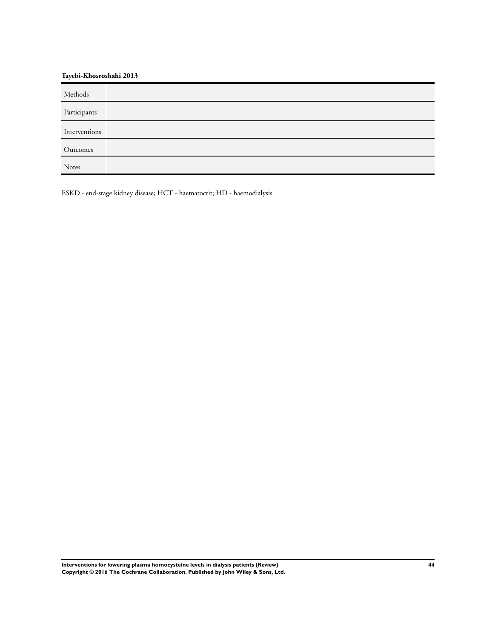## **Tayebi-Khosroshahi 2013**

| Methods       |  |
|---------------|--|
| Participants  |  |
| Interventions |  |
| Outcomes      |  |
| Notes         |  |

ESKD - end-stage kidney disease; HCT - haematocrit; HD - haemodialysis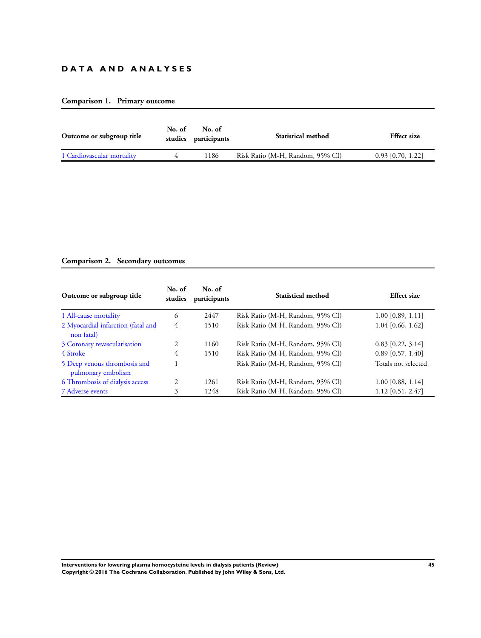## **D A T A A N D A N A L Y S E S**

## **Comparison 1. Primary outcome**

| Outcome or subgroup title  | No. of | No. of<br>studies participants | <b>Statistical method</b>        | <b>Effect</b> size  |
|----------------------------|--------|--------------------------------|----------------------------------|---------------------|
| 1 Cardiovascular mortality |        | 1186                           | Risk Ratio (M-H, Random, 95% CI) | $0.93$ [0.70, 1.22] |

## **Comparison 2. Secondary outcomes**

| Outcome or subgroup title                          | No. of<br>studies | No. of<br>participants | Statistical method               | <b>Effect</b> size  |
|----------------------------------------------------|-------------------|------------------------|----------------------------------|---------------------|
| 1 All-cause mortality                              | 6                 | 2447                   | Risk Ratio (M-H, Random, 95% CI) | $1.00$ [0.89, 1.11] |
| 2 Myocardial infarction (fatal and<br>non fatal)   | 4                 | 1510                   | Risk Ratio (M-H, Random, 95% CI) | 1.04 [0.66, 1.62]   |
| 3 Coronary revascularisation                       | 2                 | 1160                   | Risk Ratio (M-H, Random, 95% CI) | $0.83$ [0.22, 3.14] |
| 4 Stroke                                           | 4                 | 1510                   | Risk Ratio (M-H, Random, 95% CI) | $0.89$ [0.57, 1.40] |
| 5 Deep venous thrombosis and<br>pulmonary embolism |                   |                        | Risk Ratio (M-H, Random, 95% CI) | Totals not selected |
| 6 Thrombosis of dialysis access                    | 2                 | 1261                   | Risk Ratio (M-H, Random, 95% CI) | $1.00$ [0.88, 1.14] |
| 7 Adverse events                                   | 3                 | 1248                   | Risk Ratio (M-H, Random, 95% CI) | 1.12 [0.51, 2.47]   |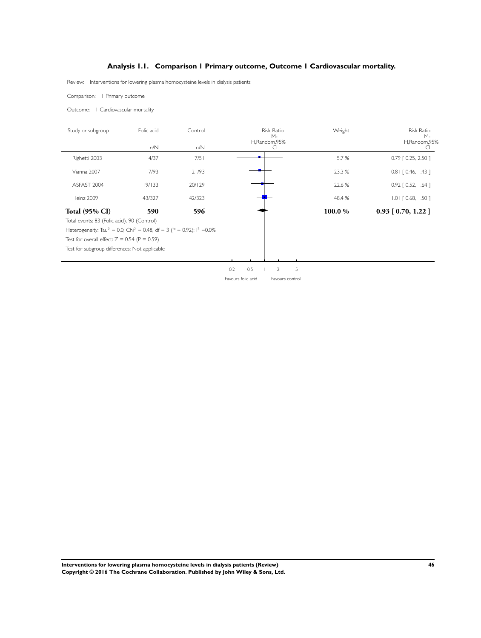## **Analysis 1.1. Comparison 1 Primary outcome, Outcome 1 Cardiovascular mortality.**

<span id="page-48-0"></span>Review: Interventions for lowering plasma homocysteine levels in dialysis patients

Comparison: 1 Primary outcome

Outcome: 1 Cardiovascular mortality

| Study or subgroup                                                                                        | Folic acid | Control | <b>Risk Ratio</b><br>$M -$            | Weight | <b>Risk Ratio</b><br>$M -$ |
|----------------------------------------------------------------------------------------------------------|------------|---------|---------------------------------------|--------|----------------------------|
|                                                                                                          | n/N        | n/N     | H,Random,95%                          |        | H,Random,95%               |
| Righetti 2003                                                                                            | 4/37       | 7/51    |                                       | 5.7%   | $0.79$ $[0.25, 2.50]$      |
| Vianna 2007                                                                                              | 17/93      | 21/93   |                                       | 23.3 % | $0.81$ $[0.46, 1.43]$      |
| ASFAST 2004                                                                                              | 19/133     | 20/129  |                                       | 22.6 % | $0.92$ [ 0.52, 1.64 ]      |
| Heinz 2009                                                                                               | 43/327     | 42/323  |                                       | 48.4 % | $1.01$ $[0.68, 1.50]$      |
| <b>Total (95% CI)</b>                                                                                    | 590        | 596     |                                       | 100.0% | $0.93$ [ $0.70$ , 1.22 ]   |
| Total events: 83 (Folic acid), 90 (Control)                                                              |            |         |                                       |        |                            |
| Heterogeneity: Tau <sup>2</sup> = 0.0; Chi <sup>2</sup> = 0.48, df = 3 (P = 0.92); l <sup>2</sup> = 0.0% |            |         |                                       |        |                            |
| Test for overall effect: $Z = 0.54$ (P = 0.59)                                                           |            |         |                                       |        |                            |
| Test for subgroup differences: Not applicable                                                            |            |         |                                       |        |                            |
|                                                                                                          |            |         |                                       |        |                            |
|                                                                                                          |            |         | 0.5<br>$\overline{2}$<br>0.2<br>5     |        |                            |
|                                                                                                          |            |         | Favours folic acid<br>Favours control |        |                            |

**Interventions for lowering plasma homocysteine levels in dialysis patients (Review) 46 Copyright © 2016 The Cochrane Collaboration. Published by John Wiley & Sons, Ltd.**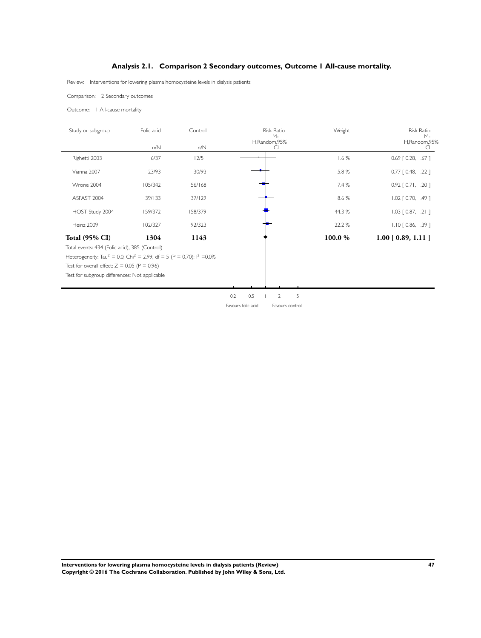## **Analysis 2.1. Comparison 2 Secondary outcomes, Outcome 1 All-cause mortality.**

<span id="page-49-0"></span>Review: Interventions for lowering plasma homocysteine levels in dialysis patients

Comparison: 2 Secondary outcomes

Outcome: 1 All-cause mortality

| Study or subgroup                                                                                        | Folic acid | Control | <b>Risk Ratio</b><br>$M -$            | Weight | <b>Risk Ratio</b><br>$M -$ |
|----------------------------------------------------------------------------------------------------------|------------|---------|---------------------------------------|--------|----------------------------|
|                                                                                                          | n/N        | n/N     | H,Random,95%<br>CI                    |        | H,Random,95%               |
| Righetti 2003                                                                                            | 6/37       | 12/51   |                                       | 1.6%   | $0.69$ $[0.28, 1.67]$      |
| Vianna 2007                                                                                              | 23/93      | 30/93   |                                       | 5.8 %  | $0.77$ $[0.48, 1.22]$      |
| Wrone 2004                                                                                               | 105/342    | 56/168  |                                       | 17.4 % | $0.92$ $[0.71, 1.20]$      |
| ASFAST 2004                                                                                              | 39/133     | 37/129  |                                       | 8.6 %  | $1.02$ $[0.70, 1.49]$      |
| HOST Study 2004                                                                                          | 159/372    | 158/379 |                                       | 44.3 % | $1.03$ $[0.87, 1.21]$      |
| Heinz 2009                                                                                               | 102/327    | 92/323  |                                       | 22.2 % | $1.10$ $[0.86, 1.39]$      |
| Total (95% CI)                                                                                           | 1304       | 1143    |                                       | 100.0% | $1.00$ [ 0.89, 1.11 ]      |
| Total events: 434 (Folic acid), 385 (Control)                                                            |            |         |                                       |        |                            |
| Heterogeneity: Tau <sup>2</sup> = 0.0; Chi <sup>2</sup> = 2.99, df = 5 (P = 0.70); l <sup>2</sup> = 0.0% |            |         |                                       |        |                            |
| Test for overall effect: $Z = 0.05$ (P = 0.96)                                                           |            |         |                                       |        |                            |
| Test for subgroup differences: Not applicable                                                            |            |         |                                       |        |                            |
|                                                                                                          |            |         |                                       |        |                            |
|                                                                                                          |            |         | 0.5<br>0.2<br>$\overline{2}$<br>5     |        |                            |
|                                                                                                          |            |         | Favours folic acid<br>Favours control |        |                            |

**Interventions for lowering plasma homocysteine levels in dialysis patients (Review) 47 Copyright © 2016 The Cochrane Collaboration. Published by John Wiley & Sons, Ltd.**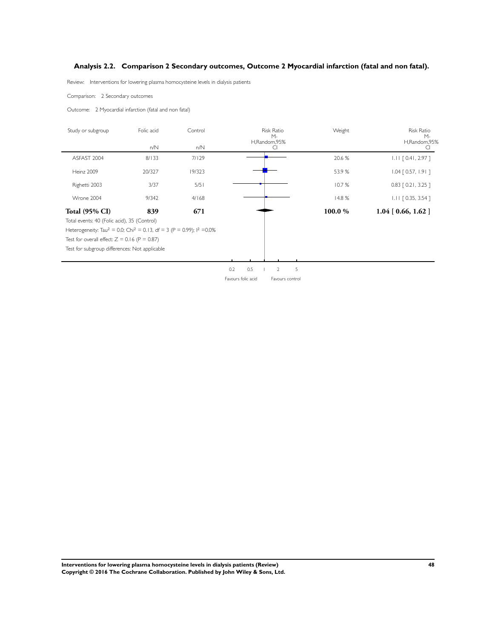## <span id="page-50-0"></span>**Analysis 2.2. Comparison 2 Secondary outcomes, Outcome 2 Myocardial infarction (fatal and non fatal).**

Review: Interventions for lowering plasma homocysteine levels in dialysis patients

Comparison: 2 Secondary outcomes

Outcome: 2 Myocardial infarction (fatal and non fatal)

| Study or subgroup                                                                                        | Folic acid | Control | <b>Risk Ratio</b><br>$M -$            | Weight | <b>Risk Ratio</b><br>$M -$ |
|----------------------------------------------------------------------------------------------------------|------------|---------|---------------------------------------|--------|----------------------------|
|                                                                                                          | n/N        | n/N     | H,Random,95%<br>a                     |        | H,Random,95%               |
| ASFAST 2004                                                                                              | 8/133      | 7/129   |                                       | 20.6 % | $1.11$ $[0.41, 2.97]$      |
| Heinz 2009                                                                                               | 20/327     | 19/323  |                                       | 53.9%  | $1.04$ $[0.57, 1.91]$      |
| Righetti 2003                                                                                            | 3/37       | 5/51    |                                       | 10.7%  | $0.83$ [ 0.21, 3.25 ]      |
| Wrone 2004                                                                                               | 9/342      | 4/168   |                                       | 14.8 % | $1.11$ $[0.35, 3.54]$      |
| <b>Total (95% CI)</b>                                                                                    | 839        | 671     |                                       | 100.0% | $1.04$ [ 0.66, 1.62 ]      |
| Total events: 40 (Folic acid), 35 (Control)                                                              |            |         |                                       |        |                            |
| Heterogeneity: Tau <sup>2</sup> = 0.0; Chi <sup>2</sup> = 0.13, df = 3 (P = 0.99); l <sup>2</sup> = 0.0% |            |         |                                       |        |                            |
| Test for overall effect: $Z = 0.16$ (P = 0.87)                                                           |            |         |                                       |        |                            |
| Test for subgroup differences: Not applicable                                                            |            |         |                                       |        |                            |
|                                                                                                          |            |         |                                       |        |                            |
|                                                                                                          |            |         | 0.5<br>5<br>0.2<br>$\overline{2}$     |        |                            |
|                                                                                                          |            |         | Favours folic acid<br>Favours control |        |                            |

**Interventions for lowering plasma homocysteine levels in dialysis patients (Review) 48 Copyright © 2016 The Cochrane Collaboration. Published by John Wiley & Sons, Ltd.**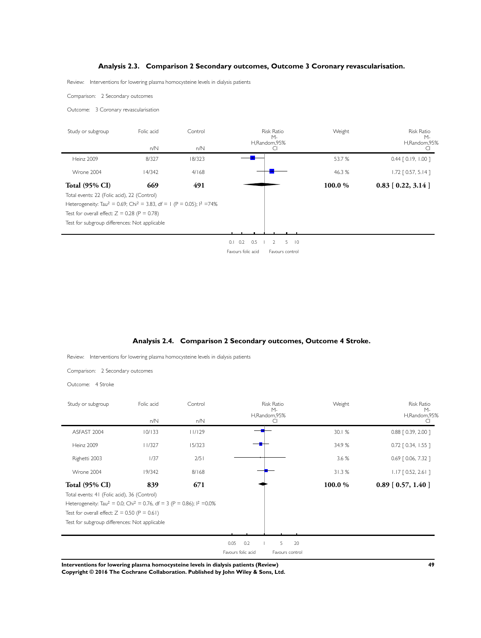## **Analysis 2.3. Comparison 2 Secondary outcomes, Outcome 3 Coronary revascularisation.**

<span id="page-51-0"></span>Review: Interventions for lowering plasma homocysteine levels in dialysis patients

Comparison: 2 Secondary outcomes

Outcome: 3 Coronary revascularisation

| Study or subgroup                                                                              | Folic acid | Control | <b>Risk Ratio</b><br>M- | Weight | <b>Risk Ratio</b><br>$M -$ |
|------------------------------------------------------------------------------------------------|------------|---------|-------------------------|--------|----------------------------|
|                                                                                                | n/N        | n/N     | H,Random,95%            |        | H,Random,95%               |
| Heinz 2009                                                                                     | 8/327      | 18/323  |                         | 53.7 % | $0.44$ $[0.19, 1.00]$      |
| Wrone 2004                                                                                     | 14/342     | 4/168   |                         | 46.3 % | $1.72$ $[0.57, 5.14]$      |
| <b>Total (95% CI)</b>                                                                          | 669        | 491     |                         | 100.0% | $0.83$ [ 0.22, 3.14 ]      |
| Total events: 22 (Folic acid), 22 (Control)                                                    |            |         |                         |        |                            |
| Heterogeneity: Tau <sup>2</sup> = 0.69; Chi <sup>2</sup> = 3.83, df = 1 (P = 0.05); $1^2$ =74% |            |         |                         |        |                            |
| Test for overall effect: $Z = 0.28$ (P = 0.78)                                                 |            |         |                         |        |                            |
| Test for subgroup differences: Not applicable                                                  |            |         |                         |        |                            |
|                                                                                                |            |         |                         |        |                            |
|                                                                                                |            |         |                         |        |                            |

<sup>0.1 0.2 0.5 1 2 5 10</sup> Favours folic acid Favours control

## **Analysis 2.4. Comparison 2 Secondary outcomes, Outcome 4 Stroke.**

Review: Interventions for lowering plasma homocysteine levels in dialysis patients

Comparison: 2 Secondary outcomes

Outcome: 4 Stroke

| Study or subgroup                                                                                        | Folic acid | Control | <b>Risk Ratio</b><br>$M -$            | Weight | <b>Risk Ratio</b><br>$M -$ |
|----------------------------------------------------------------------------------------------------------|------------|---------|---------------------------------------|--------|----------------------------|
|                                                                                                          | n/N        | n/N     | H,Random,95%                          |        | H,Random,95%               |
| ASFAST 2004                                                                                              | 10/133     | 11/129  |                                       | 30.1 % | $0.88$ $[0.39, 2.00]$      |
| Heinz 2009                                                                                               | 11/327     | 15/323  |                                       | 34.9 % | $0.72$ $[0.34, 1.55]$      |
| Righetti 2003                                                                                            | 1/37       | 2/51    |                                       | 3.6%   | $0.69$ $[0.06, 7.32]$      |
| Wrone 2004                                                                                               | 19/342     | 8/168   |                                       | 31.3%  | $1.17$ $[0.52, 2.61]$      |
| <b>Total (95% CI)</b>                                                                                    | 839        | 671     |                                       | 100.0% | $0.89$ [ $0.57, 1.40$ ]    |
| Total events: 41 (Folic acid), 36 (Control)                                                              |            |         |                                       |        |                            |
| Heterogeneity: Tau <sup>2</sup> = 0.0; Chi <sup>2</sup> = 0.76, df = 3 (P = 0.86); l <sup>2</sup> = 0.0% |            |         |                                       |        |                            |
| Test for overall effect: $Z = 0.50$ (P = 0.61)                                                           |            |         |                                       |        |                            |
| Test for subgroup differences: Not applicable                                                            |            |         |                                       |        |                            |
|                                                                                                          |            |         |                                       |        |                            |
|                                                                                                          |            |         | 0.2<br>20<br>0.05<br>5                |        |                            |
|                                                                                                          |            |         | Favours folic acid<br>Favours control |        |                            |

**Interventions for lowering plasma homocysteine levels in dialysis patients (Review) 49 Copyright © 2016 The Cochrane Collaboration. Published by John Wiley & Sons, Ltd.**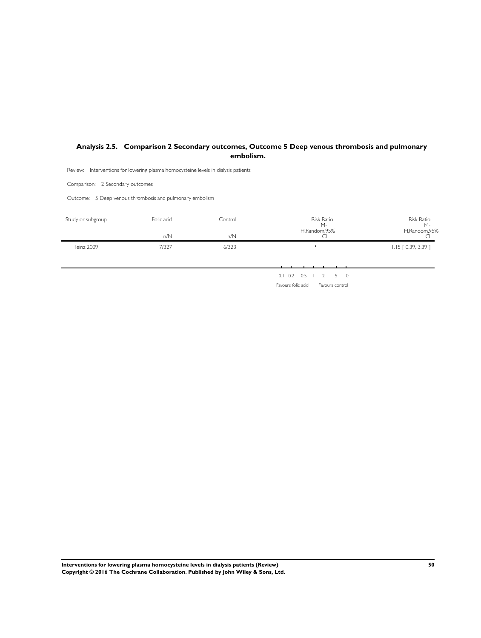## <span id="page-52-0"></span>**Analysis 2.5. Comparison 2 Secondary outcomes, Outcome 5 Deep venous thrombosis and pulmonary embolism.**

Review: Interventions for lowering plasma homocysteine levels in dialysis patients

Comparison: 2 Secondary outcomes

Outcome: 5 Deep venous thrombosis and pulmonary embolism

| Study or subgroup | Folic acid<br>n/N | Control<br>n/N | <b>Risk Ratio</b><br>$M -$<br>H,Random,95% | <b>Risk Ratio</b><br>$M -$<br>H,Random,95% |
|-------------------|-------------------|----------------|--------------------------------------------|--------------------------------------------|
| Heinz 2009        | 7/327             | 6/323          |                                            | $1.15$ [ 0.39, 3.39 ]                      |
|                   |                   |                | $0.1$ $0.2$ $0.5$ $1$ $2$<br>5 10          |                                            |
|                   |                   |                | Favours folic acid<br>Favours control      |                                            |

**Interventions for lowering plasma homocysteine levels in dialysis patients (Review) 50 Copyright © 2016 The Cochrane Collaboration. Published by John Wiley & Sons, Ltd.**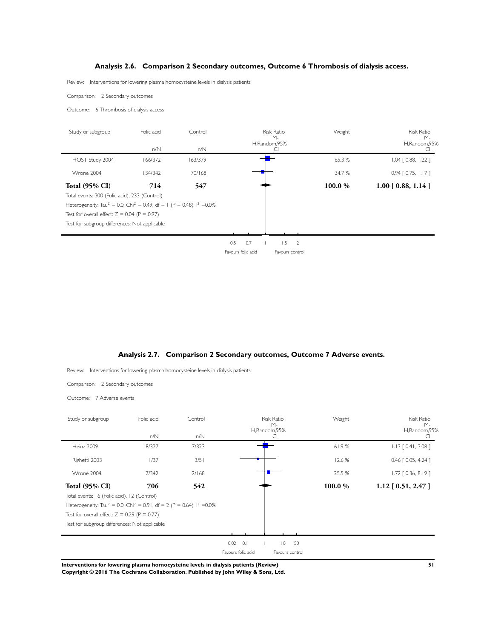## **Analysis 2.6. Comparison 2 Secondary outcomes, Outcome 6 Thrombosis of dialysis access.**

<span id="page-53-0"></span>Review: Interventions for lowering plasma homocysteine levels in dialysis patients

Comparison: 2 Secondary outcomes

Outcome: 6 Thrombosis of dialysis access

| Study or subgroup                                                                                        | Folic acid<br>Control |         | <b>Risk Ratio</b><br>$M -$ |     |                   |                | Weight  | Risk Ratio<br>$M -$   |
|----------------------------------------------------------------------------------------------------------|-----------------------|---------|----------------------------|-----|-------------------|----------------|---------|-----------------------|
|                                                                                                          | n/N                   | n/N     |                            |     | H,Random,95%<br>C |                |         | H,Random,95%          |
| HOST Study 2004                                                                                          | 166/372               | 163/379 |                            |     |                   |                | 65.3 %  | $1.04$ $[0.88, 1.22]$ |
| Wrone 2004                                                                                               | 134/342               | 70/168  |                            |     |                   |                | 34.7 %  | $0.94$ [ 0.75, 1.17 ] |
| <b>Total (95% CI)</b>                                                                                    | 714                   | 547     |                            |     |                   |                | 100.0 % | $1.00$ [ 0.88, 1.14 ] |
| Total events: 300 (Folic acid), 233 (Control)                                                            |                       |         |                            |     |                   |                |         |                       |
| Heterogeneity: Tau <sup>2</sup> = 0.0; Chi <sup>2</sup> = 0.49, df = 1 (P = 0.48); l <sup>2</sup> = 0.0% |                       |         |                            |     |                   |                |         |                       |
| Test for overall effect: $Z = 0.04$ (P = 0.97)                                                           |                       |         |                            |     |                   |                |         |                       |
| Test for subgroup differences: Not applicable                                                            |                       |         |                            |     |                   |                |         |                       |
|                                                                                                          |                       |         |                            |     |                   |                |         |                       |
|                                                                                                          |                       |         | 0.5                        | 0.7 | 1.5               | $\overline{2}$ |         |                       |

Favours folic acid Favours control

## **Analysis 2.7. Comparison 2 Secondary outcomes, Outcome 7 Adverse events.**

Review: Interventions for lowering plasma homocysteine levels in dialysis patients

Comparison: 2 Secondary outcomes

Outcome: 7 Adverse events

| Study or subgroup                                                                               | Folic acid | Control | <b>Risk Ratio</b><br>$M -$            | Weight | <b>Risk Ratio</b><br>$M -$ |
|-------------------------------------------------------------------------------------------------|------------|---------|---------------------------------------|--------|----------------------------|
|                                                                                                 | n/N        | n/N     | H,Random,95%<br>U                     |        | H,Random,95%               |
| Heinz 2009                                                                                      | 8/327      | 7/323   |                                       | 61.9%  | $1.13$ $[0.41, 3.08]$      |
| Righetti 2003                                                                                   | 1/37       | 3/5     |                                       | 12.6%  | $0.46$ $[0.05, 4.24]$      |
| Wrone 2004                                                                                      | 7/342      | 2/168   |                                       | 25.5 % | $1.72$ $[0.36, 8.19]$      |
| <b>Total (95% CI)</b>                                                                           | 706        | 542     |                                       | 100.0% | $1.12$ [ 0.51, 2.47 ]      |
| Total events: 16 (Folic acid), 12 (Control)                                                     |            |         |                                       |        |                            |
| Heterogeneity: Tau <sup>2</sup> = 0.0; Chi <sup>2</sup> = 0.91, df = 2 (P = 0.64); $1^2$ = 0.0% |            |         |                                       |        |                            |
| Test for overall effect: $Z = 0.29$ (P = 0.77)                                                  |            |         |                                       |        |                            |
| Test for subgroup differences: Not applicable                                                   |            |         |                                       |        |                            |
|                                                                                                 |            |         |                                       |        |                            |
|                                                                                                 |            |         | 0.1<br>0.02<br>$\overline{0}$         | 50     |                            |
|                                                                                                 |            |         | Favours folic acid<br>Favours control |        |                            |

**Interventions for lowering plasma homocysteine levels in dialysis patients (Review) 51 Copyright © 2016 The Cochrane Collaboration. Published by John Wiley & Sons, Ltd.**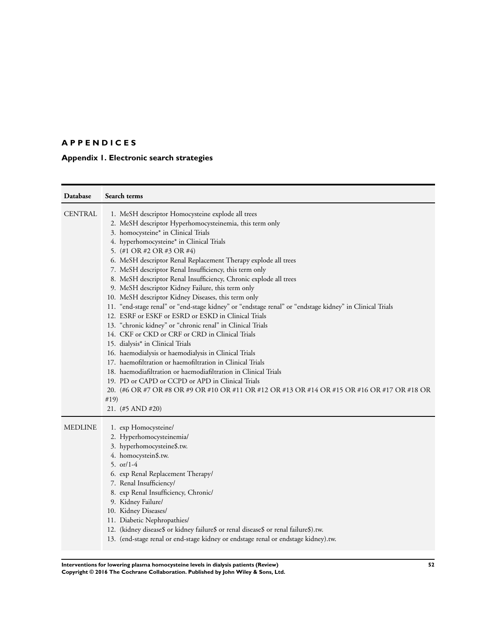## <span id="page-54-0"></span>**A P P E N D I C E S**

# **Appendix 1. Electronic search strategies**

| Database       | Search terms                                                                                                                                                                                                                                                                                                                                                                                                                                                                                                                                                                                                                                                                                                                                                                                                                                                                                                                                                                                                                                                                                                                                                                                                                             |
|----------------|------------------------------------------------------------------------------------------------------------------------------------------------------------------------------------------------------------------------------------------------------------------------------------------------------------------------------------------------------------------------------------------------------------------------------------------------------------------------------------------------------------------------------------------------------------------------------------------------------------------------------------------------------------------------------------------------------------------------------------------------------------------------------------------------------------------------------------------------------------------------------------------------------------------------------------------------------------------------------------------------------------------------------------------------------------------------------------------------------------------------------------------------------------------------------------------------------------------------------------------|
| CENTRAL        | 1. MeSH descriptor Homocysteine explode all trees<br>2. MeSH descriptor Hyperhomocysteinemia, this term only<br>3. homocysteine* in Clinical Trials<br>4. hyperhomocysteine* in Clinical Trials<br>5. (#1 OR #2 OR #3 OR #4)<br>6. MeSH descriptor Renal Replacement Therapy explode all trees<br>7. MeSH descriptor Renal Insufficiency, this term only<br>8. MeSH descriptor Renal Insufficiency, Chronic explode all trees<br>9. MeSH descriptor Kidney Failure, this term only<br>10. MeSH descriptor Kidney Diseases, this term only<br>11. "end-stage renal" or "end-stage kidney" or "endstage renal" or "endstage kidney" in Clinical Trials<br>12. ESRF or ESKF or ESRD or ESKD in Clinical Trials<br>13. "chronic kidney" or "chronic renal" in Clinical Trials<br>14. CKF or CKD or CRF or CRD in Clinical Trials<br>15. dialysis* in Clinical Trials<br>16. haemodialysis or haemodialysis in Clinical Trials<br>17. haemofiltration or haemofiltration in Clinical Trials<br>18. haemodiafiltration or haemodiafiltration in Clinical Trials<br>19. PD or CAPD or CCPD or APD in Clinical Trials<br>20. (#6 OR #7 OR #8 OR #9 OR #10 OR #11 OR #12 OR #13 OR #14 OR #15 OR #16 OR #17 OR #18 OR<br>#19)<br>21. (#5 AND #20) |
| <b>MEDLINE</b> | 1. exp Homocysteine/<br>2. Hyperhomocysteinemia/<br>3. hyperhomocysteine\$.tw.<br>4. homocystein\$.tw.<br>5. or/1-4<br>6. exp Renal Replacement Therapy/<br>7. Renal Insufficiency/<br>8. exp Renal Insufficiency, Chronic/<br>9. Kidney Failure/<br>10. Kidney Diseases/<br>11. Diabetic Nephropathies/<br>12. (kidney disease\$ or kidney failure\$ or renal disease\$ or renal failure\$).tw.<br>13. (end-stage renal or end-stage kidney or endstage renal or endstage kidney).tw.                                                                                                                                                                                                                                                                                                                                                                                                                                                                                                                                                                                                                                                                                                                                                   |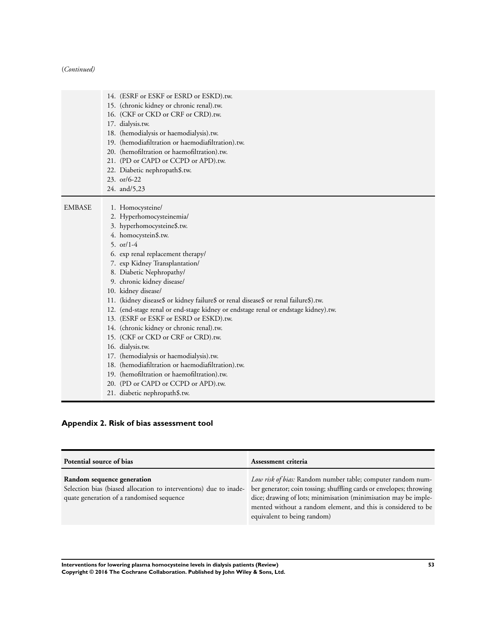<span id="page-55-0"></span>

|               | 14. (ESRF or ESKF or ESRD or ESKD).tw.<br>15. (chronic kidney or chronic renal).tw.<br>16. (CKF or CKD or CRF or CRD).tw.<br>17. dialysis.tw.<br>18. (hemodialysis or haemodialysis).tw.<br>19. (hemodiafiltration or haemodiafiltration).tw.<br>20. (hemofiltration or haemofiltration).tw.<br>21. (PD or CAPD or CCPD or APD).tw.<br>22. Diabetic nephropath\$.tw.                                                                                                                                                                                                                                                                                                                                                                                                                                                          |
|---------------|-------------------------------------------------------------------------------------------------------------------------------------------------------------------------------------------------------------------------------------------------------------------------------------------------------------------------------------------------------------------------------------------------------------------------------------------------------------------------------------------------------------------------------------------------------------------------------------------------------------------------------------------------------------------------------------------------------------------------------------------------------------------------------------------------------------------------------|
|               | 23. $or/6-22$                                                                                                                                                                                                                                                                                                                                                                                                                                                                                                                                                                                                                                                                                                                                                                                                                 |
|               | 24. and/5,23                                                                                                                                                                                                                                                                                                                                                                                                                                                                                                                                                                                                                                                                                                                                                                                                                  |
| <b>EMBASE</b> | 1. Homocysteine/<br>2. Hyperhomocysteinemia/<br>3. hyperhomocysteine\$.tw.<br>4. homocystein\$.tw.<br>5. or/1-4<br>6. exp renal replacement therapy/<br>7. exp Kidney Transplantation/<br>8. Diabetic Nephropathy/<br>9. chronic kidney disease/<br>10. kidney disease/<br>11. (kidney disease\$ or kidney failure\$ or renal disease\$ or renal failure\$).tw.<br>12. (end-stage renal or end-stage kidney or endstage renal or endstage kidney).tw.<br>13. (ESRF or ESKF or ESRD or ESKD).tw.<br>14. (chronic kidney or chronic renal).tw.<br>15. (CKF or CKD or CRF or CRD).tw.<br>16. dialysis.tw.<br>17. (hemodialysis or haemodialysis).tw.<br>18. (hemodiafiltration or haemodiafiltration).tw.<br>19. (hemofiltration or haemofiltration).tw.<br>20. (PD or CAPD or CCPD or APD).tw.<br>21. diabetic nephropath\$.tw. |

# **Appendix 2. Risk of bias assessment tool**

| Potential source of bias                                                                                                                     | Assessment criteria                                                                                                                                                                                                                                                                                   |
|----------------------------------------------------------------------------------------------------------------------------------------------|-------------------------------------------------------------------------------------------------------------------------------------------------------------------------------------------------------------------------------------------------------------------------------------------------------|
| Random sequence generation<br>Selection bias (biased allocation to interventions) due to inade-<br>quate generation of a randomised sequence | Low risk of bias: Random number table; computer random num-<br>ber generator; coin tossing; shuffling cards or envelopes; throwing<br>dice; drawing of lots; minimisation (minimisation may be imple-<br>mented without a random element, and this is considered to be<br>equivalent to being random) |

**Interventions for lowering plasma homocysteine levels in dialysis patients (Review) 53 Copyright © 2016 The Cochrane Collaboration. Published by John Wiley & Sons, Ltd.**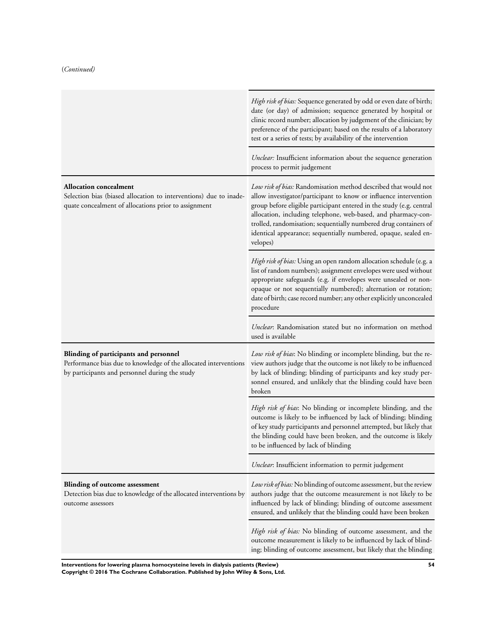|                                                                                                                                                              | High risk of bias: Sequence generated by odd or even date of birth;<br>date (or day) of admission; sequence generated by hospital or<br>clinic record number; allocation by judgement of the clinician; by<br>preference of the participant; based on the results of a laboratory<br>test or a series of tests; by availability of the intervention                                                                             |
|--------------------------------------------------------------------------------------------------------------------------------------------------------------|---------------------------------------------------------------------------------------------------------------------------------------------------------------------------------------------------------------------------------------------------------------------------------------------------------------------------------------------------------------------------------------------------------------------------------|
|                                                                                                                                                              | Unclear: Insufficient information about the sequence generation<br>process to permit judgement                                                                                                                                                                                                                                                                                                                                  |
| Allocation concealment<br>Selection bias (biased allocation to interventions) due to inade-<br>quate concealment of allocations prior to assignment          | Low risk of bias: Randomisation method described that would not<br>allow investigator/participant to know or influence intervention<br>group before eligible participant entered in the study (e.g. central<br>allocation, including telephone, web-based, and pharmacy-con-<br>trolled, randomisation; sequentially numbered drug containers of<br>identical appearance; sequentially numbered, opaque, sealed en-<br>velopes) |
|                                                                                                                                                              | High risk of bias: Using an open random allocation schedule (e.g. a<br>list of random numbers); assignment envelopes were used without<br>appropriate safeguards (e.g. if envelopes were unsealed or non-<br>opaque or not sequentially numbered); alternation or rotation;<br>date of birth; case record number; any other explicitly unconcealed<br>procedure                                                                 |
|                                                                                                                                                              | Unclear: Randomisation stated but no information on method<br>used is available                                                                                                                                                                                                                                                                                                                                                 |
| Blinding of participants and personnel<br>Performance bias due to knowledge of the allocated interventions<br>by participants and personnel during the study | Low risk of bias: No blinding or incomplete blinding, but the re-<br>view authors judge that the outcome is not likely to be influenced<br>by lack of blinding; blinding of participants and key study per-<br>sonnel ensured, and unlikely that the blinding could have been<br>broken                                                                                                                                         |
|                                                                                                                                                              | High risk of bias: No blinding or incomplete blinding, and the<br>outcome is likely to be influenced by lack of blinding; blinding<br>of key study participants and personnel attempted, but likely that<br>the blinding could have been broken, and the outcome is likely<br>to be influenced by lack of blinding                                                                                                              |
|                                                                                                                                                              | Unclear: Insufficient information to permit judgement                                                                                                                                                                                                                                                                                                                                                                           |
| Blinding of outcome assessment<br>Detection bias due to knowledge of the allocated interventions by<br>outcome assessors                                     | Low risk of bias: No blinding of outcome assessment, but the review<br>authors judge that the outcome measurement is not likely to be<br>influenced by lack of blinding; blinding of outcome assessment<br>ensured, and unlikely that the blinding could have been broken                                                                                                                                                       |
|                                                                                                                                                              | High risk of bias: No blinding of outcome assessment, and the<br>outcome measurement is likely to be influenced by lack of blind-<br>ing; blinding of outcome assessment, but likely that the blinding                                                                                                                                                                                                                          |

**Interventions for lowering plasma homocysteine levels in dialysis patients (Review) 54**

**Copyright © 2016 The Cochrane Collaboration. Published by John Wiley & Sons, Ltd.**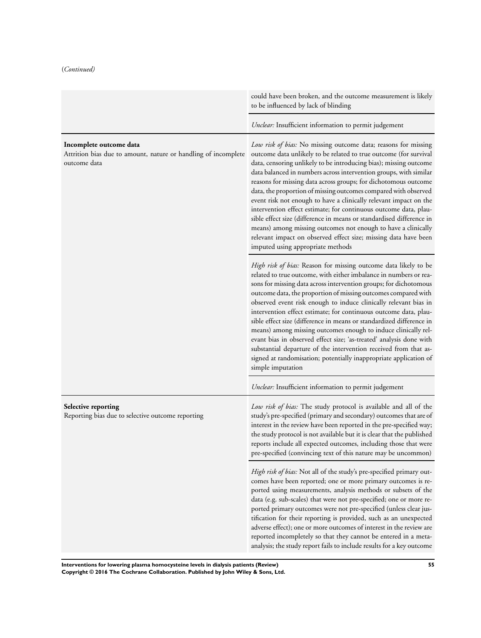| could have been broken, and the outcome measurement is likely<br>to be influenced by lack of blinding                                                                                                                                                                                                                                                                                                                                                                                                                                                                                                                                                                                                                                                                                                         |
|---------------------------------------------------------------------------------------------------------------------------------------------------------------------------------------------------------------------------------------------------------------------------------------------------------------------------------------------------------------------------------------------------------------------------------------------------------------------------------------------------------------------------------------------------------------------------------------------------------------------------------------------------------------------------------------------------------------------------------------------------------------------------------------------------------------|
| Unclear: Insufficient information to permit judgement                                                                                                                                                                                                                                                                                                                                                                                                                                                                                                                                                                                                                                                                                                                                                         |
| Low risk of bias: No missing outcome data; reasons for missing<br>outcome data unlikely to be related to true outcome (for survival<br>data, censoring unlikely to be introducing bias); missing outcome<br>data balanced in numbers across intervention groups, with similar<br>reasons for missing data across groups; for dichotomous outcome<br>data, the proportion of missing outcomes compared with observed<br>event risk not enough to have a clinically relevant impact on the<br>intervention effect estimate; for continuous outcome data, plau-<br>sible effect size (difference in means or standardised difference in<br>means) among missing outcomes not enough to have a clinically<br>relevant impact on observed effect size; missing data have been<br>imputed using appropriate methods |
| High risk of bias: Reason for missing outcome data likely to be<br>related to true outcome, with either imbalance in numbers or rea-<br>sons for missing data across intervention groups; for dichotomous<br>outcome data, the proportion of missing outcomes compared with<br>observed event risk enough to induce clinically relevant bias in<br>intervention effect estimate; for continuous outcome data, plau-<br>sible effect size (difference in means or standardized difference in<br>means) among missing outcomes enough to induce clinically rel-<br>evant bias in observed effect size; 'as-treated' analysis done with<br>substantial departure of the intervention received from that as-<br>signed at randomisation; potentially inappropriate application of<br>simple imputation            |
| Unclear: Insufficient information to permit judgement                                                                                                                                                                                                                                                                                                                                                                                                                                                                                                                                                                                                                                                                                                                                                         |
| Low risk of bias: The study protocol is available and all of the<br>study's pre-specified (primary and secondary) outcomes that are of<br>interest in the review have been reported in the pre-specified way;<br>the study protocol is not available but it is clear that the published<br>reports include all expected outcomes, including those that were<br>pre-specified (convincing text of this nature may be uncommon)                                                                                                                                                                                                                                                                                                                                                                                 |
| High risk of bias: Not all of the study's pre-specified primary out-<br>comes have been reported; one or more primary outcomes is re-<br>ported using measurements, analysis methods or subsets of the<br>data (e.g. sub-scales) that were not pre-specified; one or more re-<br>ported primary outcomes were not pre-specified (unless clear jus-<br>tification for their reporting is provided, such as an unexpected<br>adverse effect); one or more outcomes of interest in the review are<br>reported incompletely so that they cannot be entered in a meta-<br>analysis; the study report fails to include results for a key outcome                                                                                                                                                                    |
|                                                                                                                                                                                                                                                                                                                                                                                                                                                                                                                                                                                                                                                                                                                                                                                                               |

**Interventions for lowering plasma homocysteine levels in dialysis patients (Review) 55 Copyright © 2016 The Cochrane Collaboration. Published by John Wiley & Sons, Ltd.**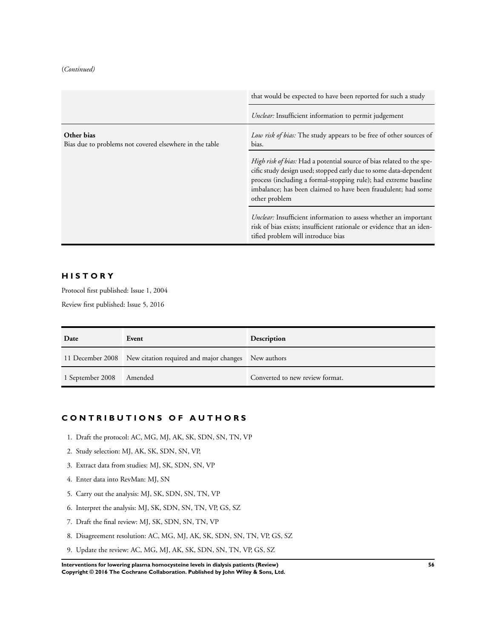|                                                                       | that would be expected to have been reported for such a study                                                                                                                                                                                                                                           |
|-----------------------------------------------------------------------|---------------------------------------------------------------------------------------------------------------------------------------------------------------------------------------------------------------------------------------------------------------------------------------------------------|
|                                                                       | <i>Unclear:</i> Insufficient information to permit judgement                                                                                                                                                                                                                                            |
| Other bias<br>Bias due to problems not covered elsewhere in the table | Low risk of bias: The study appears to be free of other sources of<br>bias.                                                                                                                                                                                                                             |
|                                                                       | <i>High risk of bias:</i> Had a potential source of bias related to the spe-<br>cific study design used; stopped early due to some data-dependent<br>process (including a formal-stopping rule); had extreme baseline<br>imbalance; has been claimed to have been fraudulent; had some<br>other problem |
|                                                                       | Unclear: Insufficient information to assess whether an important<br>risk of bias exists; insufficient rationale or evidence that an iden-<br>tified problem will introduce bias                                                                                                                         |

## **H I S T O R Y**

Protocol first published: Issue 1, 2004

Review first published: Issue 5, 2016

| Date             | Event                                                                | Description                     |
|------------------|----------------------------------------------------------------------|---------------------------------|
|                  | 11 December 2008 New citation required and major changes New authors |                                 |
| 1 September 2008 | Amended                                                              | Converted to new review format. |

## **C O N T R I B U T I O N S O F A U T H O R S**

- 1. Draft the protocol: AC, MG, MJ, AK, SK, SDN, SN, TN, VP
- 2. Study selection: MJ, AK, SK, SDN, SN, VP,
- 3. Extract data from studies: MJ, SK, SDN, SN, VP
- 4. Enter data into RevMan: MJ, SN
- 5. Carry out the analysis: MJ, SK, SDN, SN, TN, VP
- 6. Interpret the analysis: MJ, SK, SDN, SN, TN, VP, GS, SZ
- 7. Draft the final review: MJ, SK, SDN, SN, TN, VP
- 8. Disagreement resolution: AC, MG, MJ, AK, SK, SDN, SN, TN, VP, GS, SZ
- 9. Update the review: AC, MG, MJ, AK, SK, SDN, SN, TN, VP, GS, SZ

**Interventions for lowering plasma homocysteine levels in dialysis patients (Review) 56 Copyright © 2016 The Cochrane Collaboration. Published by John Wiley & Sons, Ltd.**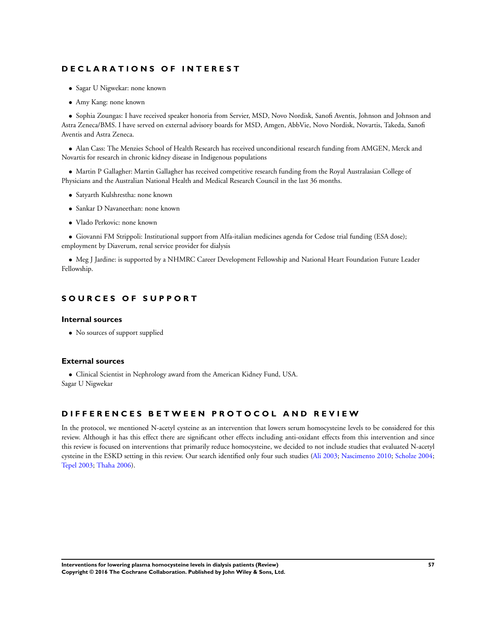## **D E C L A R A T I O N S O F I N T E R E S T**

- Sagar U Nigwekar: none known
- Amy Kang: none known

• Sophia Zoungas: I have received speaker honoria from Servier, MSD, Novo Nordisk, Sanofi Aventis, Johnson and Johnson and Astra Zeneca/BMS. I have served on external advisory boards for MSD, Amgen, AbbVie, Novo Nordisk, Novartis, Takeda, Sanofi Aventis and Astra Zeneca.

• Alan Cass: The Menzies School of Health Research has received unconditional research funding from AMGEN, Merck and Novartis for research in chronic kidney disease in Indigenous populations

• Martin P Gallagher: Martin Gallagher has received competitive research funding from the Royal Australasian College of Physicians and the Australian National Health and Medical Research Council in the last 36 months.

- Satyarth Kulshrestha: none known
- Sankar D Navaneethan: none known
- Vlado Perkovic: none known

• Giovanni FM Strippoli: Institutional support from AIfa-italian medicines agenda for Cedose trial funding (ESA dose); employment by Diaverum, renal service provider for dialysis

• Meg J Jardine: is supported by a NHMRC Career Development Fellowship and National Heart Foundation Future Leader Fellowship.

## **S O U R C E S O F S U P P O R T**

### **Internal sources**

• No sources of support supplied

## **External sources**

• Clinical Scientist in Nephrology award from the American Kidney Fund, USA. Sagar U Nigwekar

## **DIFFERENCES BETWEEN PROTOCOL AND REVIEW**

In the protocol, we mentioned N-acetyl cysteine as an intervention that lowers serum homocysteine levels to be considered for this review. Although it has this effect there are significant other effects including anti-oxidant effects from this intervention and since this review is focused on interventions that primarily reduce homocysteine, we decided to not include studies that evaluated N-acetyl cysteine in the ESKD setting in this review. Our search identified only four such studies ([Ali 2003](#page-16-0); [Nascimento 2010;](#page-16-0) [Scholze 2004;](#page-16-0) [Tepel 2003](#page-16-0); [Thaha 2006](#page-16-0)).